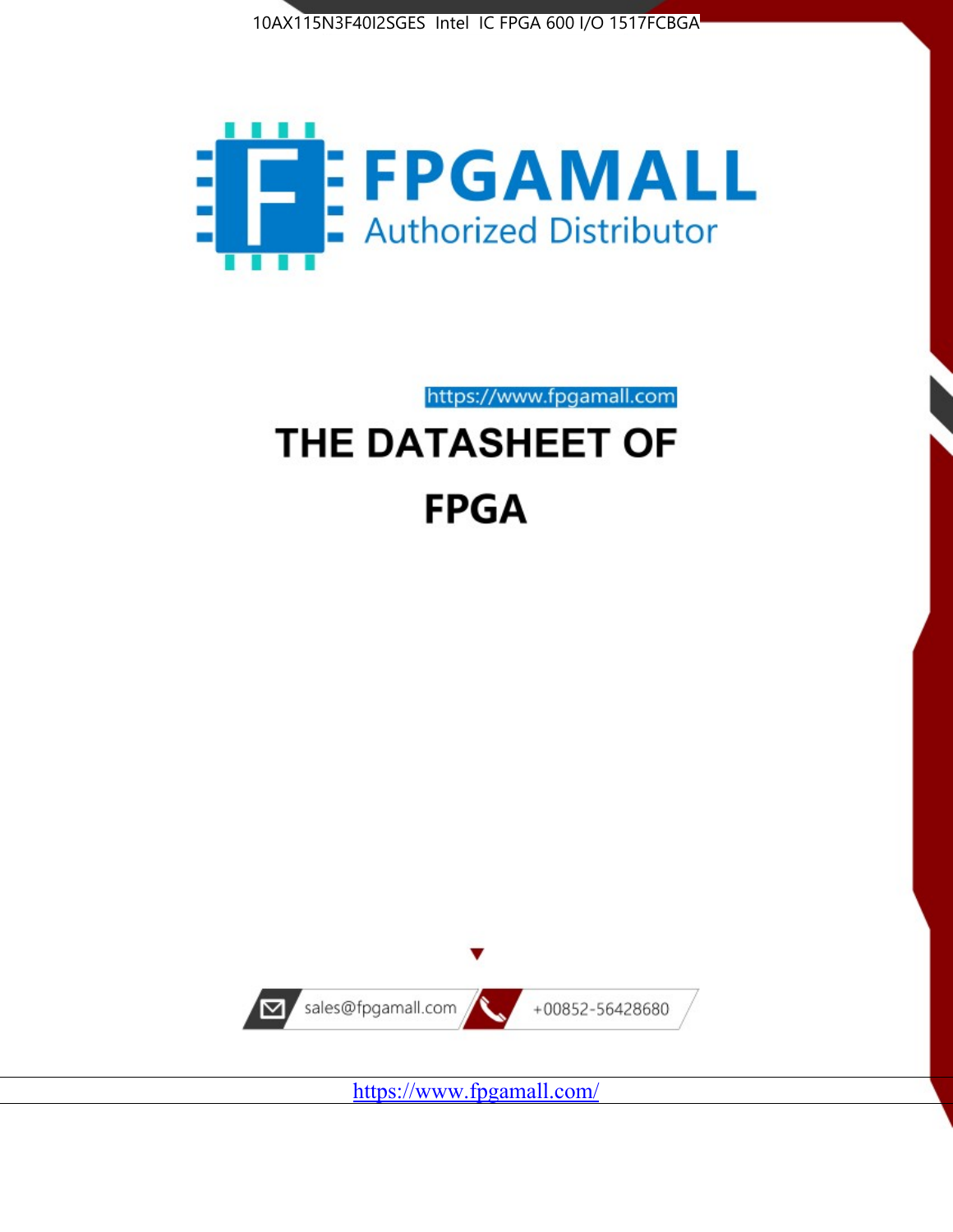



https://www.fpgamall.com

# THE DATASHEET OF **FPGA**



<https://www.fpgamall.com/>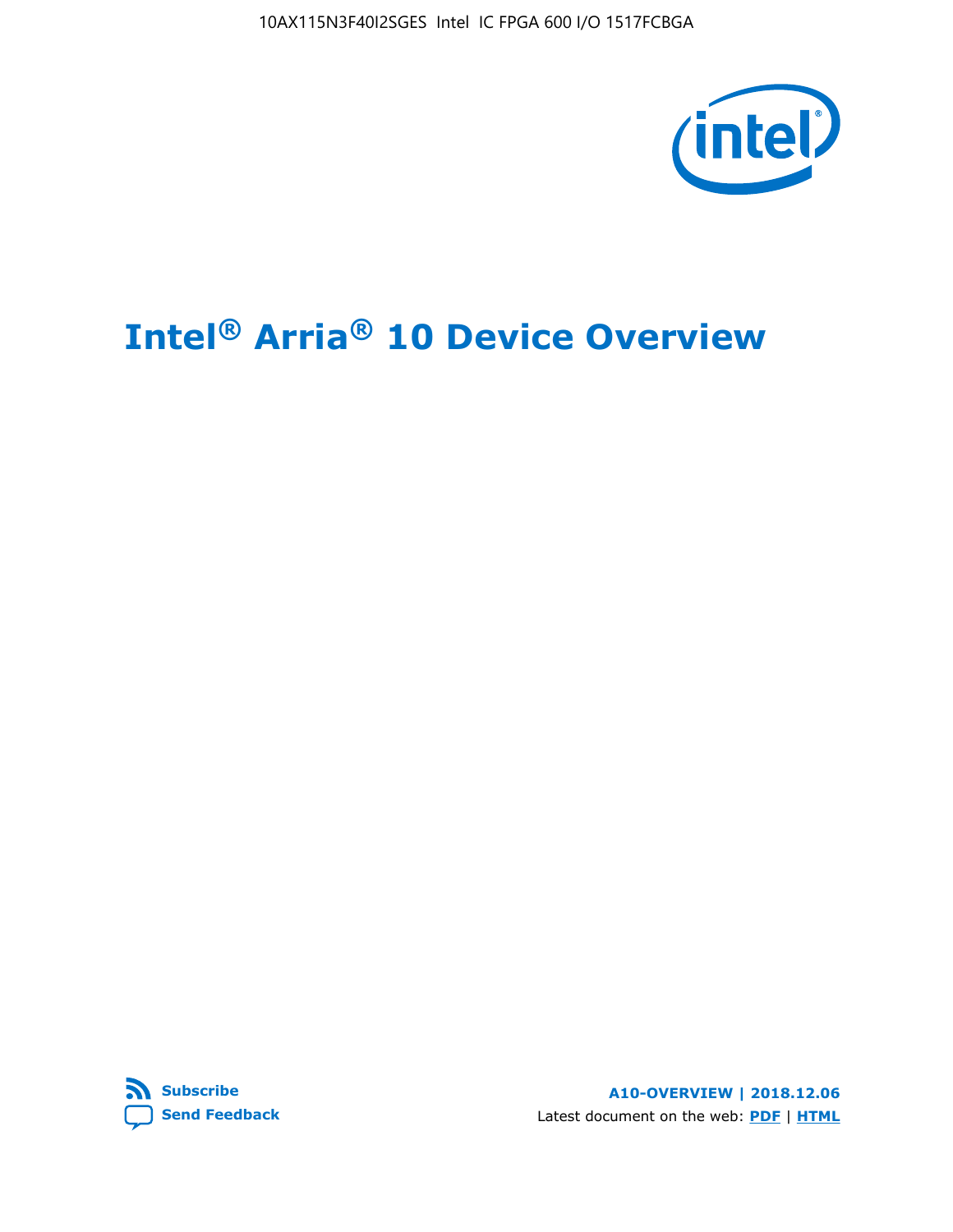10AX115N3F40I2SGES Intel IC FPGA 600 I/O 1517FCBGA



# **Intel® Arria® 10 Device Overview**



**A10-OVERVIEW | 2018.12.06** Latest document on the web: **[PDF](https://www.intel.com/content/dam/www/programmable/us/en/pdfs/literature/hb/arria-10/a10_overview.pdf)** | **[HTML](https://www.intel.com/content/www/us/en/programmable/documentation/sam1403480274650.html)**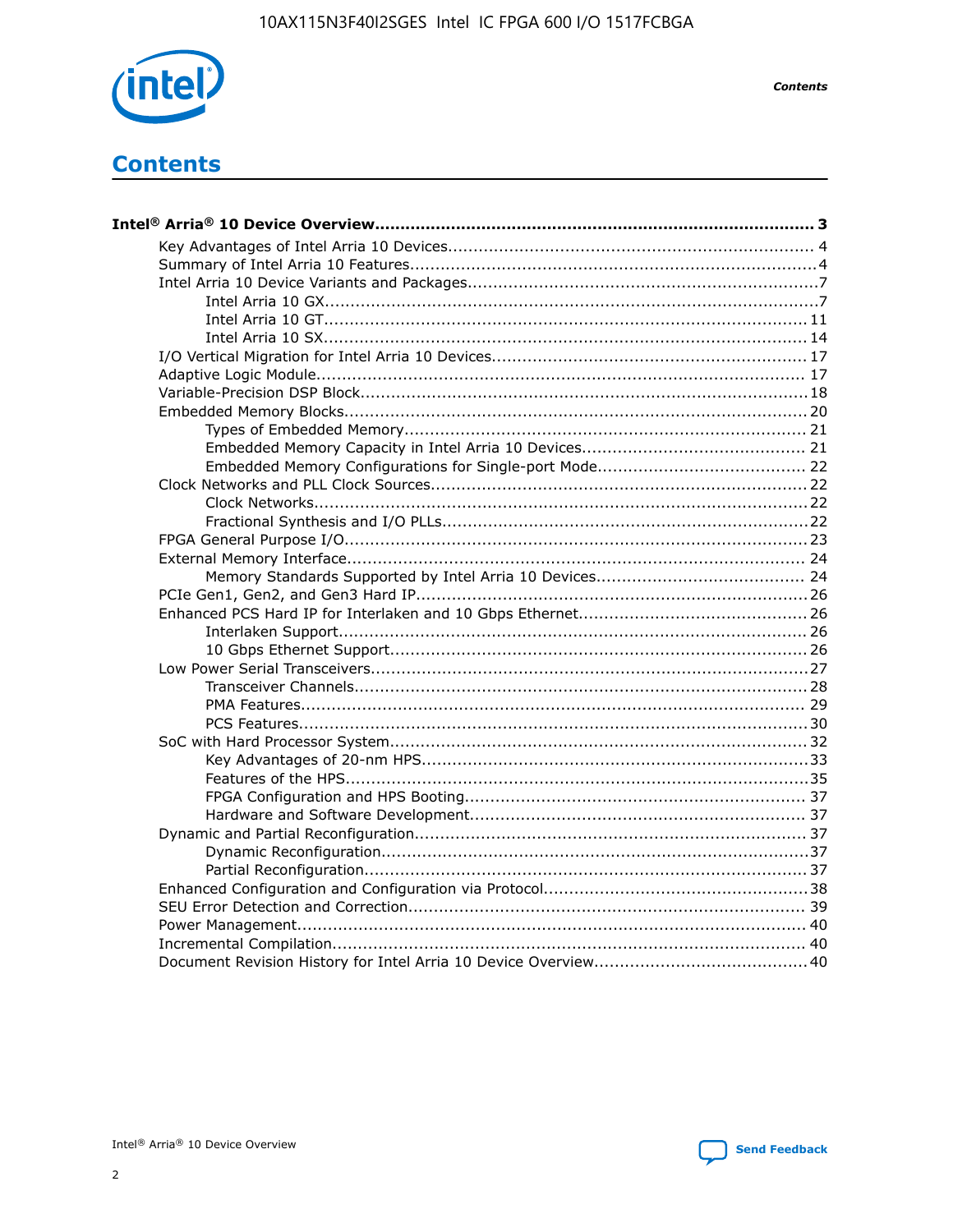

**Contents** 

# **Contents**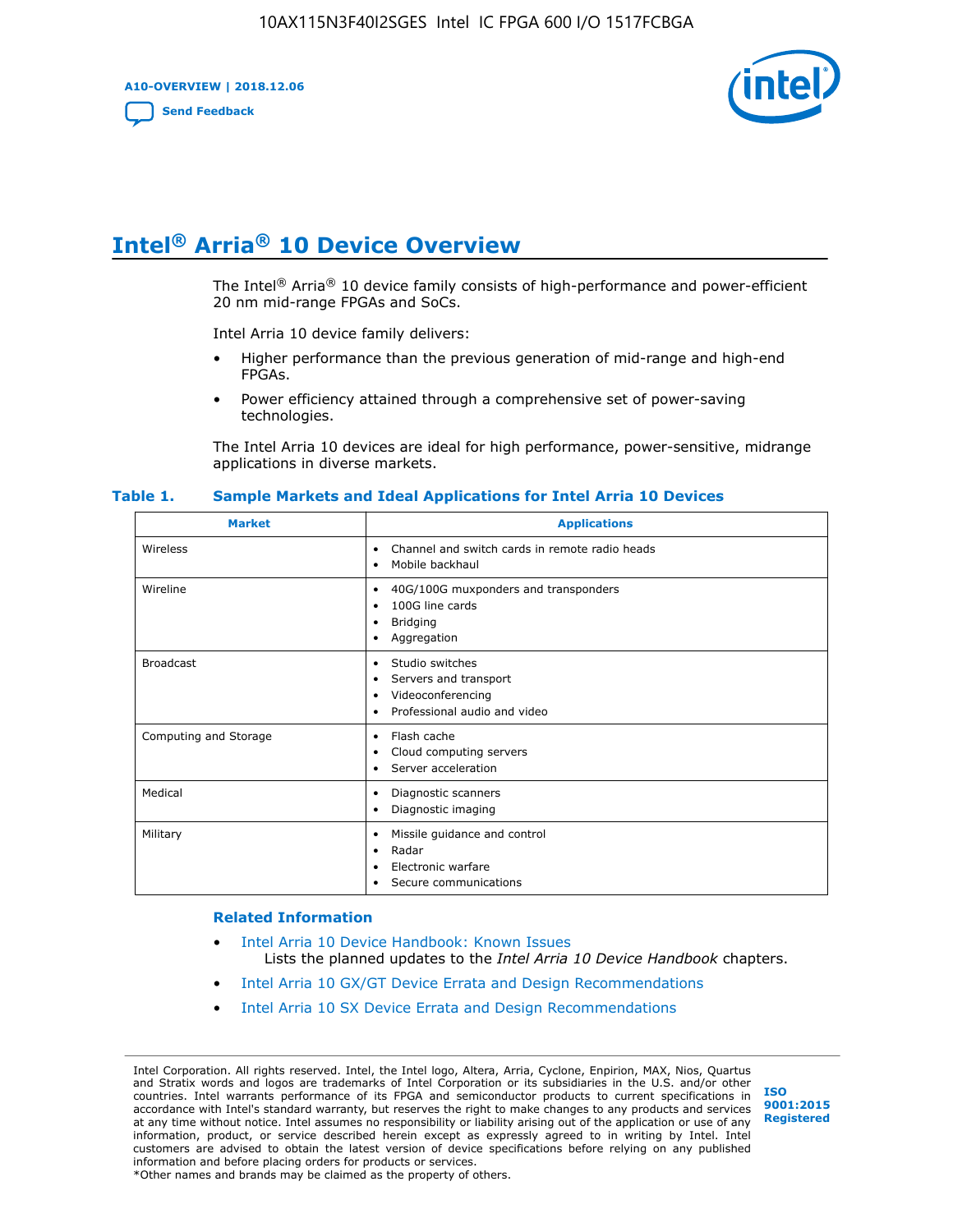**A10-OVERVIEW | 2018.12.06**

**[Send Feedback](mailto:FPGAtechdocfeedback@intel.com?subject=Feedback%20on%20Intel%20Arria%2010%20Device%20Overview%20(A10-OVERVIEW%202018.12.06)&body=We%20appreciate%20your%20feedback.%20In%20your%20comments,%20also%20specify%20the%20page%20number%20or%20paragraph.%20Thank%20you.)**



# **Intel® Arria® 10 Device Overview**

The Intel<sup>®</sup> Arria<sup>®</sup> 10 device family consists of high-performance and power-efficient 20 nm mid-range FPGAs and SoCs.

Intel Arria 10 device family delivers:

- Higher performance than the previous generation of mid-range and high-end FPGAs.
- Power efficiency attained through a comprehensive set of power-saving technologies.

The Intel Arria 10 devices are ideal for high performance, power-sensitive, midrange applications in diverse markets.

| <b>Market</b>         | <b>Applications</b>                                                                                               |
|-----------------------|-------------------------------------------------------------------------------------------------------------------|
| Wireless              | Channel and switch cards in remote radio heads<br>٠<br>Mobile backhaul<br>٠                                       |
| Wireline              | 40G/100G muxponders and transponders<br>٠<br>100G line cards<br>٠<br><b>Bridging</b><br>٠<br>Aggregation<br>٠     |
| <b>Broadcast</b>      | Studio switches<br>٠<br>Servers and transport<br>٠<br>Videoconferencing<br>٠<br>Professional audio and video<br>٠ |
| Computing and Storage | Flash cache<br>٠<br>Cloud computing servers<br>٠<br>Server acceleration<br>٠                                      |
| Medical               | Diagnostic scanners<br>٠<br>Diagnostic imaging<br>٠                                                               |
| Military              | Missile guidance and control<br>٠<br>Radar<br>٠<br>Electronic warfare<br>٠<br>Secure communications<br>٠          |

#### **Table 1. Sample Markets and Ideal Applications for Intel Arria 10 Devices**

#### **Related Information**

- [Intel Arria 10 Device Handbook: Known Issues](http://www.altera.com/support/kdb/solutions/rd07302013_646.html) Lists the planned updates to the *Intel Arria 10 Device Handbook* chapters.
- [Intel Arria 10 GX/GT Device Errata and Design Recommendations](https://www.intel.com/content/www/us/en/programmable/documentation/agz1493851706374.html#yqz1494433888646)
- [Intel Arria 10 SX Device Errata and Design Recommendations](https://www.intel.com/content/www/us/en/programmable/documentation/cru1462832385668.html#cru1462832558642)

Intel Corporation. All rights reserved. Intel, the Intel logo, Altera, Arria, Cyclone, Enpirion, MAX, Nios, Quartus and Stratix words and logos are trademarks of Intel Corporation or its subsidiaries in the U.S. and/or other countries. Intel warrants performance of its FPGA and semiconductor products to current specifications in accordance with Intel's standard warranty, but reserves the right to make changes to any products and services at any time without notice. Intel assumes no responsibility or liability arising out of the application or use of any information, product, or service described herein except as expressly agreed to in writing by Intel. Intel customers are advised to obtain the latest version of device specifications before relying on any published information and before placing orders for products or services. \*Other names and brands may be claimed as the property of others.

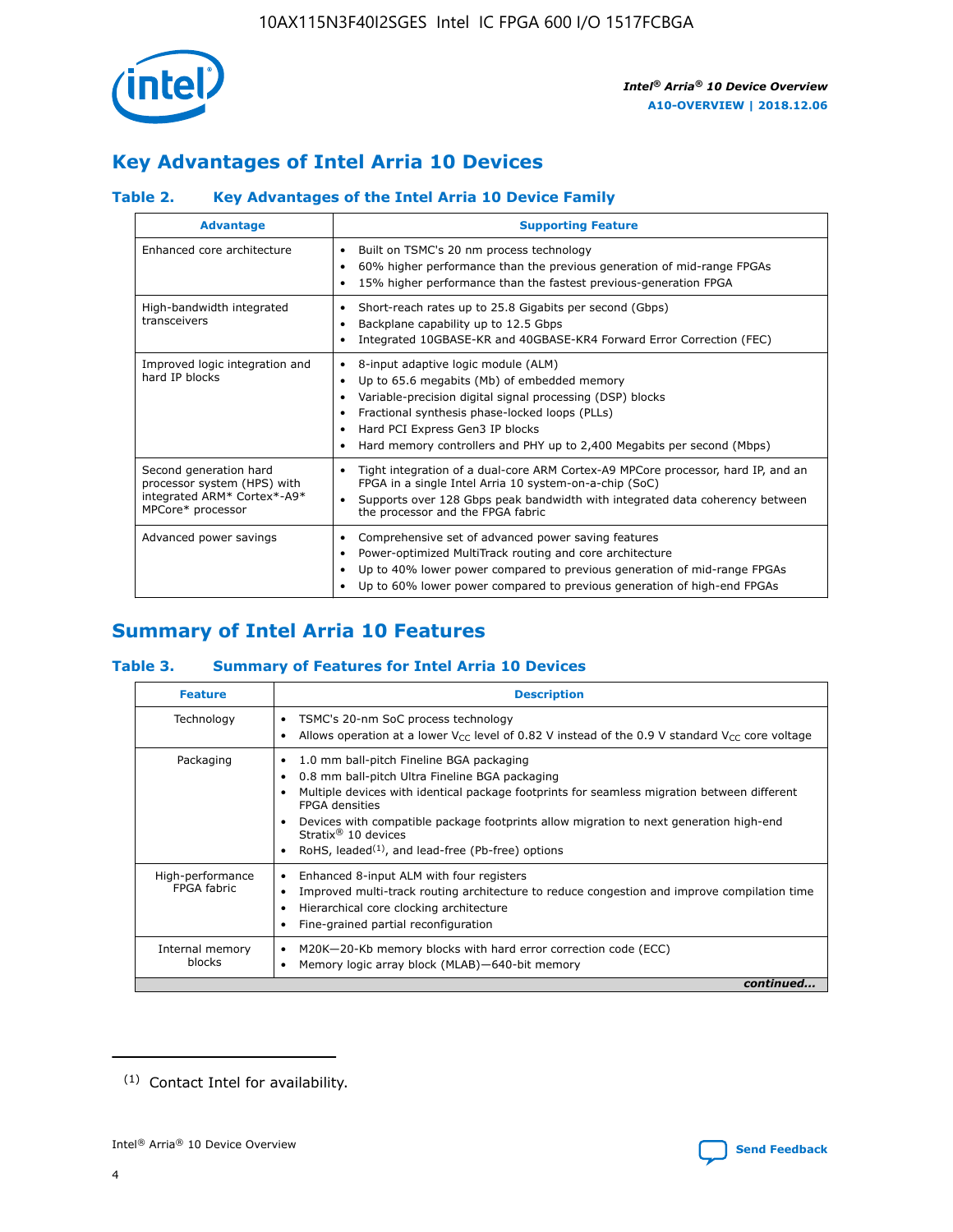

# **Key Advantages of Intel Arria 10 Devices**

# **Table 2. Key Advantages of the Intel Arria 10 Device Family**

| <b>Advantage</b>                                                                                          | <b>Supporting Feature</b>                                                                                                                                                                                                                                                                                                |
|-----------------------------------------------------------------------------------------------------------|--------------------------------------------------------------------------------------------------------------------------------------------------------------------------------------------------------------------------------------------------------------------------------------------------------------------------|
| Enhanced core architecture                                                                                | Built on TSMC's 20 nm process technology<br>٠<br>60% higher performance than the previous generation of mid-range FPGAs<br>٠<br>15% higher performance than the fastest previous-generation FPGA<br>٠                                                                                                                    |
| High-bandwidth integrated<br>transceivers                                                                 | Short-reach rates up to 25.8 Gigabits per second (Gbps)<br>٠<br>Backplane capability up to 12.5 Gbps<br>٠<br>Integrated 10GBASE-KR and 40GBASE-KR4 Forward Error Correction (FEC)<br>٠                                                                                                                                   |
| Improved logic integration and<br>hard IP blocks                                                          | 8-input adaptive logic module (ALM)<br>٠<br>Up to 65.6 megabits (Mb) of embedded memory<br>٠<br>Variable-precision digital signal processing (DSP) blocks<br>Fractional synthesis phase-locked loops (PLLs)<br>Hard PCI Express Gen3 IP blocks<br>Hard memory controllers and PHY up to 2,400 Megabits per second (Mbps) |
| Second generation hard<br>processor system (HPS) with<br>integrated ARM* Cortex*-A9*<br>MPCore* processor | Tight integration of a dual-core ARM Cortex-A9 MPCore processor, hard IP, and an<br>٠<br>FPGA in a single Intel Arria 10 system-on-a-chip (SoC)<br>Supports over 128 Gbps peak bandwidth with integrated data coherency between<br>$\bullet$<br>the processor and the FPGA fabric                                        |
| Advanced power savings                                                                                    | Comprehensive set of advanced power saving features<br>٠<br>Power-optimized MultiTrack routing and core architecture<br>٠<br>Up to 40% lower power compared to previous generation of mid-range FPGAs<br>٠<br>Up to 60% lower power compared to previous generation of high-end FPGAs<br>٠                               |

# **Summary of Intel Arria 10 Features**

## **Table 3. Summary of Features for Intel Arria 10 Devices**

| <b>Feature</b>                  | <b>Description</b>                                                                                                                                                                                                                                                                                                                                                                                 |
|---------------------------------|----------------------------------------------------------------------------------------------------------------------------------------------------------------------------------------------------------------------------------------------------------------------------------------------------------------------------------------------------------------------------------------------------|
| Technology                      | TSMC's 20-nm SoC process technology<br>Allows operation at a lower $V_{\text{CC}}$ level of 0.82 V instead of the 0.9 V standard $V_{\text{CC}}$ core voltage                                                                                                                                                                                                                                      |
| Packaging                       | 1.0 mm ball-pitch Fineline BGA packaging<br>٠<br>0.8 mm ball-pitch Ultra Fineline BGA packaging<br>Multiple devices with identical package footprints for seamless migration between different<br><b>FPGA</b> densities<br>Devices with compatible package footprints allow migration to next generation high-end<br>Stratix $@10$ devices<br>RoHS, leaded $(1)$ , and lead-free (Pb-free) options |
| High-performance<br>FPGA fabric | Enhanced 8-input ALM with four registers<br>Improved multi-track routing architecture to reduce congestion and improve compilation time<br>Hierarchical core clocking architecture<br>Fine-grained partial reconfiguration                                                                                                                                                                         |
| Internal memory<br>blocks       | M20K-20-Kb memory blocks with hard error correction code (ECC)<br>Memory logic array block (MLAB)-640-bit memory                                                                                                                                                                                                                                                                                   |
|                                 | continued                                                                                                                                                                                                                                                                                                                                                                                          |



<sup>(1)</sup> Contact Intel for availability.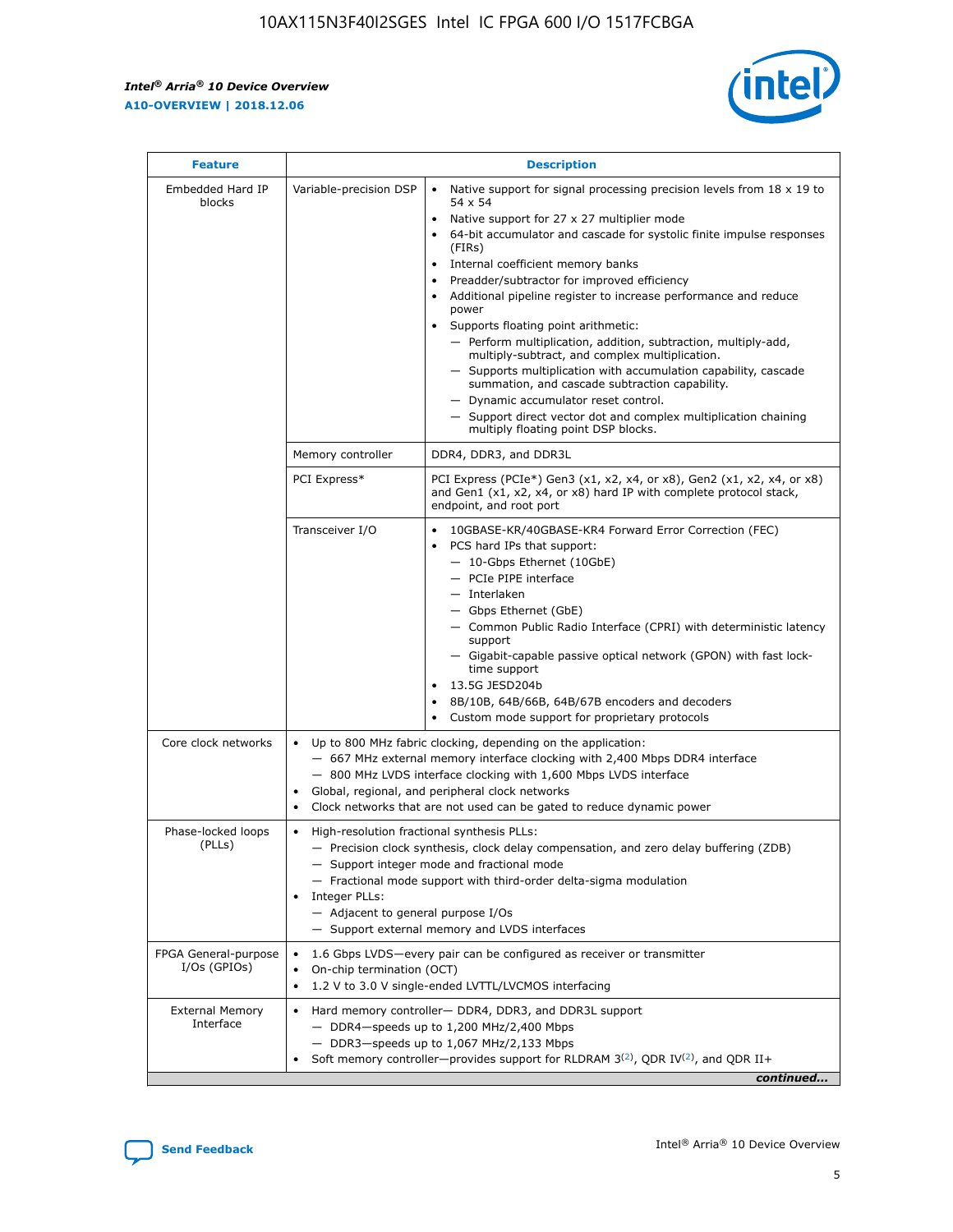r



| <b>Feature</b>                         |                                                                                                                | <b>Description</b>                                                                                                                                                                                                                                                                                                                                                                                                                                                                                                                                                                                                                                                                                                                                                                                                                                               |
|----------------------------------------|----------------------------------------------------------------------------------------------------------------|------------------------------------------------------------------------------------------------------------------------------------------------------------------------------------------------------------------------------------------------------------------------------------------------------------------------------------------------------------------------------------------------------------------------------------------------------------------------------------------------------------------------------------------------------------------------------------------------------------------------------------------------------------------------------------------------------------------------------------------------------------------------------------------------------------------------------------------------------------------|
| Embedded Hard IP<br>blocks             | Variable-precision DSP                                                                                         | Native support for signal processing precision levels from $18 \times 19$ to<br>$\bullet$<br>54 x 54<br>Native support for 27 x 27 multiplier mode<br>$\bullet$<br>64-bit accumulator and cascade for systolic finite impulse responses<br>(FIRs)<br>Internal coefficient memory banks<br>$\bullet$<br>Preadder/subtractor for improved efficiency<br>Additional pipeline register to increase performance and reduce<br>power<br>Supports floating point arithmetic:<br>- Perform multiplication, addition, subtraction, multiply-add,<br>multiply-subtract, and complex multiplication.<br>- Supports multiplication with accumulation capability, cascade<br>summation, and cascade subtraction capability.<br>- Dynamic accumulator reset control.<br>- Support direct vector dot and complex multiplication chaining<br>multiply floating point DSP blocks. |
|                                        | Memory controller                                                                                              | DDR4, DDR3, and DDR3L                                                                                                                                                                                                                                                                                                                                                                                                                                                                                                                                                                                                                                                                                                                                                                                                                                            |
|                                        | PCI Express*                                                                                                   | PCI Express (PCIe*) Gen3 (x1, x2, x4, or x8), Gen2 (x1, x2, x4, or x8)<br>and Gen1 (x1, x2, x4, or x8) hard IP with complete protocol stack,<br>endpoint, and root port                                                                                                                                                                                                                                                                                                                                                                                                                                                                                                                                                                                                                                                                                          |
|                                        | Transceiver I/O                                                                                                | 10GBASE-KR/40GBASE-KR4 Forward Error Correction (FEC)<br>PCS hard IPs that support:<br>- 10-Gbps Ethernet (10GbE)<br>- PCIe PIPE interface<br>- Interlaken<br>- Gbps Ethernet (GbE)<br>- Common Public Radio Interface (CPRI) with deterministic latency<br>support<br>- Gigabit-capable passive optical network (GPON) with fast lock-<br>time support<br>13.5G JESD204b<br>$\bullet$<br>8B/10B, 64B/66B, 64B/67B encoders and decoders<br>Custom mode support for proprietary protocols                                                                                                                                                                                                                                                                                                                                                                        |
| Core clock networks                    | $\bullet$                                                                                                      | Up to 800 MHz fabric clocking, depending on the application:<br>- 667 MHz external memory interface clocking with 2,400 Mbps DDR4 interface<br>- 800 MHz LVDS interface clocking with 1,600 Mbps LVDS interface<br>Global, regional, and peripheral clock networks<br>Clock networks that are not used can be gated to reduce dynamic power                                                                                                                                                                                                                                                                                                                                                                                                                                                                                                                      |
| Phase-locked loops<br>(PLLs)           | High-resolution fractional synthesis PLLs:<br>$\bullet$<br>Integer PLLs:<br>- Adjacent to general purpose I/Os | - Precision clock synthesis, clock delay compensation, and zero delay buffering (ZDB)<br>- Support integer mode and fractional mode<br>- Fractional mode support with third-order delta-sigma modulation<br>- Support external memory and LVDS interfaces                                                                                                                                                                                                                                                                                                                                                                                                                                                                                                                                                                                                        |
| FPGA General-purpose<br>$I/Os$ (GPIOs) | On-chip termination (OCT)<br>٠<br>$\bullet$                                                                    | 1.6 Gbps LVDS-every pair can be configured as receiver or transmitter<br>1.2 V to 3.0 V single-ended LVTTL/LVCMOS interfacing                                                                                                                                                                                                                                                                                                                                                                                                                                                                                                                                                                                                                                                                                                                                    |
| <b>External Memory</b><br>Interface    | $\bullet$                                                                                                      | Hard memory controller- DDR4, DDR3, and DDR3L support<br>$-$ DDR4-speeds up to 1,200 MHz/2,400 Mbps<br>- DDR3-speeds up to 1,067 MHz/2,133 Mbps<br>Soft memory controller—provides support for RLDRAM $3^{(2)}$ , QDR IV $^{(2)}$ , and QDR II+<br>continued                                                                                                                                                                                                                                                                                                                                                                                                                                                                                                                                                                                                     |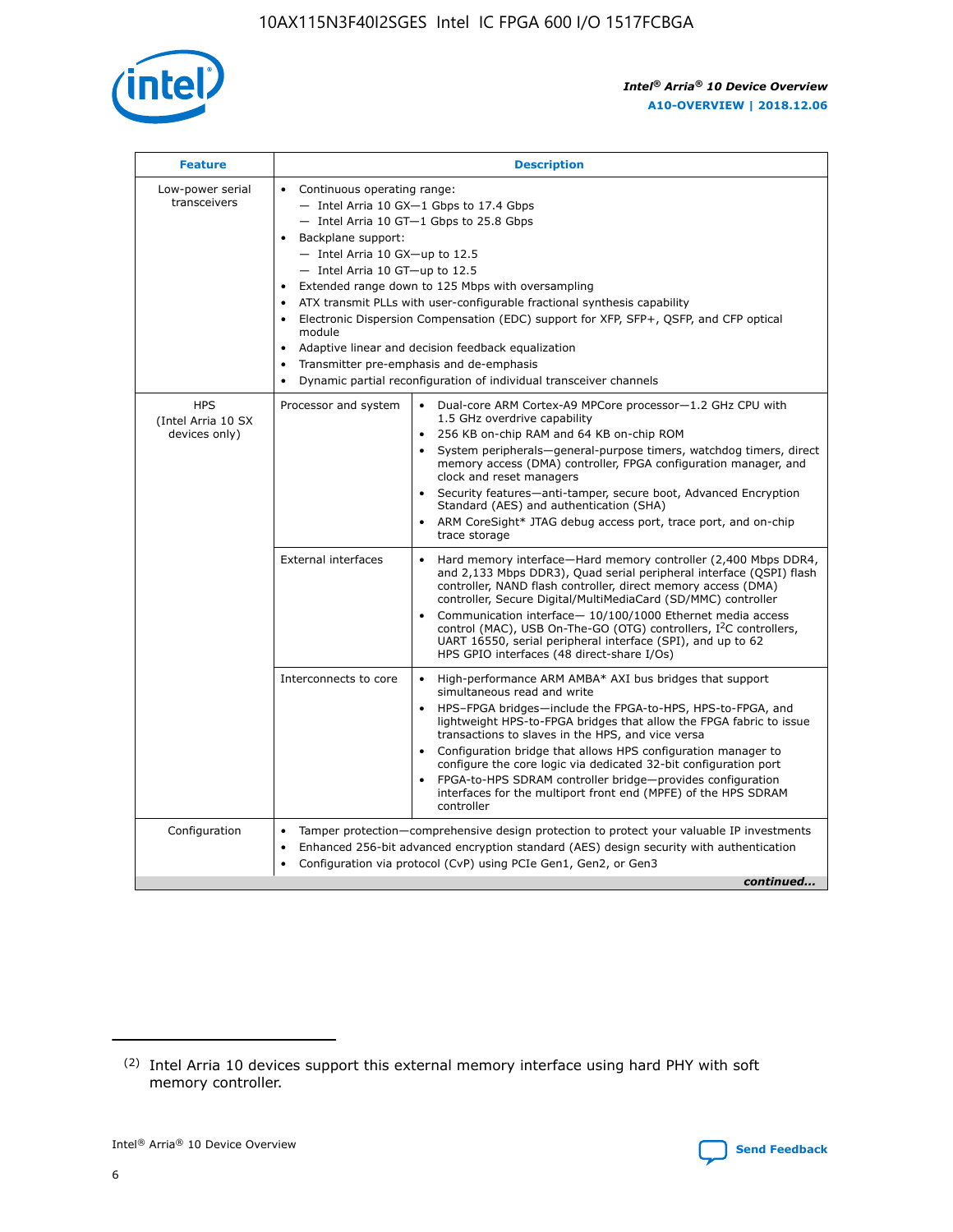

| <b>Feature</b>                                    | <b>Description</b>                                                                                                                                                                                                                                                                                                                                                                                                                                                                                                                                                                                                                                                        |
|---------------------------------------------------|---------------------------------------------------------------------------------------------------------------------------------------------------------------------------------------------------------------------------------------------------------------------------------------------------------------------------------------------------------------------------------------------------------------------------------------------------------------------------------------------------------------------------------------------------------------------------------------------------------------------------------------------------------------------------|
| Low-power serial<br>transceivers                  | • Continuous operating range:<br>- Intel Arria 10 GX-1 Gbps to 17.4 Gbps<br>$-$ Intel Arria 10 GT $-1$ Gbps to 25.8 Gbps<br>Backplane support:<br>$\bullet$<br>$-$ Intel Arria 10 GX-up to 12.5<br>$-$ Intel Arria 10 GT-up to 12.5<br>Extended range down to 125 Mbps with oversampling<br>ATX transmit PLLs with user-configurable fractional synthesis capability<br>Electronic Dispersion Compensation (EDC) support for XFP, SFP+, OSFP, and CFP optical<br>module<br>Adaptive linear and decision feedback equalization<br>$\bullet$<br>Transmitter pre-emphasis and de-emphasis<br>$\bullet$<br>Dynamic partial reconfiguration of individual transceiver channels |
| <b>HPS</b><br>(Intel Arria 10 SX<br>devices only) | Dual-core ARM Cortex-A9 MPCore processor-1.2 GHz CPU with<br>Processor and system<br>$\bullet$<br>1.5 GHz overdrive capability<br>256 KB on-chip RAM and 64 KB on-chip ROM<br>System peripherals-general-purpose timers, watchdog timers, direct<br>memory access (DMA) controller, FPGA configuration manager, and<br>clock and reset managers<br>• Security features—anti-tamper, secure boot, Advanced Encryption<br>Standard (AES) and authentication (SHA)<br>ARM CoreSight* JTAG debug access port, trace port, and on-chip<br>$\bullet$<br>trace storage                                                                                                           |
|                                                   | <b>External interfaces</b><br>Hard memory interface—Hard memory controller (2,400 Mbps DDR4,<br>and 2,133 Mbps DDR3), Quad serial peripheral interface (QSPI) flash<br>controller, NAND flash controller, direct memory access (DMA)<br>controller, Secure Digital/MultiMediaCard (SD/MMC) controller<br>Communication interface-10/100/1000 Ethernet media access<br>$\bullet$<br>control (MAC), USB On-The-GO (OTG) controllers, I <sup>2</sup> C controllers,<br>UART 16550, serial peripheral interface (SPI), and up to 62<br>HPS GPIO interfaces (48 direct-share I/Os)                                                                                             |
|                                                   | Interconnects to core<br>• High-performance ARM AMBA* AXI bus bridges that support<br>simultaneous read and write<br>HPS-FPGA bridges-include the FPGA-to-HPS, HPS-to-FPGA, and<br>$\bullet$<br>lightweight HPS-to-FPGA bridges that allow the FPGA fabric to issue<br>transactions to slaves in the HPS, and vice versa<br>Configuration bridge that allows HPS configuration manager to<br>configure the core logic via dedicated 32-bit configuration port<br>FPGA-to-HPS SDRAM controller bridge-provides configuration<br>interfaces for the multiport front end (MPFE) of the HPS SDRAM<br>controller                                                               |
| Configuration                                     | Tamper protection—comprehensive design protection to protect your valuable IP investments<br>Enhanced 256-bit advanced encryption standard (AES) design security with authentication<br>$\bullet$<br>Configuration via protocol (CvP) using PCIe Gen1, Gen2, or Gen3<br>continued                                                                                                                                                                                                                                                                                                                                                                                         |

<sup>(2)</sup> Intel Arria 10 devices support this external memory interface using hard PHY with soft memory controller.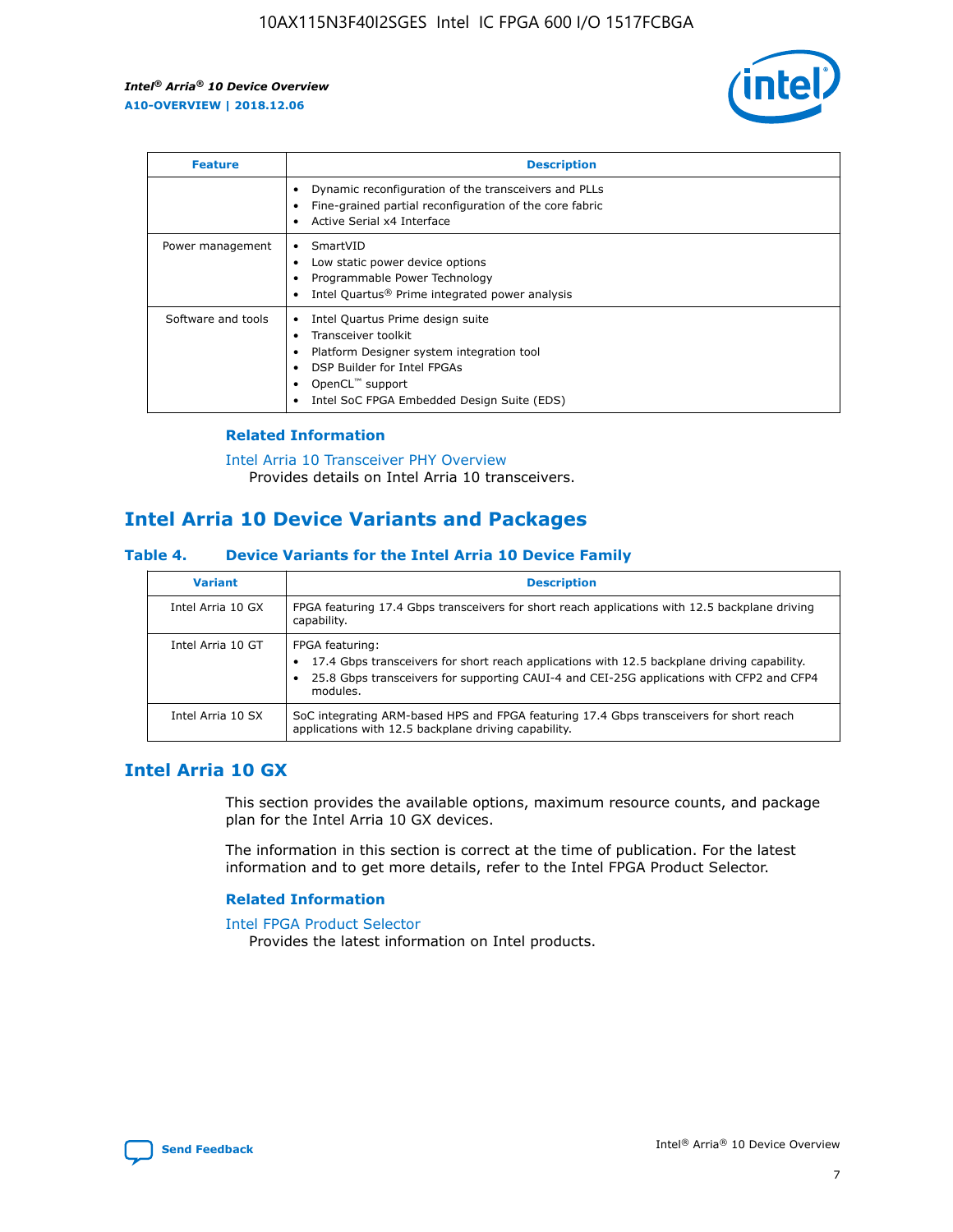

| <b>Feature</b>     | <b>Description</b>                                                                                                                                                                                               |
|--------------------|------------------------------------------------------------------------------------------------------------------------------------------------------------------------------------------------------------------|
|                    | Dynamic reconfiguration of the transceivers and PLLs<br>Fine-grained partial reconfiguration of the core fabric<br>Active Serial x4 Interface<br>$\bullet$                                                       |
| Power management   | SmartVID<br>Low static power device options<br>Programmable Power Technology<br>Intel Quartus <sup>®</sup> Prime integrated power analysis                                                                       |
| Software and tools | Intel Quartus Prime design suite<br>Transceiver toolkit<br>Platform Designer system integration tool<br>DSP Builder for Intel FPGAs<br>OpenCL <sup>™</sup> support<br>Intel SoC FPGA Embedded Design Suite (EDS) |

## **Related Information**

[Intel Arria 10 Transceiver PHY Overview](https://www.intel.com/content/www/us/en/programmable/documentation/nik1398707230472.html#nik1398706768037) Provides details on Intel Arria 10 transceivers.

# **Intel Arria 10 Device Variants and Packages**

#### **Table 4. Device Variants for the Intel Arria 10 Device Family**

| <b>Variant</b>    | <b>Description</b>                                                                                                                                                                                                     |
|-------------------|------------------------------------------------------------------------------------------------------------------------------------------------------------------------------------------------------------------------|
| Intel Arria 10 GX | FPGA featuring 17.4 Gbps transceivers for short reach applications with 12.5 backplane driving<br>capability.                                                                                                          |
| Intel Arria 10 GT | FPGA featuring:<br>17.4 Gbps transceivers for short reach applications with 12.5 backplane driving capability.<br>25.8 Gbps transceivers for supporting CAUI-4 and CEI-25G applications with CFP2 and CFP4<br>modules. |
| Intel Arria 10 SX | SoC integrating ARM-based HPS and FPGA featuring 17.4 Gbps transceivers for short reach<br>applications with 12.5 backplane driving capability.                                                                        |

# **Intel Arria 10 GX**

This section provides the available options, maximum resource counts, and package plan for the Intel Arria 10 GX devices.

The information in this section is correct at the time of publication. For the latest information and to get more details, refer to the Intel FPGA Product Selector.

#### **Related Information**

#### [Intel FPGA Product Selector](http://www.altera.com/products/selector/psg-selector.html) Provides the latest information on Intel products.

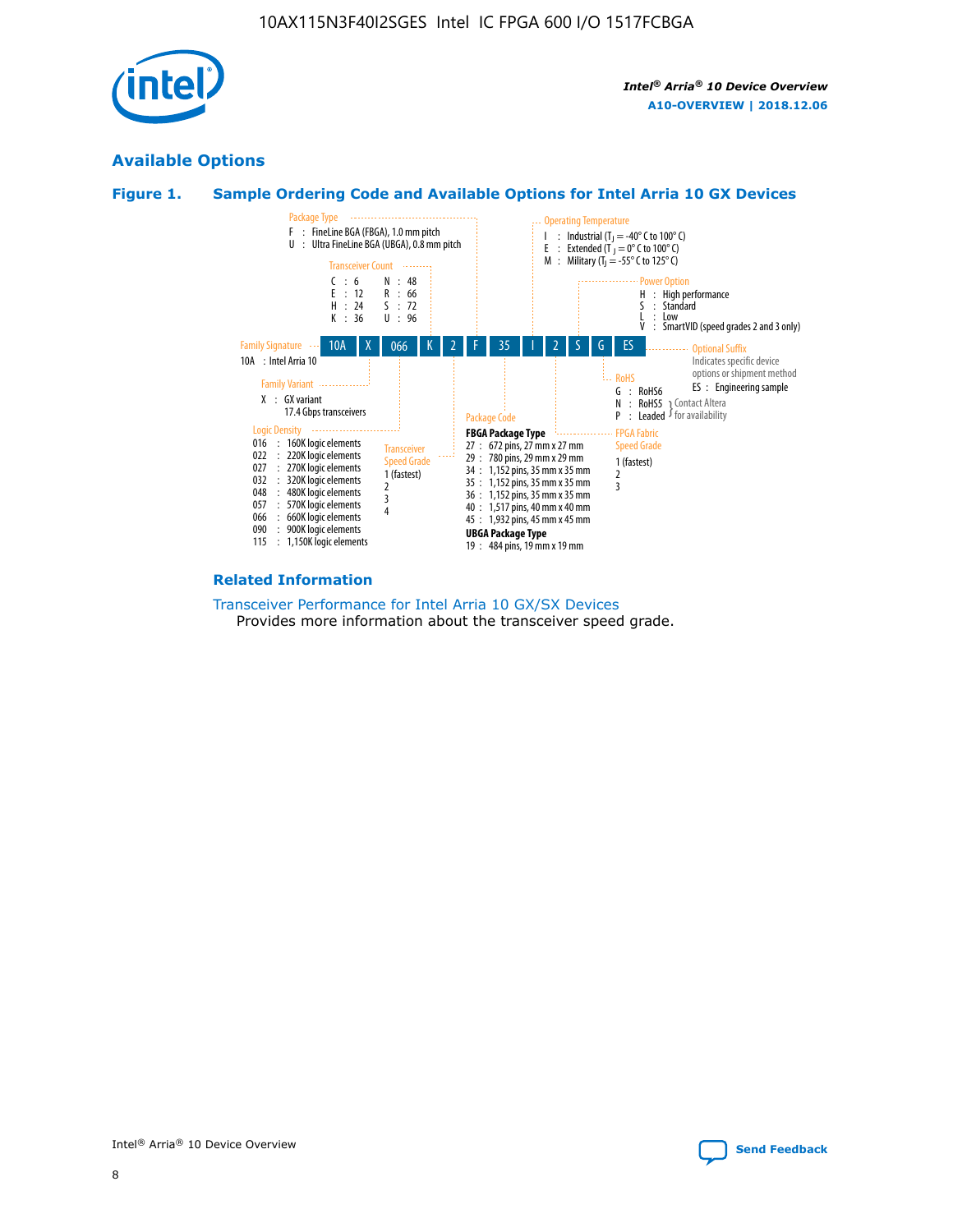

# **Available Options**





#### **Related Information**

[Transceiver Performance for Intel Arria 10 GX/SX Devices](https://www.intel.com/content/www/us/en/programmable/documentation/mcn1413182292568.html#mcn1413213965502) Provides more information about the transceiver speed grade.

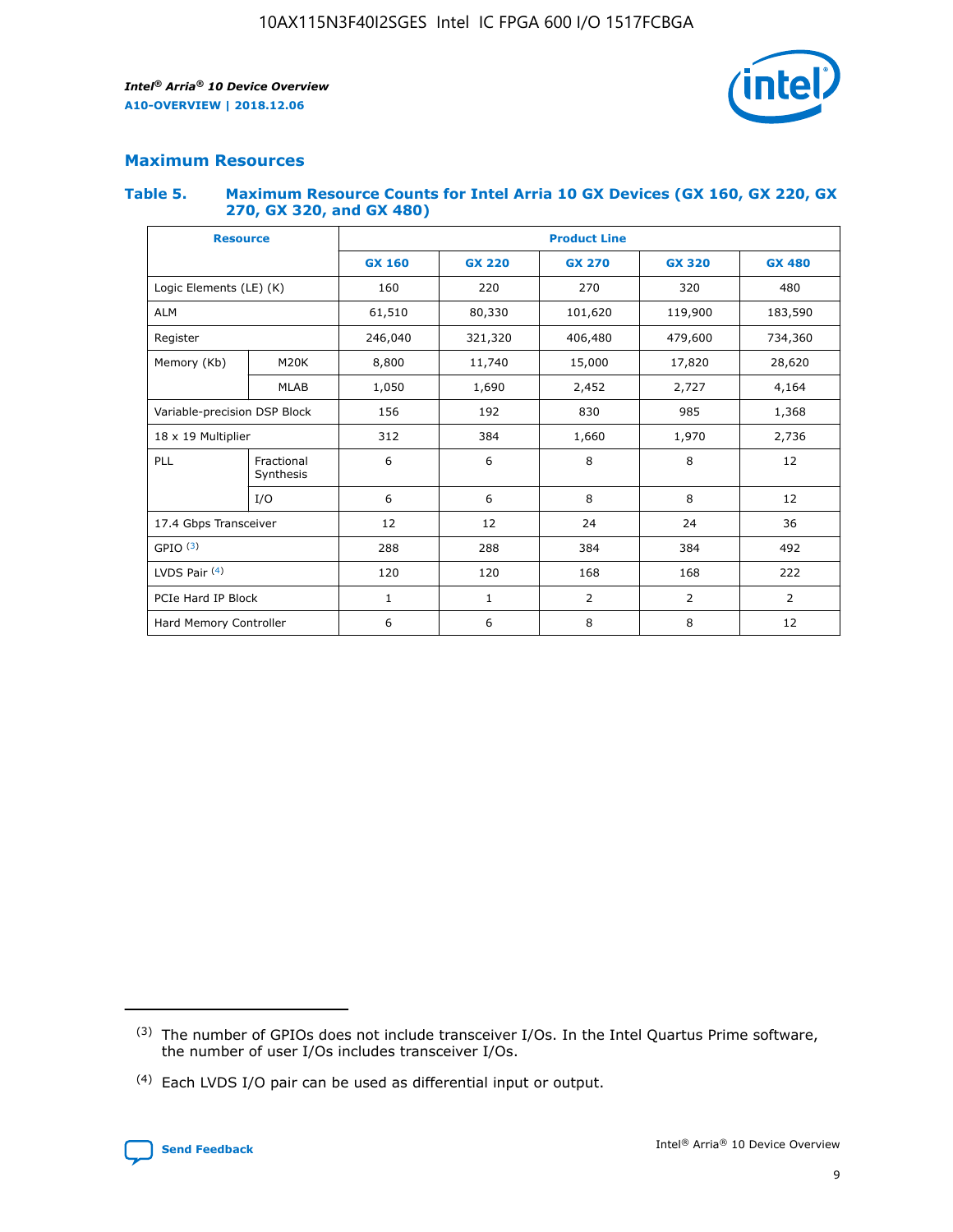

# **Maximum Resources**

#### **Table 5. Maximum Resource Counts for Intel Arria 10 GX Devices (GX 160, GX 220, GX 270, GX 320, and GX 480)**

| <b>Resource</b>              |                         | <b>Product Line</b> |                                                 |                    |                |                |  |  |  |
|------------------------------|-------------------------|---------------------|-------------------------------------------------|--------------------|----------------|----------------|--|--|--|
|                              |                         | <b>GX 160</b>       | <b>GX 220</b><br><b>GX 270</b><br><b>GX 320</b> |                    |                | <b>GX 480</b>  |  |  |  |
| Logic Elements (LE) (K)      |                         | 160                 | 220                                             | 270                | 320            | 480            |  |  |  |
| <b>ALM</b>                   |                         | 61,510              | 80,330                                          | 101,620            | 119,900        | 183,590        |  |  |  |
| Register                     |                         | 246,040             | 321,320                                         | 406,480<br>479,600 |                | 734,360        |  |  |  |
| Memory (Kb)                  | M <sub>20</sub> K       | 8,800               | 11,740                                          | 15,000<br>17,820   |                | 28,620         |  |  |  |
| <b>MLAB</b>                  |                         | 1,050               | 1,690                                           | 2,452              | 2,727          | 4,164          |  |  |  |
| Variable-precision DSP Block |                         | 156                 | 985<br>192<br>830                               |                    |                | 1,368          |  |  |  |
| 18 x 19 Multiplier           |                         | 312                 | 384                                             | 1,660<br>1,970     |                | 2,736          |  |  |  |
| PLL                          | Fractional<br>Synthesis | 6                   | 6                                               | 8                  | 8              | 12             |  |  |  |
|                              | I/O                     | 6                   | 6                                               | 8                  | 8              | 12             |  |  |  |
| 17.4 Gbps Transceiver        |                         | 12                  | 12                                              | 24                 | 24             |                |  |  |  |
| GPIO <sup>(3)</sup>          |                         | 288                 | 288                                             | 384<br>384         |                | 492            |  |  |  |
| LVDS Pair $(4)$              |                         | 120                 | 120                                             | 168                | 168            | 222            |  |  |  |
| PCIe Hard IP Block           |                         | $\mathbf{1}$        | 1                                               | $\overline{2}$     | $\overline{2}$ | $\overline{2}$ |  |  |  |
| Hard Memory Controller       |                         | 6                   | 6                                               | 8                  | 8              | 12             |  |  |  |

<sup>(4)</sup> Each LVDS I/O pair can be used as differential input or output.



<sup>(3)</sup> The number of GPIOs does not include transceiver I/Os. In the Intel Quartus Prime software, the number of user I/Os includes transceiver I/Os.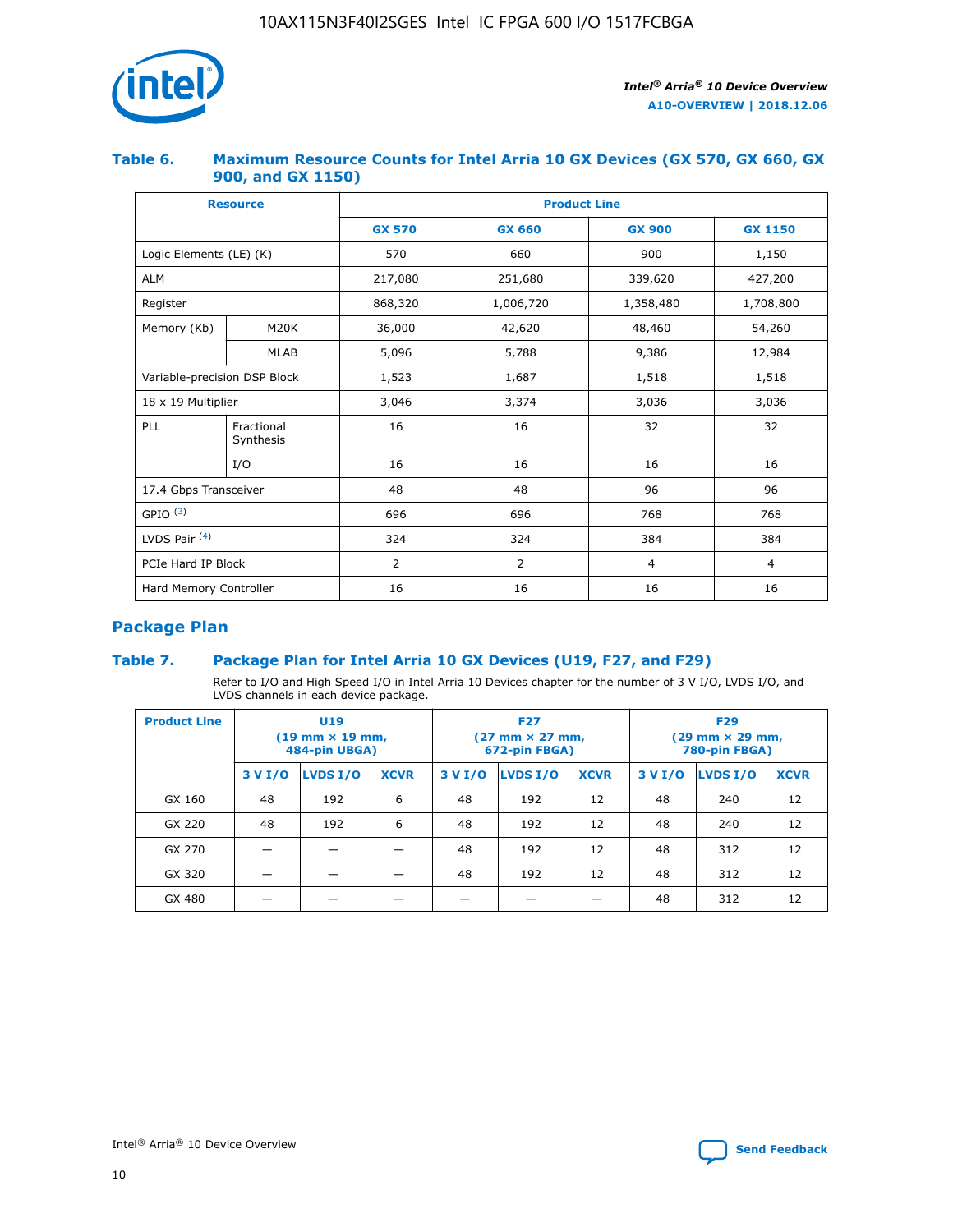

## **Table 6. Maximum Resource Counts for Intel Arria 10 GX Devices (GX 570, GX 660, GX 900, and GX 1150)**

|                              | <b>Resource</b>         | <b>Product Line</b> |                |                |                |  |  |  |
|------------------------------|-------------------------|---------------------|----------------|----------------|----------------|--|--|--|
|                              |                         | <b>GX 570</b>       | <b>GX 660</b>  | <b>GX 900</b>  | <b>GX 1150</b> |  |  |  |
| Logic Elements (LE) (K)      |                         | 570                 | 660            | 900            | 1,150          |  |  |  |
| <b>ALM</b>                   |                         | 217,080             | 251,680        | 339,620        | 427,200        |  |  |  |
| Register                     |                         | 868,320             | 1,006,720      | 1,358,480      | 1,708,800      |  |  |  |
| Memory (Kb)                  | <b>M20K</b>             | 36,000              | 42,620         | 48,460         | 54,260         |  |  |  |
|                              | <b>MLAB</b>             | 5,096               | 5,788          | 9,386          | 12,984         |  |  |  |
| Variable-precision DSP Block |                         | 1,523               | 1,687          | 1,518          | 1,518          |  |  |  |
|                              | 18 x 19 Multiplier      |                     | 3,374          | 3,036          | 3,036          |  |  |  |
| PLL                          | Fractional<br>Synthesis | 16                  | 16             | 32             | 32             |  |  |  |
|                              | I/O                     | 16                  | 16             | 16             | 16             |  |  |  |
| 17.4 Gbps Transceiver        |                         | 48                  | 48             | 96             | 96             |  |  |  |
| GPIO <sup>(3)</sup>          |                         | 696                 | 696            | 768            | 768            |  |  |  |
| LVDS Pair $(4)$              |                         | 324                 | 324            | 384            | 384            |  |  |  |
| PCIe Hard IP Block           |                         | 2                   | $\overline{2}$ | $\overline{4}$ | $\overline{4}$ |  |  |  |
| Hard Memory Controller       |                         | 16                  | 16             | 16             | 16             |  |  |  |

# **Package Plan**

# **Table 7. Package Plan for Intel Arria 10 GX Devices (U19, F27, and F29)**

Refer to I/O and High Speed I/O in Intel Arria 10 Devices chapter for the number of 3 V I/O, LVDS I/O, and LVDS channels in each device package.

| <b>Product Line</b> | U <sub>19</sub><br>$(19 \text{ mm} \times 19 \text{ mm})$<br>484-pin UBGA) |          |             |         | <b>F27</b><br>(27 mm × 27 mm,<br>672-pin FBGA) |             | <b>F29</b><br>(29 mm × 29 mm,<br>780-pin FBGA) |          |             |  |
|---------------------|----------------------------------------------------------------------------|----------|-------------|---------|------------------------------------------------|-------------|------------------------------------------------|----------|-------------|--|
|                     | 3 V I/O                                                                    | LVDS I/O | <b>XCVR</b> | 3 V I/O | <b>LVDS I/O</b>                                | <b>XCVR</b> | 3 V I/O                                        | LVDS I/O | <b>XCVR</b> |  |
| GX 160              | 48                                                                         | 192      | 6           | 48      | 192                                            | 12          | 48                                             | 240      | 12          |  |
| GX 220              | 48                                                                         | 192      | 6           | 48      | 192                                            | 12          | 48                                             | 240      | 12          |  |
| GX 270              |                                                                            |          |             | 48      | 192                                            | 12          | 48                                             | 312      | 12          |  |
| GX 320              |                                                                            |          |             | 48      | 192                                            | 12          | 48                                             | 312      | 12          |  |
| GX 480              |                                                                            |          |             |         |                                                |             | 48                                             | 312      | 12          |  |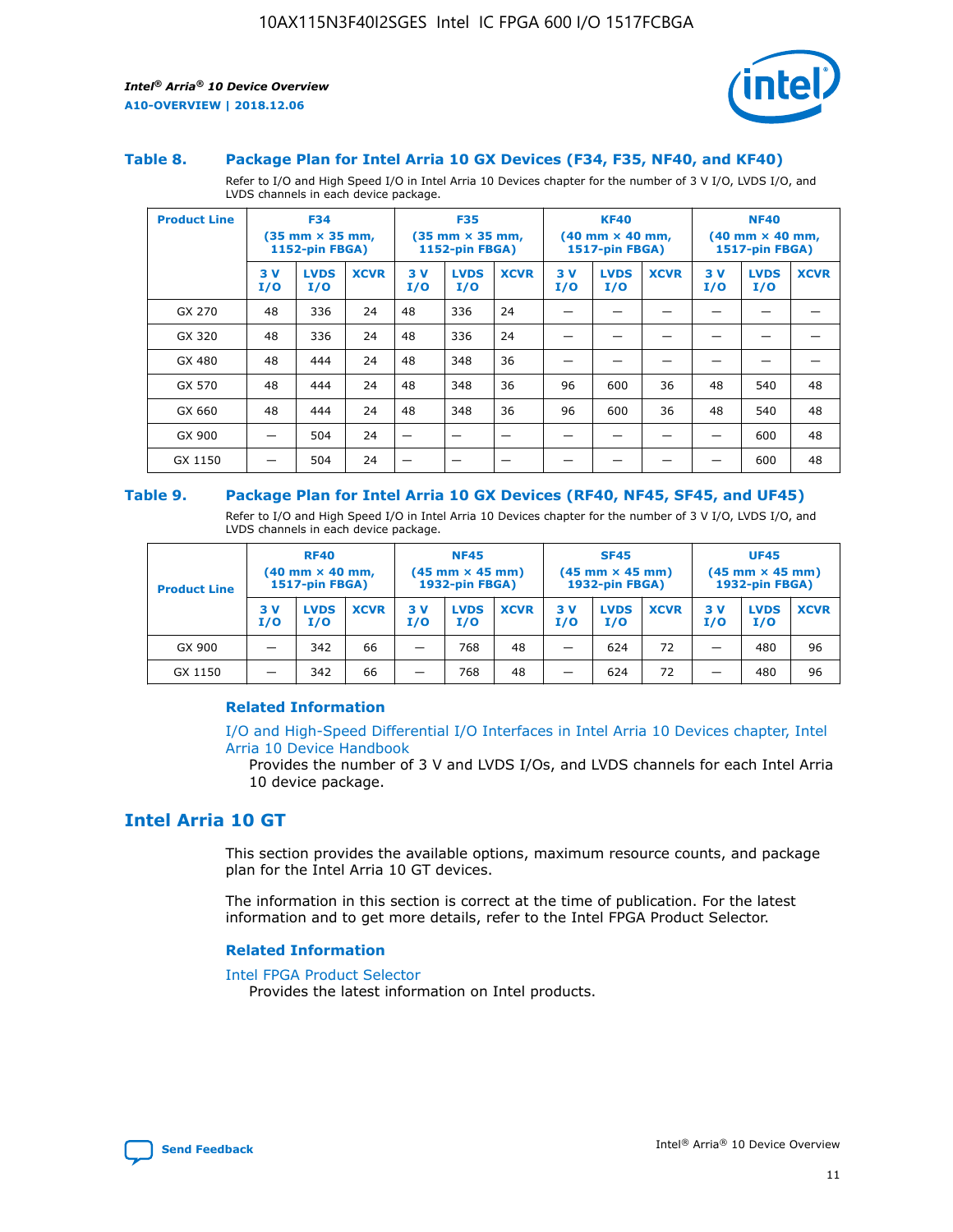

#### **Table 8. Package Plan for Intel Arria 10 GX Devices (F34, F35, NF40, and KF40)**

Refer to I/O and High Speed I/O in Intel Arria 10 Devices chapter for the number of 3 V I/O, LVDS I/O, and LVDS channels in each device package.

| <b>Product Line</b> | <b>F34</b><br>$(35 \text{ mm} \times 35 \text{ mm})$<br>1152-pin FBGA) |                    | <b>F35</b><br>$(35$ mm $\times$ 35 mm,<br><b>1152-pin FBGA)</b> |           | <b>KF40</b><br>$(40 \text{ mm} \times 40 \text{ mm})$<br>1517-pin FBGA) |             |           | <b>NF40</b><br>$(40 \text{ mm} \times 40 \text{ mm})$<br><b>1517-pin FBGA)</b> |             |            |                    |             |
|---------------------|------------------------------------------------------------------------|--------------------|-----------------------------------------------------------------|-----------|-------------------------------------------------------------------------|-------------|-----------|--------------------------------------------------------------------------------|-------------|------------|--------------------|-------------|
|                     | 3V<br>I/O                                                              | <b>LVDS</b><br>I/O | <b>XCVR</b>                                                     | 3V<br>I/O | <b>LVDS</b><br>I/O                                                      | <b>XCVR</b> | 3V<br>I/O | <b>LVDS</b><br>I/O                                                             | <b>XCVR</b> | 3 V<br>I/O | <b>LVDS</b><br>I/O | <b>XCVR</b> |
| GX 270              | 48                                                                     | 336                | 24                                                              | 48        | 336                                                                     | 24          |           |                                                                                |             |            |                    |             |
| GX 320              | 48                                                                     | 336                | 24                                                              | 48        | 336                                                                     | 24          |           |                                                                                |             |            |                    |             |
| GX 480              | 48                                                                     | 444                | 24                                                              | 48        | 348                                                                     | 36          |           |                                                                                |             |            |                    |             |
| GX 570              | 48                                                                     | 444                | 24                                                              | 48        | 348                                                                     | 36          | 96        | 600                                                                            | 36          | 48         | 540                | 48          |
| GX 660              | 48                                                                     | 444                | 24                                                              | 48        | 348                                                                     | 36          | 96        | 600                                                                            | 36          | 48         | 540                | 48          |
| GX 900              |                                                                        | 504                | 24                                                              | –         |                                                                         |             |           |                                                                                |             |            | 600                | 48          |
| GX 1150             |                                                                        | 504                | 24                                                              |           |                                                                         |             |           |                                                                                |             |            | 600                | 48          |

#### **Table 9. Package Plan for Intel Arria 10 GX Devices (RF40, NF45, SF45, and UF45)**

Refer to I/O and High Speed I/O in Intel Arria 10 Devices chapter for the number of 3 V I/O, LVDS I/O, and LVDS channels in each device package.

| <b>Product Line</b> | <b>RF40</b><br>$(40 \text{ mm} \times 40 \text{ mm})$<br>1517-pin FBGA) |                    |             | <b>NF45</b><br>$(45 \text{ mm} \times 45 \text{ mm})$<br><b>1932-pin FBGA)</b> |                    |             | <b>SF45</b><br>$(45 \text{ mm} \times 45 \text{ mm})$<br><b>1932-pin FBGA)</b> |                    |             | <b>UF45</b><br>$(45 \text{ mm} \times 45 \text{ mm})$<br><b>1932-pin FBGA)</b> |                    |             |
|---------------------|-------------------------------------------------------------------------|--------------------|-------------|--------------------------------------------------------------------------------|--------------------|-------------|--------------------------------------------------------------------------------|--------------------|-------------|--------------------------------------------------------------------------------|--------------------|-------------|
|                     | 3V<br>I/O                                                               | <b>LVDS</b><br>I/O | <b>XCVR</b> | 3V<br>I/O                                                                      | <b>LVDS</b><br>I/O | <b>XCVR</b> | 3V<br>I/O                                                                      | <b>LVDS</b><br>I/O | <b>XCVR</b> | 3V<br>I/O                                                                      | <b>LVDS</b><br>I/O | <b>XCVR</b> |
| GX 900              |                                                                         | 342                | 66          | -                                                                              | 768                | 48          | _                                                                              | 624                | 72          |                                                                                | 480                | 96          |
| GX 1150             |                                                                         | 342                | 66          | -                                                                              | 768                | 48          | -                                                                              | 624                | 72          |                                                                                | 480                | 96          |

#### **Related Information**

[I/O and High-Speed Differential I/O Interfaces in Intel Arria 10 Devices chapter, Intel](https://www.intel.com/content/www/us/en/programmable/documentation/sam1403482614086.html#sam1403482030321) [Arria 10 Device Handbook](https://www.intel.com/content/www/us/en/programmable/documentation/sam1403482614086.html#sam1403482030321)

Provides the number of 3 V and LVDS I/Os, and LVDS channels for each Intel Arria 10 device package.

# **Intel Arria 10 GT**

This section provides the available options, maximum resource counts, and package plan for the Intel Arria 10 GT devices.

The information in this section is correct at the time of publication. For the latest information and to get more details, refer to the Intel FPGA Product Selector.

#### **Related Information**

#### [Intel FPGA Product Selector](http://www.altera.com/products/selector/psg-selector.html)

Provides the latest information on Intel products.

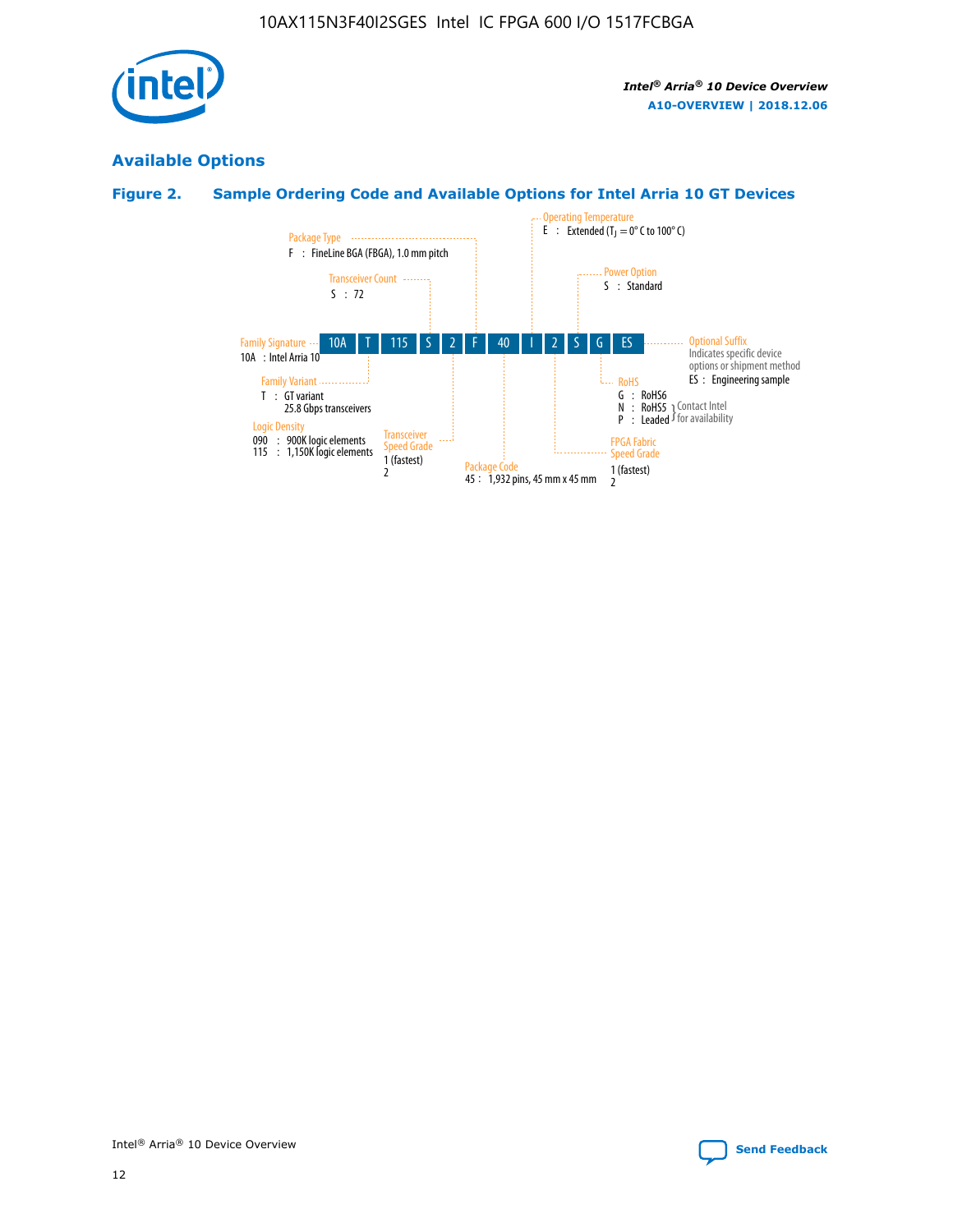

# **Available Options**

# **Figure 2. Sample Ordering Code and Available Options for Intel Arria 10 GT Devices**

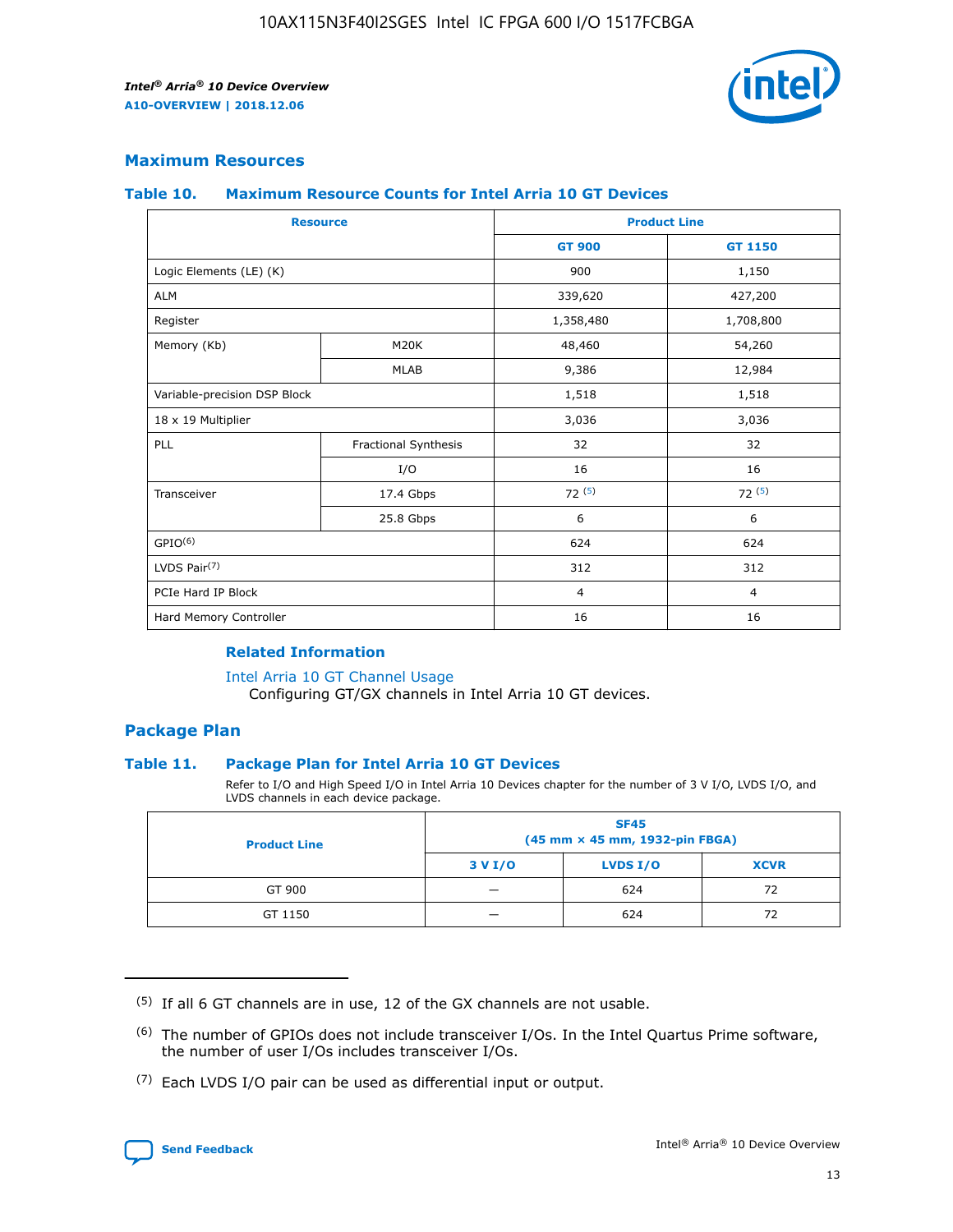

## **Maximum Resources**

#### **Table 10. Maximum Resource Counts for Intel Arria 10 GT Devices**

| <b>Resource</b>              |                      |                | <b>Product Line</b> |  |
|------------------------------|----------------------|----------------|---------------------|--|
|                              |                      | <b>GT 900</b>  | <b>GT 1150</b>      |  |
| Logic Elements (LE) (K)      |                      | 900            | 1,150               |  |
| <b>ALM</b>                   |                      | 339,620        | 427,200             |  |
| Register                     |                      | 1,358,480      | 1,708,800           |  |
| Memory (Kb)                  | M20K                 | 48,460         | 54,260              |  |
|                              | <b>MLAB</b>          | 9,386          | 12,984              |  |
| Variable-precision DSP Block |                      | 1,518          | 1,518               |  |
| 18 x 19 Multiplier           |                      | 3,036          | 3,036               |  |
| <b>PLL</b>                   | Fractional Synthesis | 32             | 32                  |  |
|                              | I/O                  | 16             | 16                  |  |
| Transceiver                  | 17.4 Gbps            | 72(5)          | 72(5)               |  |
|                              | 25.8 Gbps            | 6              | 6                   |  |
| GPIO <sup>(6)</sup>          |                      | 624            | 624                 |  |
| LVDS Pair $(7)$              |                      | 312            | 312                 |  |
| PCIe Hard IP Block           |                      | $\overline{4}$ | $\overline{4}$      |  |
| Hard Memory Controller       |                      | 16             | 16                  |  |

#### **Related Information**

#### [Intel Arria 10 GT Channel Usage](https://www.intel.com/content/www/us/en/programmable/documentation/nik1398707230472.html#nik1398707008178)

Configuring GT/GX channels in Intel Arria 10 GT devices.

## **Package Plan**

#### **Table 11. Package Plan for Intel Arria 10 GT Devices**

Refer to I/O and High Speed I/O in Intel Arria 10 Devices chapter for the number of 3 V I/O, LVDS I/O, and LVDS channels in each device package.

| <b>Product Line</b> | <b>SF45</b><br>(45 mm × 45 mm, 1932-pin FBGA) |                 |             |  |  |  |
|---------------------|-----------------------------------------------|-----------------|-------------|--|--|--|
|                     | 3 V I/O                                       | <b>LVDS I/O</b> | <b>XCVR</b> |  |  |  |
| GT 900              |                                               | 624             | 72          |  |  |  |
| GT 1150             |                                               | 624             | 72          |  |  |  |

<sup>(7)</sup> Each LVDS I/O pair can be used as differential input or output.



 $(5)$  If all 6 GT channels are in use, 12 of the GX channels are not usable.

<sup>(6)</sup> The number of GPIOs does not include transceiver I/Os. In the Intel Quartus Prime software, the number of user I/Os includes transceiver I/Os.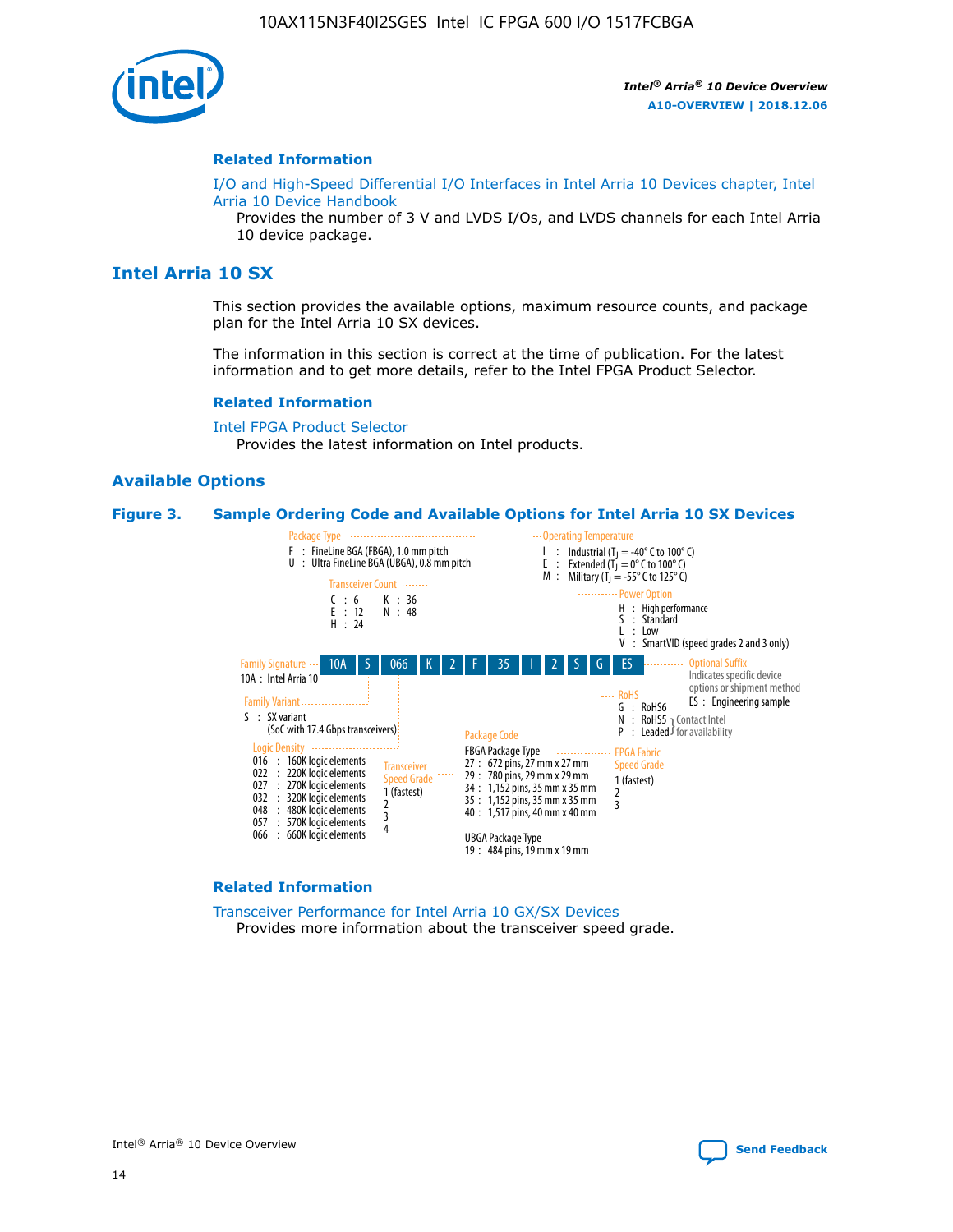

#### **Related Information**

[I/O and High-Speed Differential I/O Interfaces in Intel Arria 10 Devices chapter, Intel](https://www.intel.com/content/www/us/en/programmable/documentation/sam1403482614086.html#sam1403482030321) [Arria 10 Device Handbook](https://www.intel.com/content/www/us/en/programmable/documentation/sam1403482614086.html#sam1403482030321)

Provides the number of 3 V and LVDS I/Os, and LVDS channels for each Intel Arria 10 device package.

# **Intel Arria 10 SX**

This section provides the available options, maximum resource counts, and package plan for the Intel Arria 10 SX devices.

The information in this section is correct at the time of publication. For the latest information and to get more details, refer to the Intel FPGA Product Selector.

#### **Related Information**

[Intel FPGA Product Selector](http://www.altera.com/products/selector/psg-selector.html) Provides the latest information on Intel products.

## **Available Options**

#### **Figure 3. Sample Ordering Code and Available Options for Intel Arria 10 SX Devices**



#### **Related Information**

[Transceiver Performance for Intel Arria 10 GX/SX Devices](https://www.intel.com/content/www/us/en/programmable/documentation/mcn1413182292568.html#mcn1413213965502) Provides more information about the transceiver speed grade.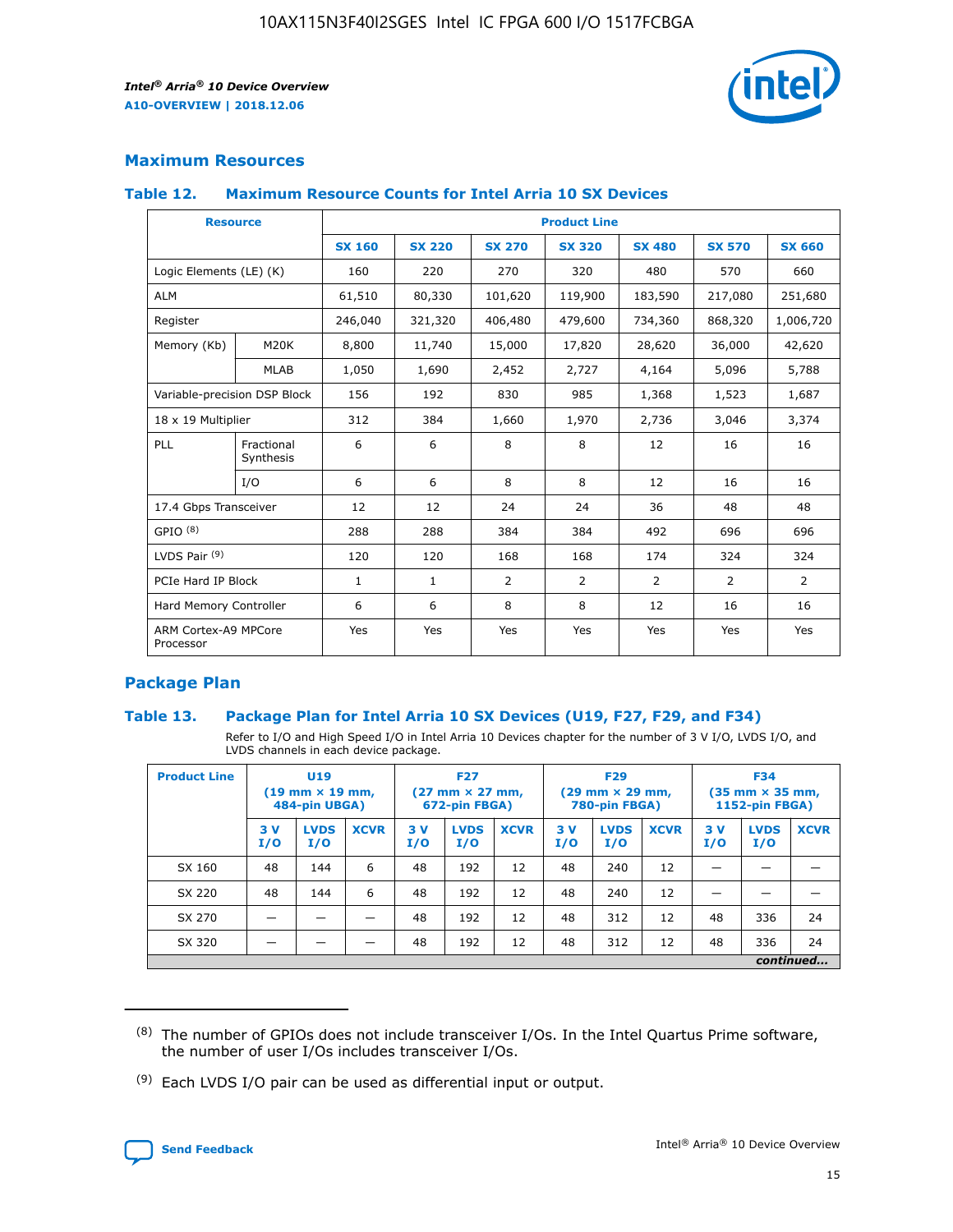

# **Maximum Resources**

#### **Table 12. Maximum Resource Counts for Intel Arria 10 SX Devices**

|                                   | <b>Resource</b>         | <b>Product Line</b> |               |                |                |                |                |                |  |  |  |
|-----------------------------------|-------------------------|---------------------|---------------|----------------|----------------|----------------|----------------|----------------|--|--|--|
|                                   |                         | <b>SX 160</b>       | <b>SX 220</b> | <b>SX 270</b>  | <b>SX 320</b>  | <b>SX 480</b>  | <b>SX 570</b>  | <b>SX 660</b>  |  |  |  |
| Logic Elements (LE) (K)           |                         | 160                 | 220           | 270            | 320            | 480            | 570            | 660            |  |  |  |
| <b>ALM</b>                        |                         | 61,510              | 80,330        | 101,620        | 119,900        | 183,590        | 217,080        | 251,680        |  |  |  |
| Register                          |                         | 246,040             | 321,320       | 406,480        | 479,600        | 734,360        | 868,320        | 1,006,720      |  |  |  |
| Memory (Kb)                       | M <sub>20</sub> K       | 8,800               | 11,740        | 15,000         | 17,820         | 28,620         | 36,000         | 42,620         |  |  |  |
|                                   | <b>MLAB</b>             | 1,050               | 1,690         | 2,452          | 2,727          | 4,164          | 5,096          | 5,788          |  |  |  |
| Variable-precision DSP Block      |                         | 156                 | 192           | 830            | 985            | 1,368          | 1,523          | 1,687          |  |  |  |
|                                   | 18 x 19 Multiplier      |                     | 384           | 1,660          | 1,970          | 2,736          | 3,046          | 3,374          |  |  |  |
| <b>PLL</b>                        | Fractional<br>Synthesis | 6                   | 6             | 8              | 8              | 12             | 16             | 16             |  |  |  |
|                                   | I/O                     | 6                   | 6             | 8              | 8              | 12             | 16             | 16             |  |  |  |
| 17.4 Gbps Transceiver             |                         | 12                  | 12            | 24             | 24             | 36             | 48             | 48             |  |  |  |
| GPIO <sup>(8)</sup>               |                         | 288                 | 288           | 384            | 384            | 492            | 696            | 696            |  |  |  |
| LVDS Pair $(9)$                   |                         | 120                 | 120           | 168            | 168            | 174            | 324            | 324            |  |  |  |
| PCIe Hard IP Block                |                         | $\mathbf{1}$        | $\mathbf{1}$  | $\overline{2}$ | $\overline{2}$ | $\overline{2}$ | $\overline{2}$ | $\overline{2}$ |  |  |  |
| Hard Memory Controller            |                         | 6                   | 6             | 8              | 8              | 12             | 16             | 16             |  |  |  |
| ARM Cortex-A9 MPCore<br>Processor |                         | Yes                 | Yes           | Yes            | Yes            | Yes            | Yes            | Yes            |  |  |  |

# **Package Plan**

#### **Table 13. Package Plan for Intel Arria 10 SX Devices (U19, F27, F29, and F34)**

Refer to I/O and High Speed I/O in Intel Arria 10 Devices chapter for the number of 3 V I/O, LVDS I/O, and LVDS channels in each device package.

| <b>Product Line</b> | <b>U19</b><br>$(19 \text{ mm} \times 19 \text{ mm})$<br>484-pin UBGA) |                    |             | <b>F27</b><br>$(27 \text{ mm} \times 27 \text{ mm})$<br>672-pin FBGA) |                    | <b>F29</b><br>$(29 \text{ mm} \times 29 \text{ mm})$<br>780-pin FBGA) |           |                    | <b>F34</b><br>$(35 \text{ mm} \times 35 \text{ mm})$<br><b>1152-pin FBGA)</b> |           |                    |             |
|---------------------|-----------------------------------------------------------------------|--------------------|-------------|-----------------------------------------------------------------------|--------------------|-----------------------------------------------------------------------|-----------|--------------------|-------------------------------------------------------------------------------|-----------|--------------------|-------------|
|                     | 3V<br>I/O                                                             | <b>LVDS</b><br>I/O | <b>XCVR</b> | 3V<br>I/O                                                             | <b>LVDS</b><br>I/O | <b>XCVR</b>                                                           | 3V<br>I/O | <b>LVDS</b><br>I/O | <b>XCVR</b>                                                                   | 3V<br>I/O | <b>LVDS</b><br>I/O | <b>XCVR</b> |
| SX 160              | 48                                                                    | 144                | 6           | 48                                                                    | 192                | 12                                                                    | 48        | 240                | 12                                                                            | -         |                    |             |
| SX 220              | 48                                                                    | 144                | 6           | 48                                                                    | 192                | 12                                                                    | 48        | 240                | 12                                                                            |           |                    |             |
| SX 270              |                                                                       |                    |             | 48                                                                    | 192                | 12                                                                    | 48        | 312                | 12                                                                            | 48        | 336                | 24          |
| SX 320              |                                                                       |                    |             | 48                                                                    | 192                | 12                                                                    | 48        | 312                | 12                                                                            | 48        | 336                | 24          |
|                     | continued                                                             |                    |             |                                                                       |                    |                                                                       |           |                    |                                                                               |           |                    |             |

 $(8)$  The number of GPIOs does not include transceiver I/Os. In the Intel Quartus Prime software, the number of user I/Os includes transceiver I/Os.

 $(9)$  Each LVDS I/O pair can be used as differential input or output.

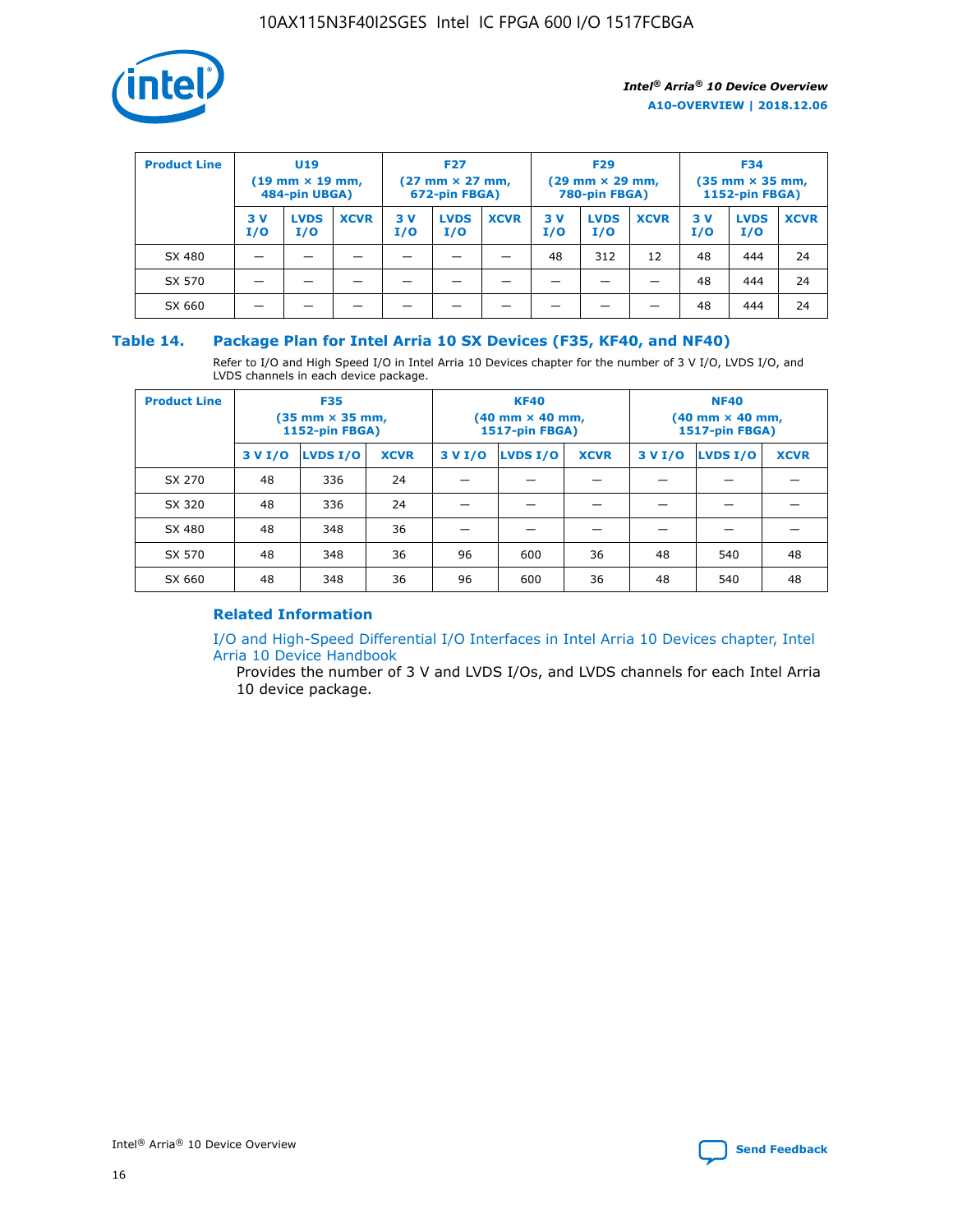

| <b>Product Line</b> | U <sub>19</sub><br>$(19 \text{ mm} \times 19 \text{ mm})$<br>484-pin UBGA) |                    | <b>F27</b><br>$(27 \text{ mm} \times 27 \text{ mm})$<br>672-pin FBGA) |           |                    | <b>F29</b><br>$(29 \text{ mm} \times 29 \text{ mm})$<br>780-pin FBGA) |           |                    | <b>F34</b><br>$(35$ mm $\times$ 35 mm,<br><b>1152-pin FBGA)</b> |           |                    |             |
|---------------------|----------------------------------------------------------------------------|--------------------|-----------------------------------------------------------------------|-----------|--------------------|-----------------------------------------------------------------------|-----------|--------------------|-----------------------------------------------------------------|-----------|--------------------|-------------|
|                     | 3V<br>I/O                                                                  | <b>LVDS</b><br>I/O | <b>XCVR</b>                                                           | 3V<br>I/O | <b>LVDS</b><br>I/O | <b>XCVR</b>                                                           | 3V<br>I/O | <b>LVDS</b><br>I/O | <b>XCVR</b>                                                     | 3V<br>I/O | <b>LVDS</b><br>I/O | <b>XCVR</b> |
| SX 480              |                                                                            |                    |                                                                       |           |                    |                                                                       | 48        | 312                | 12                                                              | 48        | 444                | 24          |
| SX 570              |                                                                            |                    |                                                                       |           |                    |                                                                       |           |                    |                                                                 | 48        | 444                | 24          |
| SX 660              |                                                                            |                    |                                                                       |           |                    |                                                                       |           |                    |                                                                 | 48        | 444                | 24          |

## **Table 14. Package Plan for Intel Arria 10 SX Devices (F35, KF40, and NF40)**

Refer to I/O and High Speed I/O in Intel Arria 10 Devices chapter for the number of 3 V I/O, LVDS I/O, and LVDS channels in each device package.

| <b>Product Line</b> | <b>F35</b><br>$(35 \text{ mm} \times 35 \text{ mm})$<br><b>1152-pin FBGA)</b> |          |             |                                           | <b>KF40</b><br>(40 mm × 40 mm,<br>1517-pin FBGA) |    | <b>NF40</b><br>$(40 \text{ mm} \times 40 \text{ mm})$<br>1517-pin FBGA) |          |             |  |
|---------------------|-------------------------------------------------------------------------------|----------|-------------|-------------------------------------------|--------------------------------------------------|----|-------------------------------------------------------------------------|----------|-------------|--|
|                     | 3 V I/O                                                                       | LVDS I/O | <b>XCVR</b> | <b>LVDS I/O</b><br><b>XCVR</b><br>3 V I/O |                                                  |    | 3 V I/O                                                                 | LVDS I/O | <b>XCVR</b> |  |
| SX 270              | 48                                                                            | 336      | 24          |                                           |                                                  |    |                                                                         |          |             |  |
| SX 320              | 48                                                                            | 336      | 24          |                                           |                                                  |    |                                                                         |          |             |  |
| SX 480              | 48                                                                            | 348      | 36          |                                           |                                                  |    |                                                                         |          |             |  |
| SX 570              | 48                                                                            | 348      | 36          | 96<br>36<br>600                           |                                                  |    | 48                                                                      | 540      | 48          |  |
| SX 660              | 48                                                                            | 348      | 36          | 96                                        | 600                                              | 36 | 48                                                                      | 540      | 48          |  |

# **Related Information**

[I/O and High-Speed Differential I/O Interfaces in Intel Arria 10 Devices chapter, Intel](https://www.intel.com/content/www/us/en/programmable/documentation/sam1403482614086.html#sam1403482030321) [Arria 10 Device Handbook](https://www.intel.com/content/www/us/en/programmable/documentation/sam1403482614086.html#sam1403482030321)

Provides the number of 3 V and LVDS I/Os, and LVDS channels for each Intel Arria 10 device package.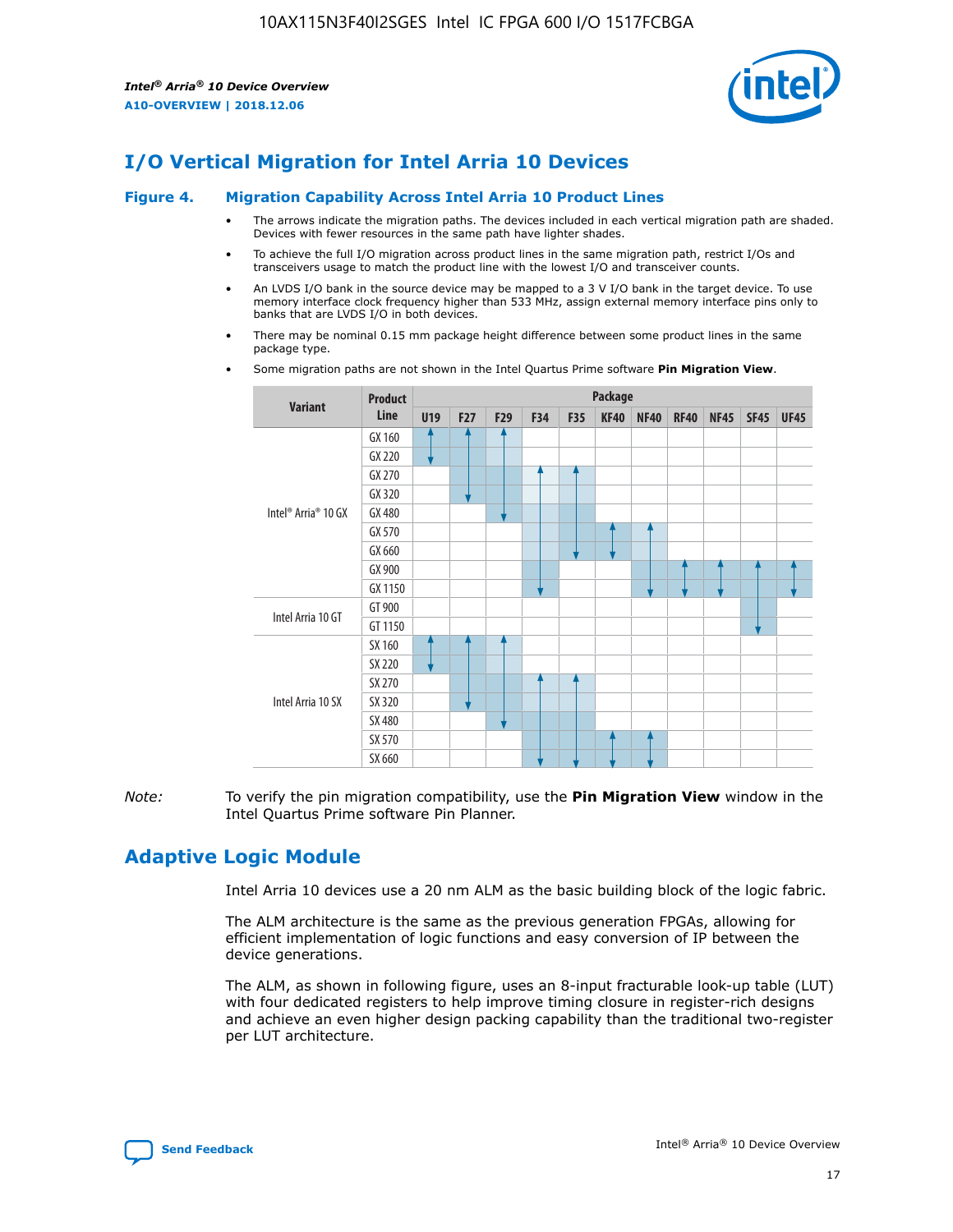

# **I/O Vertical Migration for Intel Arria 10 Devices**

#### **Figure 4. Migration Capability Across Intel Arria 10 Product Lines**

- The arrows indicate the migration paths. The devices included in each vertical migration path are shaded. Devices with fewer resources in the same path have lighter shades.
- To achieve the full I/O migration across product lines in the same migration path, restrict I/Os and transceivers usage to match the product line with the lowest I/O and transceiver counts.
- An LVDS I/O bank in the source device may be mapped to a 3 V I/O bank in the target device. To use memory interface clock frequency higher than 533 MHz, assign external memory interface pins only to banks that are LVDS I/O in both devices.
- There may be nominal 0.15 mm package height difference between some product lines in the same package type.
	- **Variant Product Line Package U19 F27 F29 F34 F35 KF40 NF40 RF40 NF45 SF45 UF45** Intel® Arria® 10 GX GX 160 GX 220 GX 270 GX 320 GX 480 GX 570 GX 660 GX 900 GX 1150 Intel Arria 10 GT GT 900 GT 1150 Intel Arria 10 SX SX 160 SX 220 SX 270 SX 320 SX 480 SX 570 SX 660
- Some migration paths are not shown in the Intel Quartus Prime software **Pin Migration View**.

*Note:* To verify the pin migration compatibility, use the **Pin Migration View** window in the Intel Quartus Prime software Pin Planner.

# **Adaptive Logic Module**

Intel Arria 10 devices use a 20 nm ALM as the basic building block of the logic fabric.

The ALM architecture is the same as the previous generation FPGAs, allowing for efficient implementation of logic functions and easy conversion of IP between the device generations.

The ALM, as shown in following figure, uses an 8-input fracturable look-up table (LUT) with four dedicated registers to help improve timing closure in register-rich designs and achieve an even higher design packing capability than the traditional two-register per LUT architecture.

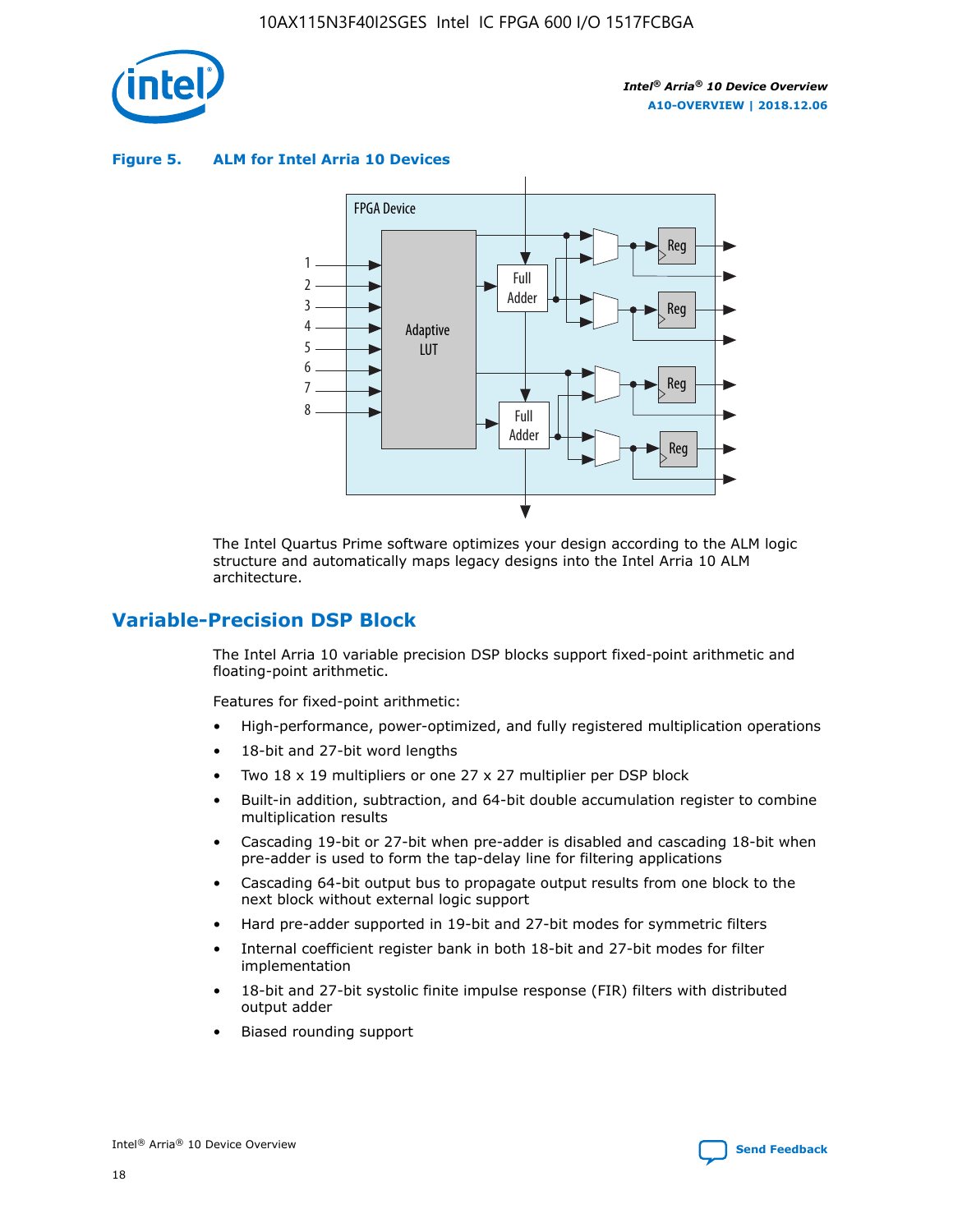

**Figure 5. ALM for Intel Arria 10 Devices**



The Intel Quartus Prime software optimizes your design according to the ALM logic structure and automatically maps legacy designs into the Intel Arria 10 ALM architecture.

# **Variable-Precision DSP Block**

The Intel Arria 10 variable precision DSP blocks support fixed-point arithmetic and floating-point arithmetic.

Features for fixed-point arithmetic:

- High-performance, power-optimized, and fully registered multiplication operations
- 18-bit and 27-bit word lengths
- Two 18 x 19 multipliers or one 27 x 27 multiplier per DSP block
- Built-in addition, subtraction, and 64-bit double accumulation register to combine multiplication results
- Cascading 19-bit or 27-bit when pre-adder is disabled and cascading 18-bit when pre-adder is used to form the tap-delay line for filtering applications
- Cascading 64-bit output bus to propagate output results from one block to the next block without external logic support
- Hard pre-adder supported in 19-bit and 27-bit modes for symmetric filters
- Internal coefficient register bank in both 18-bit and 27-bit modes for filter implementation
- 18-bit and 27-bit systolic finite impulse response (FIR) filters with distributed output adder
- Biased rounding support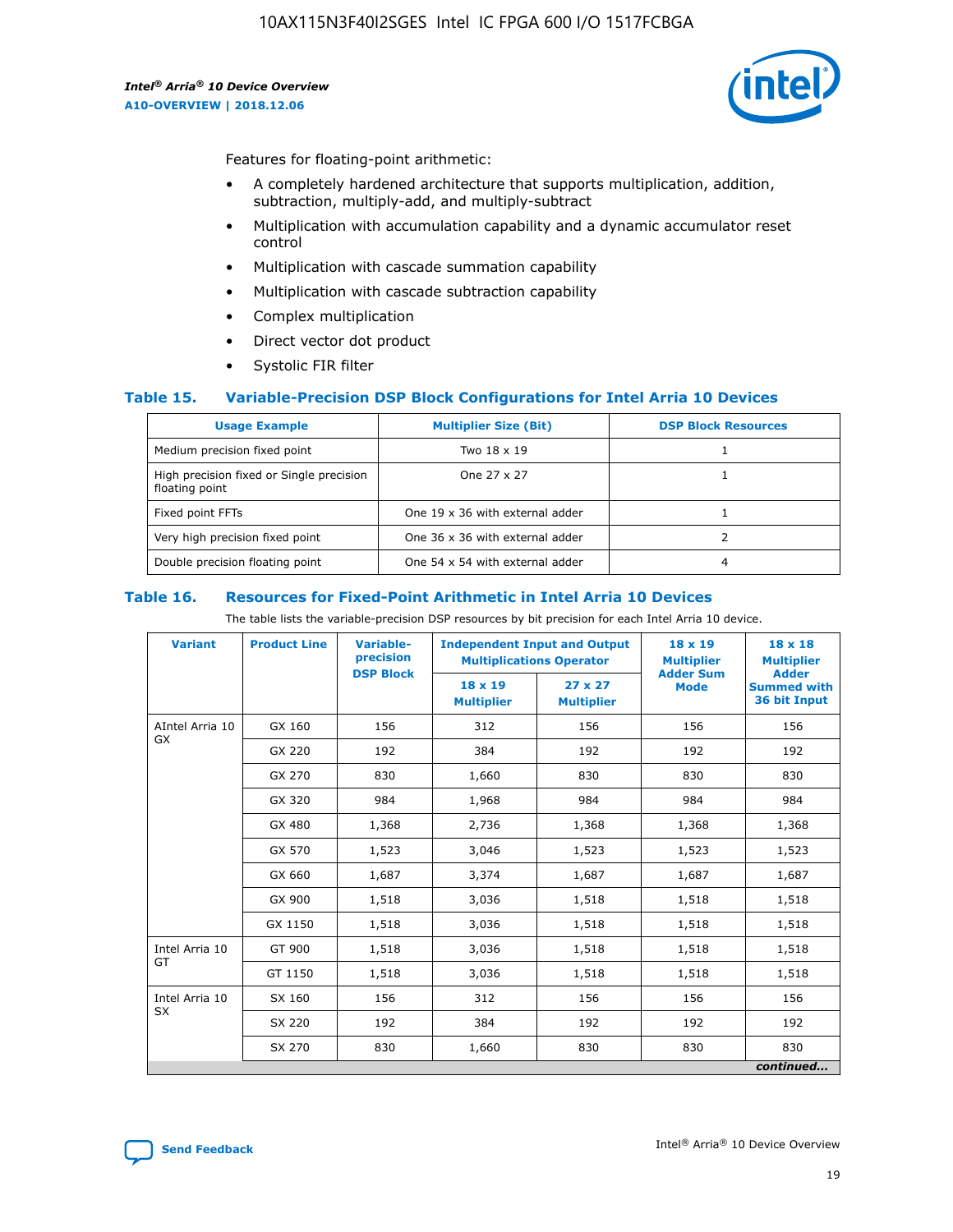

Features for floating-point arithmetic:

- A completely hardened architecture that supports multiplication, addition, subtraction, multiply-add, and multiply-subtract
- Multiplication with accumulation capability and a dynamic accumulator reset control
- Multiplication with cascade summation capability
- Multiplication with cascade subtraction capability
- Complex multiplication
- Direct vector dot product
- Systolic FIR filter

#### **Table 15. Variable-Precision DSP Block Configurations for Intel Arria 10 Devices**

| <b>Usage Example</b>                                       | <b>Multiplier Size (Bit)</b>    | <b>DSP Block Resources</b> |
|------------------------------------------------------------|---------------------------------|----------------------------|
| Medium precision fixed point                               | Two 18 x 19                     |                            |
| High precision fixed or Single precision<br>floating point | One 27 x 27                     |                            |
| Fixed point FFTs                                           | One 19 x 36 with external adder |                            |
| Very high precision fixed point                            | One 36 x 36 with external adder |                            |
| Double precision floating point                            | One 54 x 54 with external adder | 4                          |

#### **Table 16. Resources for Fixed-Point Arithmetic in Intel Arria 10 Devices**

The table lists the variable-precision DSP resources by bit precision for each Intel Arria 10 device.

| <b>Variant</b>  | <b>Product Line</b> | <b>Variable-</b><br>precision<br><b>DSP Block</b> | <b>Independent Input and Output</b><br><b>Multiplications Operator</b> |                                     | 18 x 19<br><b>Multiplier</b><br><b>Adder Sum</b> | $18 \times 18$<br><b>Multiplier</b><br><b>Adder</b> |
|-----------------|---------------------|---------------------------------------------------|------------------------------------------------------------------------|-------------------------------------|--------------------------------------------------|-----------------------------------------------------|
|                 |                     |                                                   | 18 x 19<br><b>Multiplier</b>                                           | $27 \times 27$<br><b>Multiplier</b> | <b>Mode</b>                                      | <b>Summed with</b><br>36 bit Input                  |
| AIntel Arria 10 | GX 160              | 156                                               | 312                                                                    | 156                                 | 156                                              | 156                                                 |
| GX              | GX 220              | 192                                               | 384                                                                    | 192                                 | 192                                              | 192                                                 |
|                 | GX 270              | 830                                               | 1,660                                                                  | 830                                 | 830                                              | 830                                                 |
|                 | GX 320              | 984                                               | 1,968                                                                  | 984                                 | 984                                              | 984                                                 |
|                 | GX 480              | 1,368                                             | 2,736                                                                  | 1,368                               | 1,368                                            | 1,368                                               |
|                 | GX 570              | 1,523                                             | 3,046                                                                  | 1,523                               | 1,523                                            | 1,523                                               |
|                 | GX 660              | 1,687                                             | 3,374                                                                  | 1,687                               | 1,687                                            | 1,687                                               |
|                 | GX 900              | 1,518                                             | 3,036                                                                  | 1,518                               | 1,518                                            | 1,518                                               |
|                 | GX 1150             | 1,518                                             | 3,036                                                                  | 1,518                               | 1,518                                            | 1,518                                               |
| Intel Arria 10  | GT 900              | 1,518                                             | 3,036                                                                  | 1,518                               | 1,518                                            | 1,518                                               |
| GT              | GT 1150             | 1,518                                             | 3,036                                                                  | 1,518                               | 1,518                                            | 1,518                                               |
| Intel Arria 10  | SX 160              | 156                                               | 312                                                                    | 156                                 | 156                                              | 156                                                 |
| <b>SX</b>       | SX 220              | 192                                               | 384                                                                    | 192                                 | 192                                              | 192                                                 |
|                 | SX 270              | 830                                               | 1,660                                                                  | 830                                 | 830                                              | 830                                                 |
|                 |                     |                                                   |                                                                        |                                     |                                                  | continued                                           |

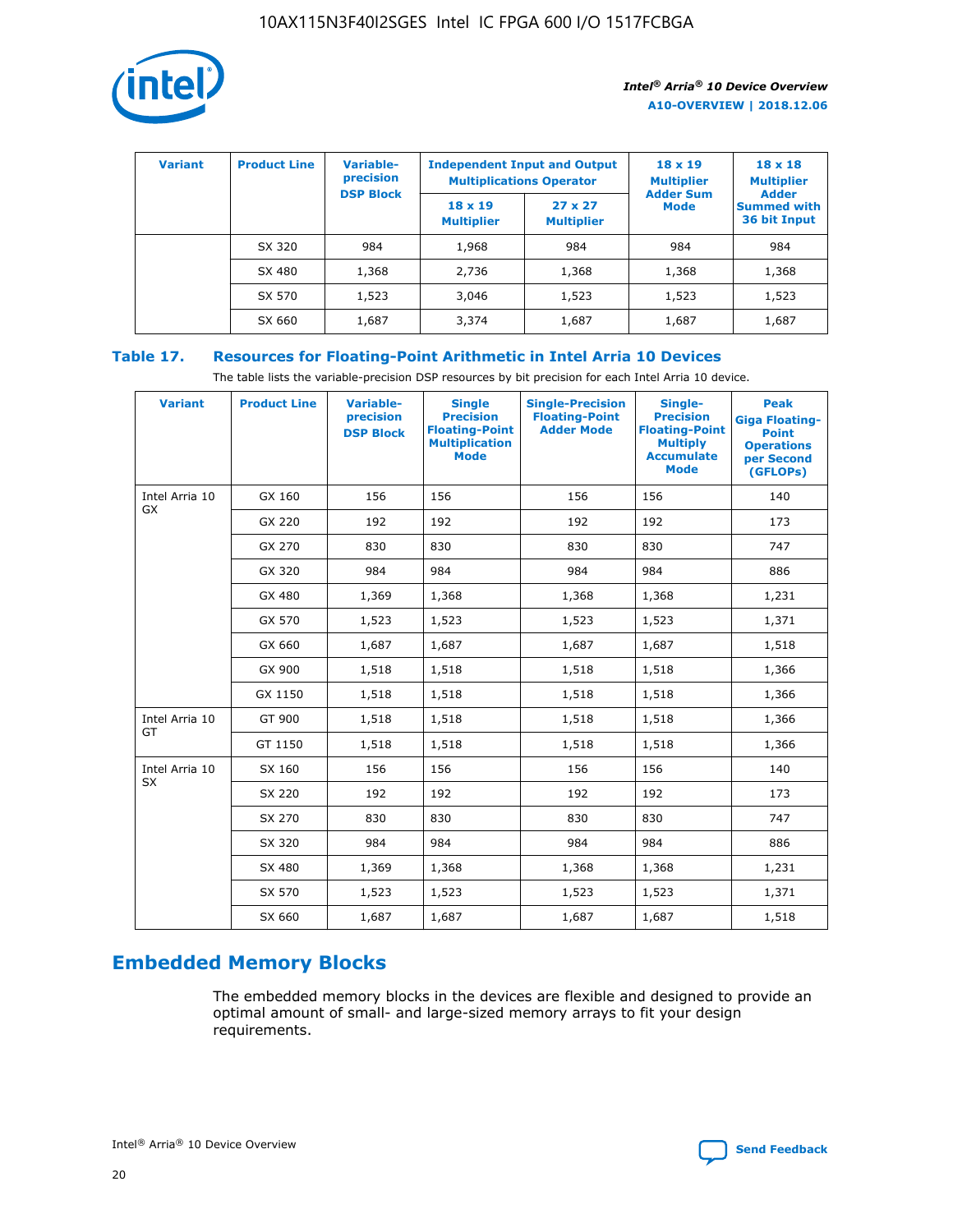

| <b>Variant</b> | <b>Product Line</b> | Variable-<br>precision | <b>Independent Input and Output</b><br><b>Multiplications Operator</b> |                                     | $18 \times 19$<br><b>Multiplier</b> | $18 \times 18$<br><b>Multiplier</b><br><b>Adder</b> |  |
|----------------|---------------------|------------------------|------------------------------------------------------------------------|-------------------------------------|-------------------------------------|-----------------------------------------------------|--|
|                |                     | <b>DSP Block</b>       | $18 \times 19$<br><b>Multiplier</b>                                    | $27 \times 27$<br><b>Multiplier</b> | <b>Adder Sum</b><br><b>Mode</b>     | <b>Summed with</b><br>36 bit Input                  |  |
|                | SX 320              | 984                    | 1,968                                                                  | 984                                 | 984                                 | 984                                                 |  |
|                | SX 480              | 1,368                  | 2,736                                                                  | 1,368                               | 1,368                               | 1,368                                               |  |
|                | SX 570              | 1,523                  | 3,046                                                                  | 1,523                               | 1,523                               | 1,523                                               |  |
|                | SX 660              | 1,687                  | 3,374                                                                  | 1,687                               | 1,687                               | 1,687                                               |  |

# **Table 17. Resources for Floating-Point Arithmetic in Intel Arria 10 Devices**

The table lists the variable-precision DSP resources by bit precision for each Intel Arria 10 device.

| <b>Variant</b> | <b>Product Line</b> | <b>Variable-</b><br>precision<br><b>DSP Block</b> | <b>Single</b><br><b>Precision</b><br><b>Floating-Point</b><br><b>Multiplication</b><br><b>Mode</b> | <b>Single-Precision</b><br><b>Floating-Point</b><br><b>Adder Mode</b> | Single-<br><b>Precision</b><br><b>Floating-Point</b><br><b>Multiply</b><br><b>Accumulate</b><br><b>Mode</b> | <b>Peak</b><br><b>Giga Floating-</b><br><b>Point</b><br><b>Operations</b><br>per Second<br>(GFLOPs) |
|----------------|---------------------|---------------------------------------------------|----------------------------------------------------------------------------------------------------|-----------------------------------------------------------------------|-------------------------------------------------------------------------------------------------------------|-----------------------------------------------------------------------------------------------------|
| Intel Arria 10 | GX 160              | 156                                               | 156                                                                                                | 156                                                                   | 156                                                                                                         | 140                                                                                                 |
| GX             | GX 220              | 192                                               | 192                                                                                                | 192                                                                   | 192                                                                                                         | 173                                                                                                 |
|                | GX 270              | 830                                               | 830                                                                                                | 830                                                                   | 830                                                                                                         | 747                                                                                                 |
|                | GX 320              | 984                                               | 984                                                                                                | 984                                                                   | 984                                                                                                         | 886                                                                                                 |
|                | GX 480              | 1,369                                             | 1,368                                                                                              | 1,368                                                                 | 1,368                                                                                                       | 1,231                                                                                               |
|                | GX 570              | 1,523                                             | 1,523                                                                                              | 1,523                                                                 | 1,523                                                                                                       | 1,371                                                                                               |
|                | GX 660              | 1,687                                             | 1,687                                                                                              | 1,687                                                                 | 1,687                                                                                                       | 1,518                                                                                               |
|                | GX 900              | 1,518                                             | 1,518                                                                                              | 1,518                                                                 | 1,518                                                                                                       | 1,366                                                                                               |
|                | GX 1150             | 1,518                                             | 1,518                                                                                              | 1,518                                                                 | 1,518                                                                                                       | 1,366                                                                                               |
| Intel Arria 10 | GT 900              | 1,518                                             | 1,518                                                                                              | 1,518                                                                 | 1,518                                                                                                       | 1,366                                                                                               |
| GT             | GT 1150             | 1,518                                             | 1,518                                                                                              | 1,518                                                                 | 1,518                                                                                                       | 1,366                                                                                               |
| Intel Arria 10 | SX 160              | 156                                               | 156                                                                                                | 156                                                                   | 156                                                                                                         | 140                                                                                                 |
| SX             | SX 220              | 192                                               | 192                                                                                                | 192                                                                   | 192                                                                                                         | 173                                                                                                 |
|                | SX 270              | 830                                               | 830                                                                                                | 830                                                                   | 830                                                                                                         | 747                                                                                                 |
|                | SX 320              | 984                                               | 984                                                                                                | 984                                                                   | 984                                                                                                         | 886                                                                                                 |
|                | SX 480              | 1,369                                             | 1,368                                                                                              | 1,368                                                                 | 1,368                                                                                                       | 1,231                                                                                               |
|                | SX 570              | 1,523                                             | 1,523                                                                                              | 1,523                                                                 | 1,523                                                                                                       | 1,371                                                                                               |
|                | SX 660              | 1,687                                             | 1,687                                                                                              | 1,687                                                                 | 1,687                                                                                                       | 1,518                                                                                               |

# **Embedded Memory Blocks**

The embedded memory blocks in the devices are flexible and designed to provide an optimal amount of small- and large-sized memory arrays to fit your design requirements.

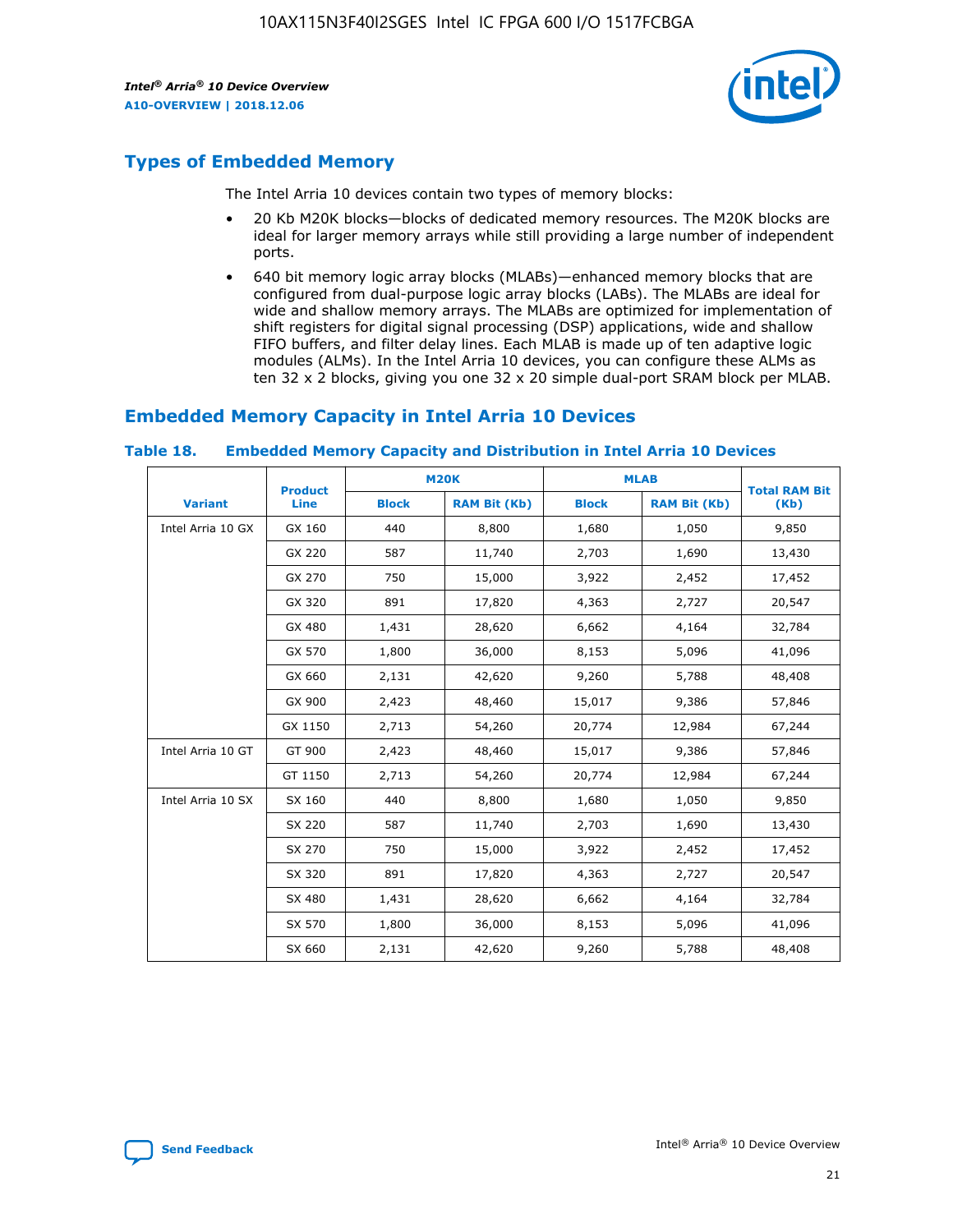

# **Types of Embedded Memory**

The Intel Arria 10 devices contain two types of memory blocks:

- 20 Kb M20K blocks—blocks of dedicated memory resources. The M20K blocks are ideal for larger memory arrays while still providing a large number of independent ports.
- 640 bit memory logic array blocks (MLABs)—enhanced memory blocks that are configured from dual-purpose logic array blocks (LABs). The MLABs are ideal for wide and shallow memory arrays. The MLABs are optimized for implementation of shift registers for digital signal processing (DSP) applications, wide and shallow FIFO buffers, and filter delay lines. Each MLAB is made up of ten adaptive logic modules (ALMs). In the Intel Arria 10 devices, you can configure these ALMs as ten 32 x 2 blocks, giving you one 32 x 20 simple dual-port SRAM block per MLAB.

# **Embedded Memory Capacity in Intel Arria 10 Devices**

|                   | <b>Product</b> |              | <b>M20K</b>         | <b>MLAB</b>  |                     | <b>Total RAM Bit</b> |
|-------------------|----------------|--------------|---------------------|--------------|---------------------|----------------------|
| <b>Variant</b>    | Line           | <b>Block</b> | <b>RAM Bit (Kb)</b> | <b>Block</b> | <b>RAM Bit (Kb)</b> | (Kb)                 |
| Intel Arria 10 GX | GX 160         | 440          | 8,800               | 1,680        | 1,050               | 9,850                |
|                   | GX 220         | 587          | 11,740              | 2,703        | 1,690               | 13,430               |
|                   | GX 270         | 750          | 15,000              | 3,922        | 2,452               | 17,452               |
|                   | GX 320         | 891          | 17,820              | 4,363        | 2,727               | 20,547               |
|                   | GX 480         | 1,431        | 28,620              | 6,662        | 4,164               | 32,784               |
|                   | GX 570         | 1,800        | 36,000              | 8,153        | 5,096               | 41,096               |
|                   | GX 660         | 2,131        | 42,620              | 9,260        | 5,788               | 48,408               |
|                   | GX 900         | 2,423        | 48,460              | 15,017       | 9,386               | 57,846               |
|                   | GX 1150        | 2,713        | 54,260              | 20,774       | 12,984              | 67,244               |
| Intel Arria 10 GT | GT 900         | 2,423        | 48,460              | 15,017       | 9,386               | 57,846               |
|                   | GT 1150        | 2,713        | 54,260              | 20,774       | 12,984              | 67,244               |
| Intel Arria 10 SX | SX 160         | 440          | 8,800               | 1,680        | 1,050               | 9,850                |
|                   | SX 220         | 587          | 11,740              | 2,703        | 1,690               | 13,430               |
|                   | SX 270         | 750          | 15,000              | 3,922        | 2,452               | 17,452               |
|                   | SX 320         | 891          | 17,820              | 4,363        | 2,727               | 20,547               |
|                   | SX 480         | 1,431        | 28,620              | 6,662        | 4,164               | 32,784               |
|                   | SX 570         | 1,800        | 36,000              | 8,153        | 5,096               | 41,096               |
|                   | SX 660         | 2,131        | 42,620              | 9,260        | 5,788               | 48,408               |

#### **Table 18. Embedded Memory Capacity and Distribution in Intel Arria 10 Devices**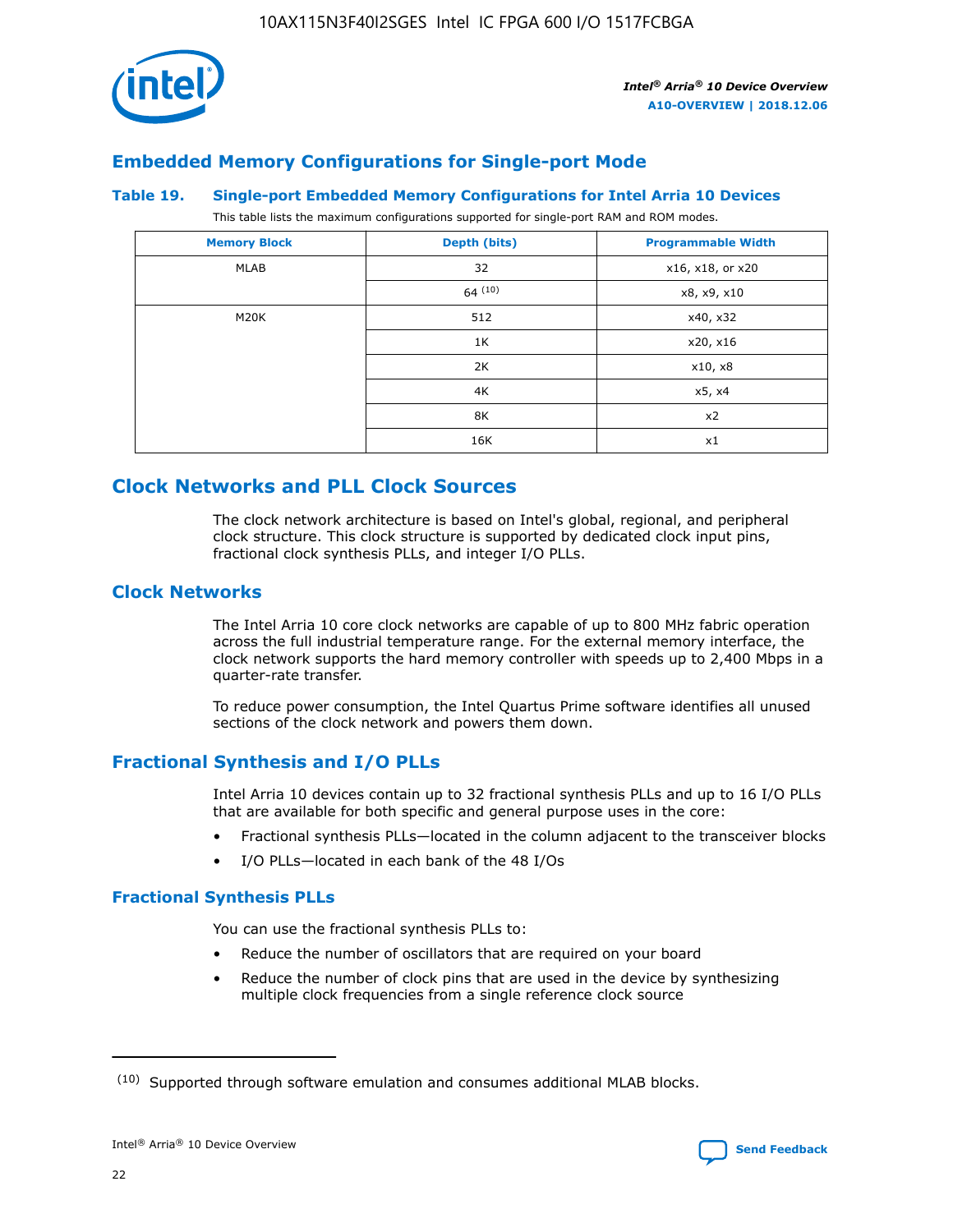

# **Embedded Memory Configurations for Single-port Mode**

#### **Table 19. Single-port Embedded Memory Configurations for Intel Arria 10 Devices**

This table lists the maximum configurations supported for single-port RAM and ROM modes.

| <b>Memory Block</b> | Depth (bits) | <b>Programmable Width</b> |
|---------------------|--------------|---------------------------|
| MLAB                | 32           | x16, x18, or x20          |
|                     | 64(10)       | x8, x9, x10               |
| M20K                | 512          | x40, x32                  |
|                     | 1K           | x20, x16                  |
|                     | 2K           | x10, x8                   |
|                     | 4K           | x5, x4                    |
|                     | 8K           | x2                        |
|                     | 16K          | x1                        |

# **Clock Networks and PLL Clock Sources**

The clock network architecture is based on Intel's global, regional, and peripheral clock structure. This clock structure is supported by dedicated clock input pins, fractional clock synthesis PLLs, and integer I/O PLLs.

# **Clock Networks**

The Intel Arria 10 core clock networks are capable of up to 800 MHz fabric operation across the full industrial temperature range. For the external memory interface, the clock network supports the hard memory controller with speeds up to 2,400 Mbps in a quarter-rate transfer.

To reduce power consumption, the Intel Quartus Prime software identifies all unused sections of the clock network and powers them down.

# **Fractional Synthesis and I/O PLLs**

Intel Arria 10 devices contain up to 32 fractional synthesis PLLs and up to 16 I/O PLLs that are available for both specific and general purpose uses in the core:

- Fractional synthesis PLLs—located in the column adjacent to the transceiver blocks
- I/O PLLs—located in each bank of the 48 I/Os

#### **Fractional Synthesis PLLs**

You can use the fractional synthesis PLLs to:

- Reduce the number of oscillators that are required on your board
- Reduce the number of clock pins that are used in the device by synthesizing multiple clock frequencies from a single reference clock source

<sup>(10)</sup> Supported through software emulation and consumes additional MLAB blocks.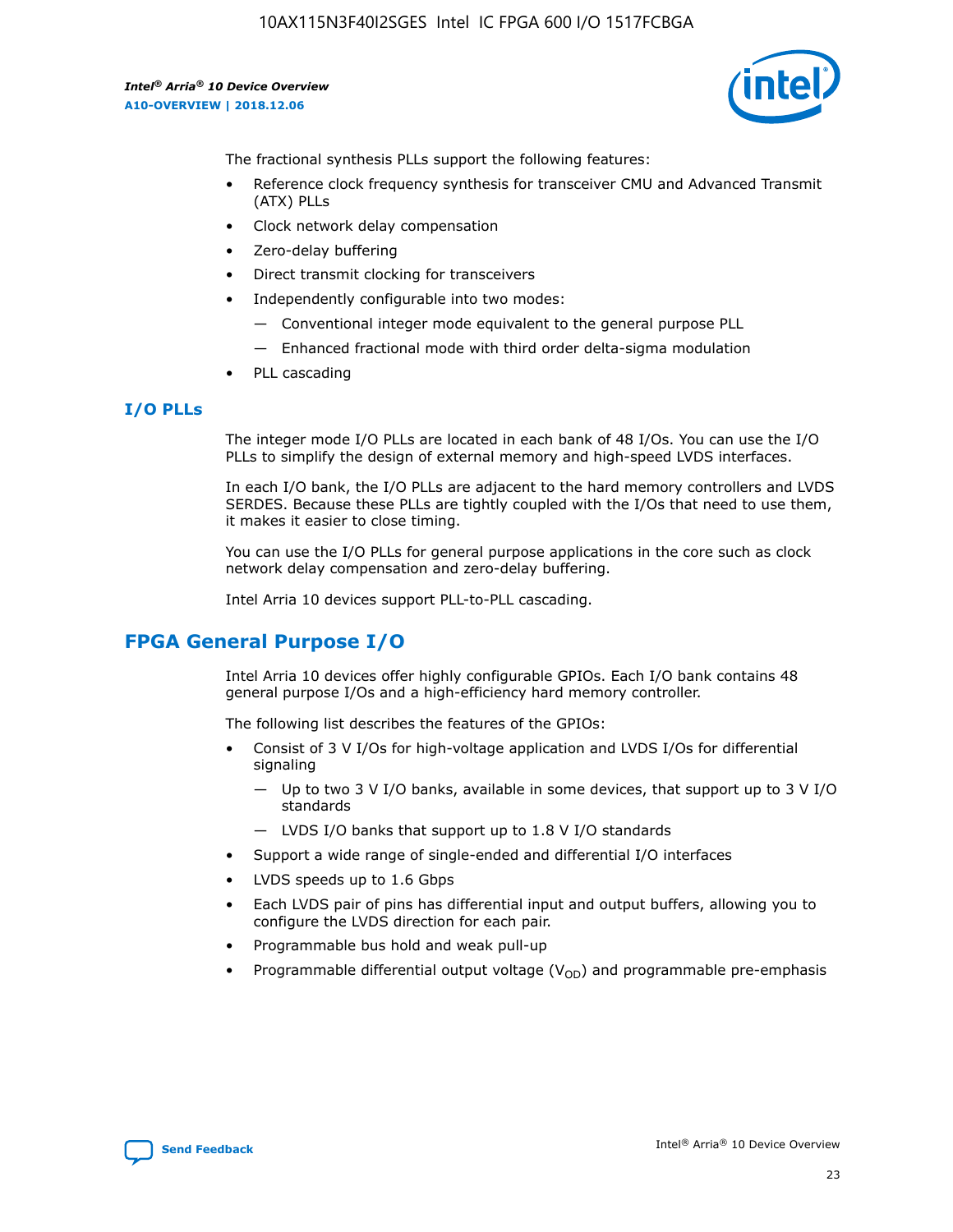

The fractional synthesis PLLs support the following features:

- Reference clock frequency synthesis for transceiver CMU and Advanced Transmit (ATX) PLLs
- Clock network delay compensation
- Zero-delay buffering
- Direct transmit clocking for transceivers
- Independently configurable into two modes:
	- Conventional integer mode equivalent to the general purpose PLL
	- Enhanced fractional mode with third order delta-sigma modulation
- PLL cascading

# **I/O PLLs**

The integer mode I/O PLLs are located in each bank of 48 I/Os. You can use the I/O PLLs to simplify the design of external memory and high-speed LVDS interfaces.

In each I/O bank, the I/O PLLs are adjacent to the hard memory controllers and LVDS SERDES. Because these PLLs are tightly coupled with the I/Os that need to use them, it makes it easier to close timing.

You can use the I/O PLLs for general purpose applications in the core such as clock network delay compensation and zero-delay buffering.

Intel Arria 10 devices support PLL-to-PLL cascading.

# **FPGA General Purpose I/O**

Intel Arria 10 devices offer highly configurable GPIOs. Each I/O bank contains 48 general purpose I/Os and a high-efficiency hard memory controller.

The following list describes the features of the GPIOs:

- Consist of 3 V I/Os for high-voltage application and LVDS I/Os for differential signaling
	- Up to two 3 V I/O banks, available in some devices, that support up to 3 V I/O standards
	- LVDS I/O banks that support up to 1.8 V I/O standards
- Support a wide range of single-ended and differential I/O interfaces
- LVDS speeds up to 1.6 Gbps
- Each LVDS pair of pins has differential input and output buffers, allowing you to configure the LVDS direction for each pair.
- Programmable bus hold and weak pull-up
- Programmable differential output voltage  $(V_{OD})$  and programmable pre-emphasis

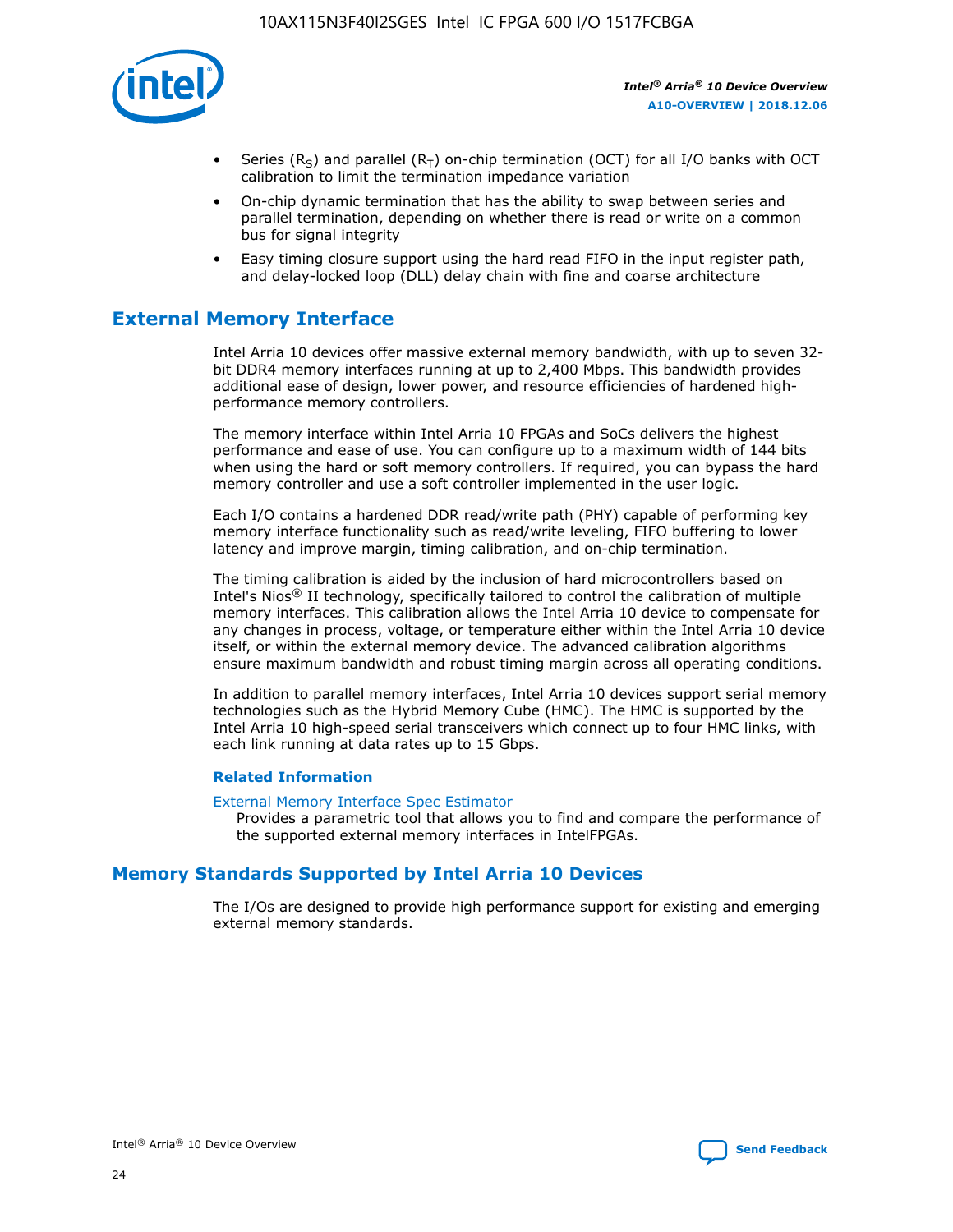

- Series (R<sub>S</sub>) and parallel (R<sub>T</sub>) on-chip termination (OCT) for all I/O banks with OCT calibration to limit the termination impedance variation
- On-chip dynamic termination that has the ability to swap between series and parallel termination, depending on whether there is read or write on a common bus for signal integrity
- Easy timing closure support using the hard read FIFO in the input register path, and delay-locked loop (DLL) delay chain with fine and coarse architecture

# **External Memory Interface**

Intel Arria 10 devices offer massive external memory bandwidth, with up to seven 32 bit DDR4 memory interfaces running at up to 2,400 Mbps. This bandwidth provides additional ease of design, lower power, and resource efficiencies of hardened highperformance memory controllers.

The memory interface within Intel Arria 10 FPGAs and SoCs delivers the highest performance and ease of use. You can configure up to a maximum width of 144 bits when using the hard or soft memory controllers. If required, you can bypass the hard memory controller and use a soft controller implemented in the user logic.

Each I/O contains a hardened DDR read/write path (PHY) capable of performing key memory interface functionality such as read/write leveling, FIFO buffering to lower latency and improve margin, timing calibration, and on-chip termination.

The timing calibration is aided by the inclusion of hard microcontrollers based on Intel's Nios® II technology, specifically tailored to control the calibration of multiple memory interfaces. This calibration allows the Intel Arria 10 device to compensate for any changes in process, voltage, or temperature either within the Intel Arria 10 device itself, or within the external memory device. The advanced calibration algorithms ensure maximum bandwidth and robust timing margin across all operating conditions.

In addition to parallel memory interfaces, Intel Arria 10 devices support serial memory technologies such as the Hybrid Memory Cube (HMC). The HMC is supported by the Intel Arria 10 high-speed serial transceivers which connect up to four HMC links, with each link running at data rates up to 15 Gbps.

#### **Related Information**

#### [External Memory Interface Spec Estimator](http://www.altera.com/technology/memory/estimator/mem-emif-index.html)

Provides a parametric tool that allows you to find and compare the performance of the supported external memory interfaces in IntelFPGAs.

# **Memory Standards Supported by Intel Arria 10 Devices**

The I/Os are designed to provide high performance support for existing and emerging external memory standards.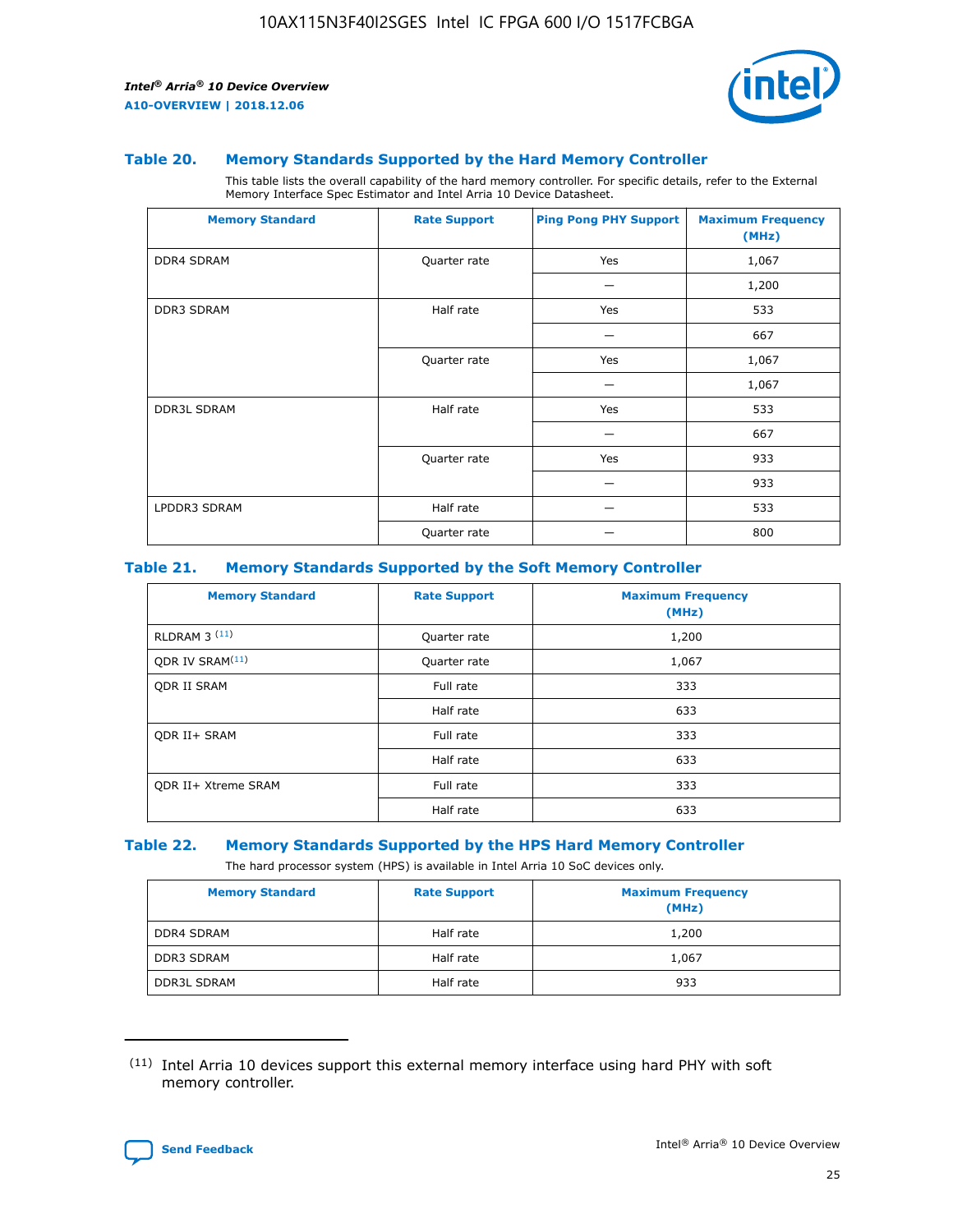

#### **Table 20. Memory Standards Supported by the Hard Memory Controller**

This table lists the overall capability of the hard memory controller. For specific details, refer to the External Memory Interface Spec Estimator and Intel Arria 10 Device Datasheet.

| <b>Memory Standard</b> | <b>Rate Support</b> | <b>Ping Pong PHY Support</b> | <b>Maximum Frequency</b><br>(MHz) |
|------------------------|---------------------|------------------------------|-----------------------------------|
| <b>DDR4 SDRAM</b>      | Quarter rate        | Yes                          | 1,067                             |
|                        |                     |                              | 1,200                             |
| DDR3 SDRAM             | Half rate           | Yes                          | 533                               |
|                        |                     |                              | 667                               |
|                        | Quarter rate        | Yes                          | 1,067                             |
|                        |                     |                              | 1,067                             |
| <b>DDR3L SDRAM</b>     | Half rate           | Yes                          | 533                               |
|                        |                     |                              | 667                               |
|                        | Quarter rate        | Yes                          | 933                               |
|                        |                     |                              | 933                               |
| LPDDR3 SDRAM           | Half rate           |                              | 533                               |
|                        | Quarter rate        |                              | 800                               |

#### **Table 21. Memory Standards Supported by the Soft Memory Controller**

| <b>Memory Standard</b>      | <b>Rate Support</b> | <b>Maximum Frequency</b><br>(MHz) |
|-----------------------------|---------------------|-----------------------------------|
| <b>RLDRAM 3 (11)</b>        | Quarter rate        | 1,200                             |
| ODR IV SRAM <sup>(11)</sup> | Quarter rate        | 1,067                             |
| <b>ODR II SRAM</b>          | Full rate           | 333                               |
|                             | Half rate           | 633                               |
| <b>ODR II+ SRAM</b>         | Full rate           | 333                               |
|                             | Half rate           | 633                               |
| <b>ODR II+ Xtreme SRAM</b>  | Full rate           | 333                               |
|                             | Half rate           | 633                               |

#### **Table 22. Memory Standards Supported by the HPS Hard Memory Controller**

The hard processor system (HPS) is available in Intel Arria 10 SoC devices only.

| <b>Memory Standard</b> | <b>Rate Support</b> | <b>Maximum Frequency</b><br>(MHz) |
|------------------------|---------------------|-----------------------------------|
| <b>DDR4 SDRAM</b>      | Half rate           | 1,200                             |
| <b>DDR3 SDRAM</b>      | Half rate           | 1,067                             |
| <b>DDR3L SDRAM</b>     | Half rate           | 933                               |

<sup>(11)</sup> Intel Arria 10 devices support this external memory interface using hard PHY with soft memory controller.

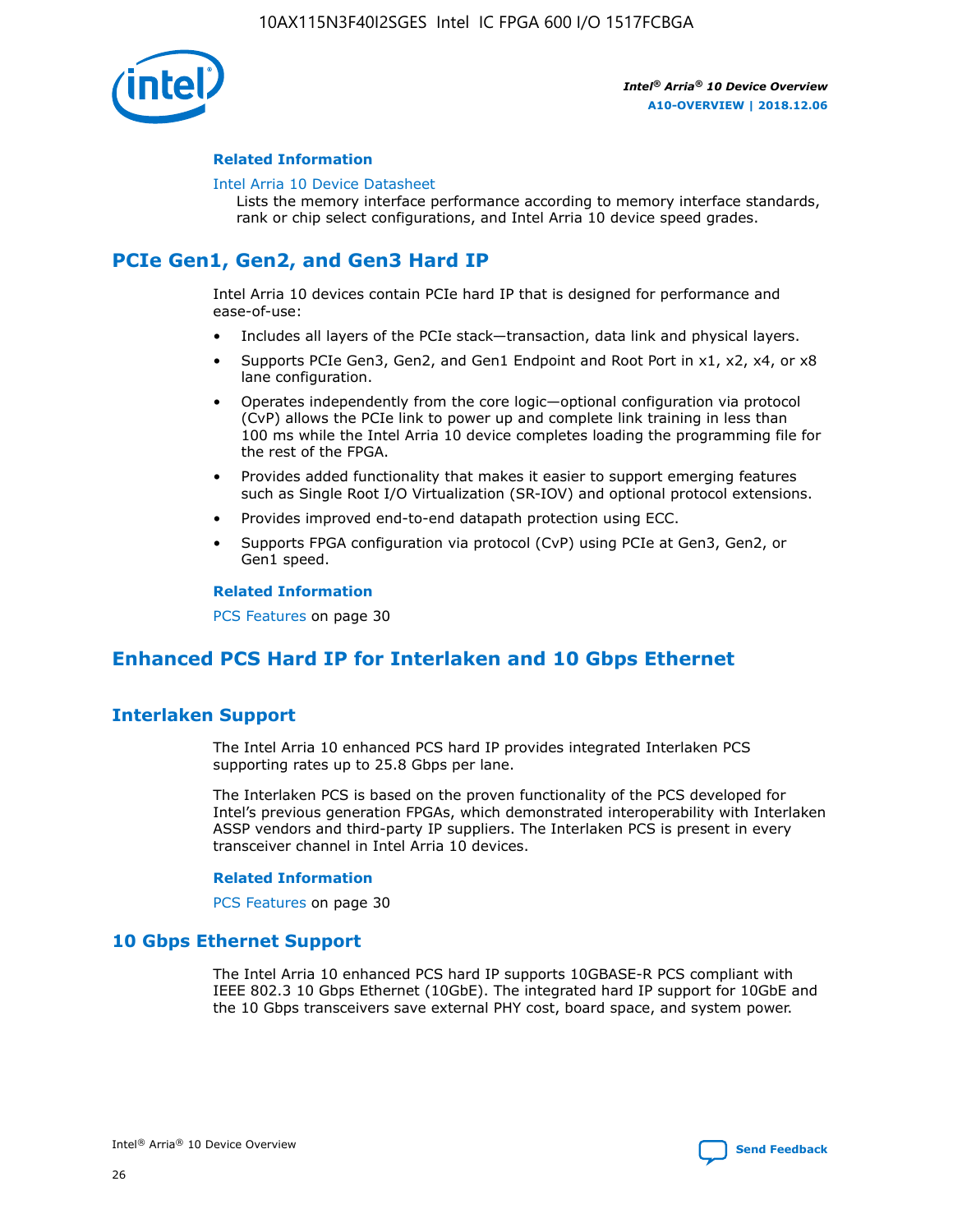

#### **Related Information**

#### [Intel Arria 10 Device Datasheet](https://www.intel.com/content/www/us/en/programmable/documentation/mcn1413182292568.html#mcn1413182153340)

Lists the memory interface performance according to memory interface standards, rank or chip select configurations, and Intel Arria 10 device speed grades.

# **PCIe Gen1, Gen2, and Gen3 Hard IP**

Intel Arria 10 devices contain PCIe hard IP that is designed for performance and ease-of-use:

- Includes all layers of the PCIe stack—transaction, data link and physical layers.
- Supports PCIe Gen3, Gen2, and Gen1 Endpoint and Root Port in x1, x2, x4, or x8 lane configuration.
- Operates independently from the core logic—optional configuration via protocol (CvP) allows the PCIe link to power up and complete link training in less than 100 ms while the Intel Arria 10 device completes loading the programming file for the rest of the FPGA.
- Provides added functionality that makes it easier to support emerging features such as Single Root I/O Virtualization (SR-IOV) and optional protocol extensions.
- Provides improved end-to-end datapath protection using ECC.
- Supports FPGA configuration via protocol (CvP) using PCIe at Gen3, Gen2, or Gen1 speed.

#### **Related Information**

PCS Features on page 30

# **Enhanced PCS Hard IP for Interlaken and 10 Gbps Ethernet**

# **Interlaken Support**

The Intel Arria 10 enhanced PCS hard IP provides integrated Interlaken PCS supporting rates up to 25.8 Gbps per lane.

The Interlaken PCS is based on the proven functionality of the PCS developed for Intel's previous generation FPGAs, which demonstrated interoperability with Interlaken ASSP vendors and third-party IP suppliers. The Interlaken PCS is present in every transceiver channel in Intel Arria 10 devices.

#### **Related Information**

PCS Features on page 30

# **10 Gbps Ethernet Support**

The Intel Arria 10 enhanced PCS hard IP supports 10GBASE-R PCS compliant with IEEE 802.3 10 Gbps Ethernet (10GbE). The integrated hard IP support for 10GbE and the 10 Gbps transceivers save external PHY cost, board space, and system power.

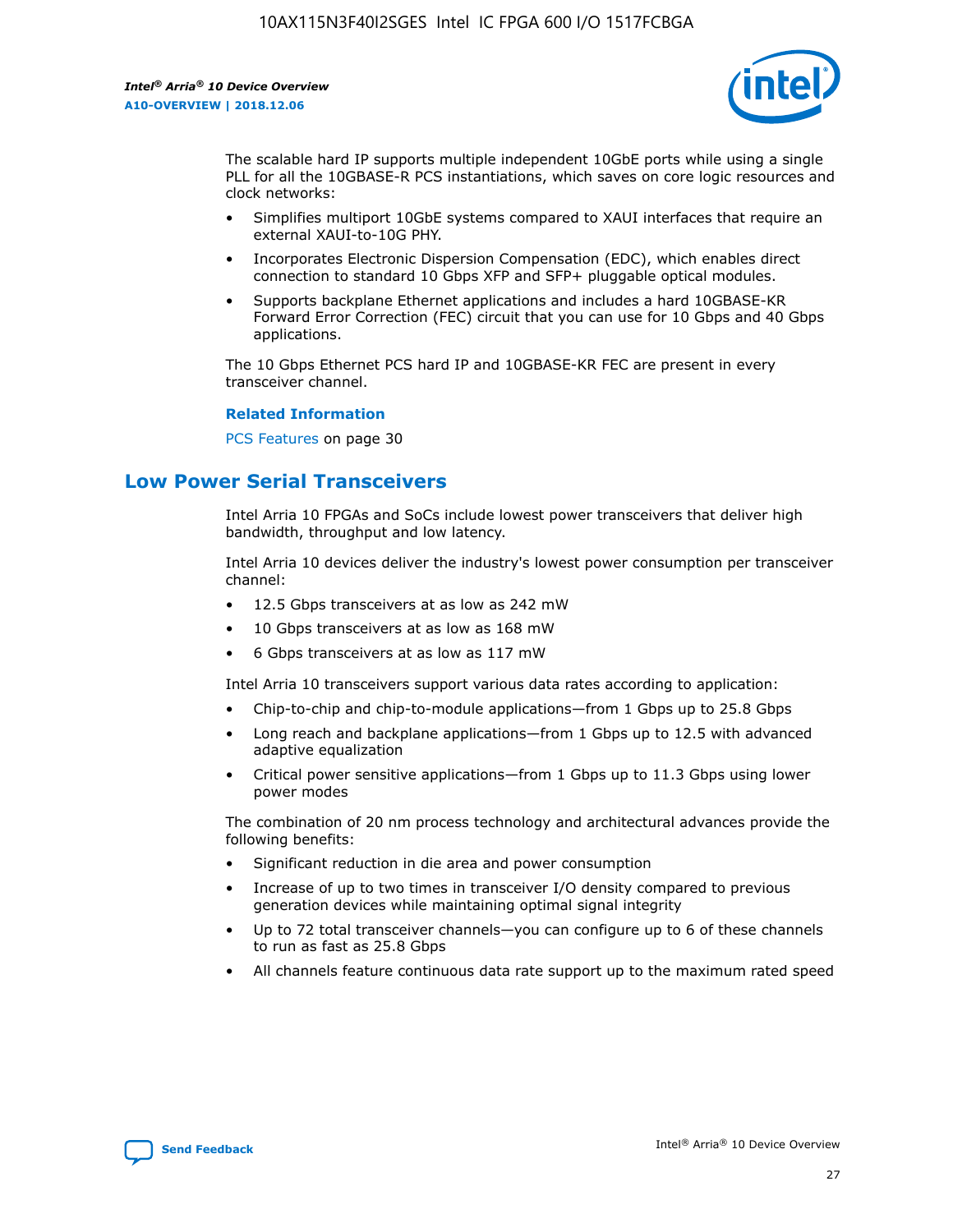

The scalable hard IP supports multiple independent 10GbE ports while using a single PLL for all the 10GBASE-R PCS instantiations, which saves on core logic resources and clock networks:

- Simplifies multiport 10GbE systems compared to XAUI interfaces that require an external XAUI-to-10G PHY.
- Incorporates Electronic Dispersion Compensation (EDC), which enables direct connection to standard 10 Gbps XFP and SFP+ pluggable optical modules.
- Supports backplane Ethernet applications and includes a hard 10GBASE-KR Forward Error Correction (FEC) circuit that you can use for 10 Gbps and 40 Gbps applications.

The 10 Gbps Ethernet PCS hard IP and 10GBASE-KR FEC are present in every transceiver channel.

#### **Related Information**

PCS Features on page 30

# **Low Power Serial Transceivers**

Intel Arria 10 FPGAs and SoCs include lowest power transceivers that deliver high bandwidth, throughput and low latency.

Intel Arria 10 devices deliver the industry's lowest power consumption per transceiver channel:

- 12.5 Gbps transceivers at as low as 242 mW
- 10 Gbps transceivers at as low as 168 mW
- 6 Gbps transceivers at as low as 117 mW

Intel Arria 10 transceivers support various data rates according to application:

- Chip-to-chip and chip-to-module applications—from 1 Gbps up to 25.8 Gbps
- Long reach and backplane applications—from 1 Gbps up to 12.5 with advanced adaptive equalization
- Critical power sensitive applications—from 1 Gbps up to 11.3 Gbps using lower power modes

The combination of 20 nm process technology and architectural advances provide the following benefits:

- Significant reduction in die area and power consumption
- Increase of up to two times in transceiver I/O density compared to previous generation devices while maintaining optimal signal integrity
- Up to 72 total transceiver channels—you can configure up to 6 of these channels to run as fast as 25.8 Gbps
- All channels feature continuous data rate support up to the maximum rated speed

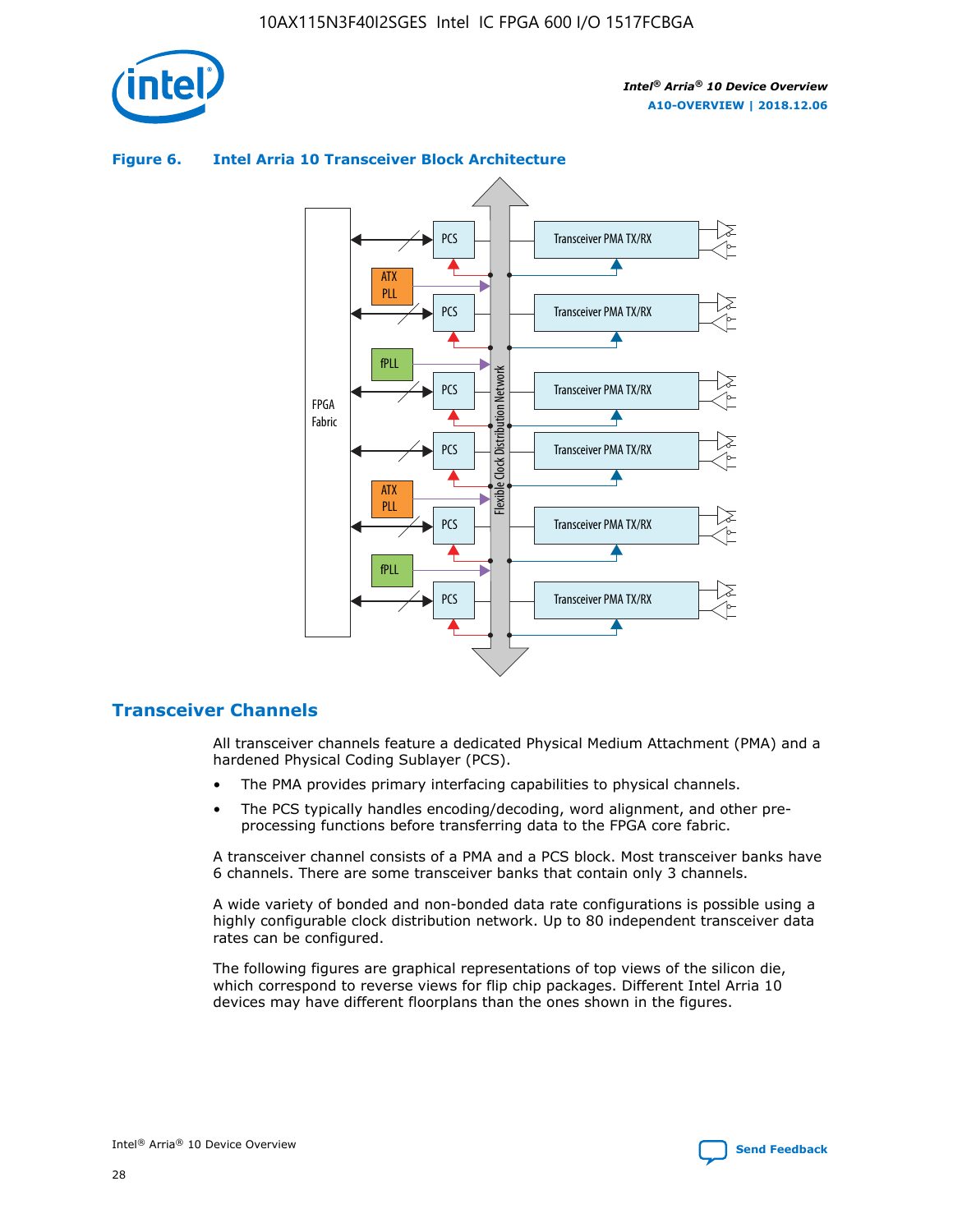

#### Transceiver PMA TX/RX PCS ATX PLL Transceiver PMA TX/RX PCS fPLL Network Flexible Clock Distribution Network PCS Transceiver PMA TX/RX FPGA **Clock Distribution** Fabric PCS Transceiver PMA TX/RX ATX Flexible PLL PCS Transceiver PMA TX/RX ▲ fPLL Transceiver PMA TX/RX PCS

## **Figure 6. Intel Arria 10 Transceiver Block Architecture**

# **Transceiver Channels**

All transceiver channels feature a dedicated Physical Medium Attachment (PMA) and a hardened Physical Coding Sublayer (PCS).

4

- The PMA provides primary interfacing capabilities to physical channels.
- The PCS typically handles encoding/decoding, word alignment, and other preprocessing functions before transferring data to the FPGA core fabric.

A transceiver channel consists of a PMA and a PCS block. Most transceiver banks have 6 channels. There are some transceiver banks that contain only 3 channels.

A wide variety of bonded and non-bonded data rate configurations is possible using a highly configurable clock distribution network. Up to 80 independent transceiver data rates can be configured.

The following figures are graphical representations of top views of the silicon die, which correspond to reverse views for flip chip packages. Different Intel Arria 10 devices may have different floorplans than the ones shown in the figures.

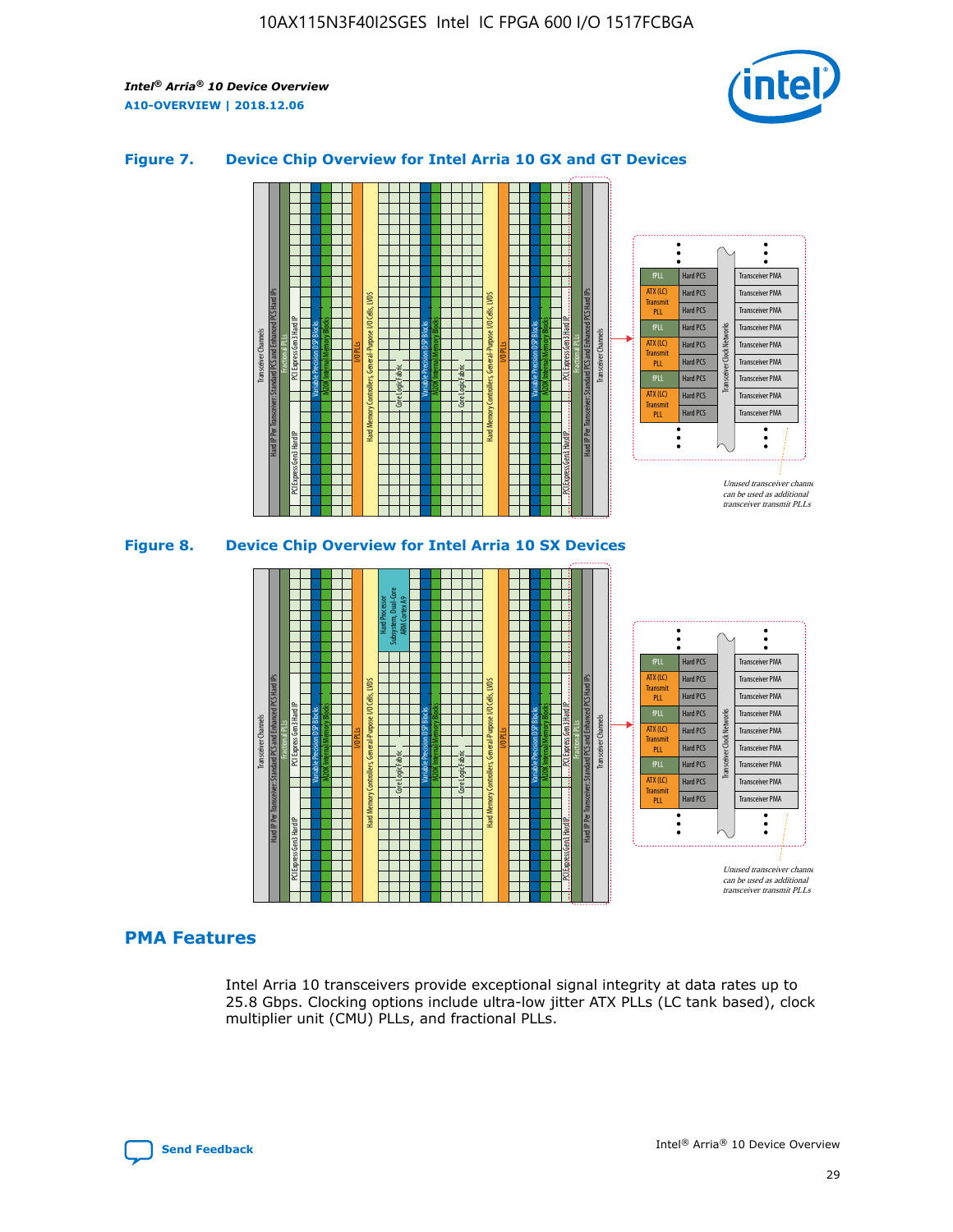

## **Figure 7. Device Chip Overview for Intel Arria 10 GX and GT Devices**





# **PMA Features**

Intel Arria 10 transceivers provide exceptional signal integrity at data rates up to 25.8 Gbps. Clocking options include ultra-low jitter ATX PLLs (LC tank based), clock multiplier unit (CMU) PLLs, and fractional PLLs.

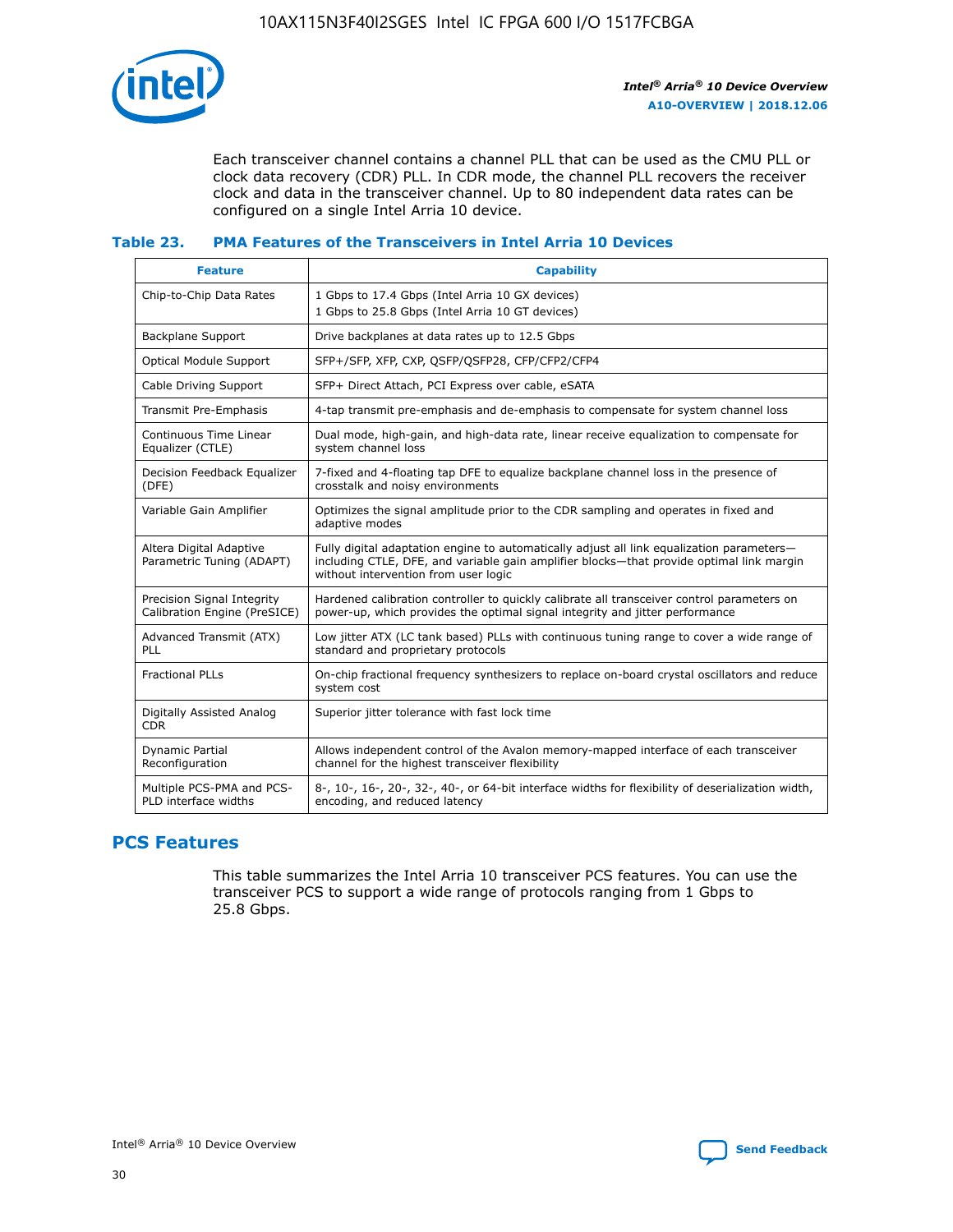

Each transceiver channel contains a channel PLL that can be used as the CMU PLL or clock data recovery (CDR) PLL. In CDR mode, the channel PLL recovers the receiver clock and data in the transceiver channel. Up to 80 independent data rates can be configured on a single Intel Arria 10 device.

## **Table 23. PMA Features of the Transceivers in Intel Arria 10 Devices**

| <b>Feature</b>                                             | <b>Capability</b>                                                                                                                                                                                                             |
|------------------------------------------------------------|-------------------------------------------------------------------------------------------------------------------------------------------------------------------------------------------------------------------------------|
| Chip-to-Chip Data Rates                                    | 1 Gbps to 17.4 Gbps (Intel Arria 10 GX devices)<br>1 Gbps to 25.8 Gbps (Intel Arria 10 GT devices)                                                                                                                            |
| Backplane Support                                          | Drive backplanes at data rates up to 12.5 Gbps                                                                                                                                                                                |
| <b>Optical Module Support</b>                              | SFP+/SFP, XFP, CXP, QSFP/QSFP28, CFP/CFP2/CFP4                                                                                                                                                                                |
| Cable Driving Support                                      | SFP+ Direct Attach, PCI Express over cable, eSATA                                                                                                                                                                             |
| Transmit Pre-Emphasis                                      | 4-tap transmit pre-emphasis and de-emphasis to compensate for system channel loss                                                                                                                                             |
| Continuous Time Linear<br>Equalizer (CTLE)                 | Dual mode, high-gain, and high-data rate, linear receive equalization to compensate for<br>system channel loss                                                                                                                |
| Decision Feedback Equalizer<br>(DFE)                       | 7-fixed and 4-floating tap DFE to equalize backplane channel loss in the presence of<br>crosstalk and noisy environments                                                                                                      |
| Variable Gain Amplifier                                    | Optimizes the signal amplitude prior to the CDR sampling and operates in fixed and<br>adaptive modes                                                                                                                          |
| Altera Digital Adaptive<br>Parametric Tuning (ADAPT)       | Fully digital adaptation engine to automatically adjust all link equalization parameters-<br>including CTLE, DFE, and variable gain amplifier blocks—that provide optimal link margin<br>without intervention from user logic |
| Precision Signal Integrity<br>Calibration Engine (PreSICE) | Hardened calibration controller to quickly calibrate all transceiver control parameters on<br>power-up, which provides the optimal signal integrity and jitter performance                                                    |
| Advanced Transmit (ATX)<br><b>PLL</b>                      | Low jitter ATX (LC tank based) PLLs with continuous tuning range to cover a wide range of<br>standard and proprietary protocols                                                                                               |
| <b>Fractional PLLs</b>                                     | On-chip fractional frequency synthesizers to replace on-board crystal oscillators and reduce<br>system cost                                                                                                                   |
| Digitally Assisted Analog<br><b>CDR</b>                    | Superior jitter tolerance with fast lock time                                                                                                                                                                                 |
| Dynamic Partial<br>Reconfiguration                         | Allows independent control of the Avalon memory-mapped interface of each transceiver<br>channel for the highest transceiver flexibility                                                                                       |
| Multiple PCS-PMA and PCS-<br>PLD interface widths          | 8-, 10-, 16-, 20-, 32-, 40-, or 64-bit interface widths for flexibility of deserialization width,<br>encoding, and reduced latency                                                                                            |

# **PCS Features**

This table summarizes the Intel Arria 10 transceiver PCS features. You can use the transceiver PCS to support a wide range of protocols ranging from 1 Gbps to 25.8 Gbps.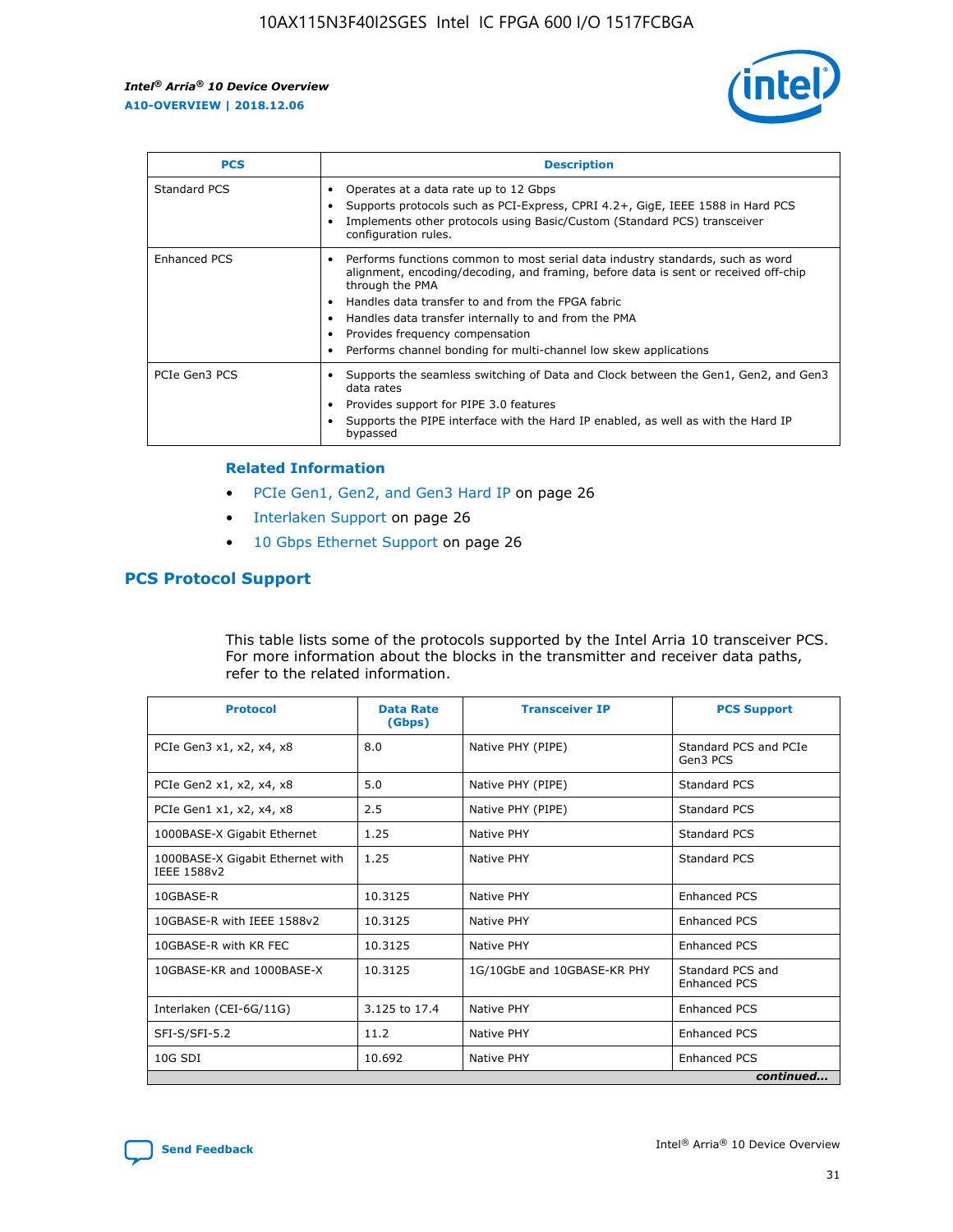

| <b>PCS</b>    | <b>Description</b>                                                                                                                                                                                                                                                                                                                                                                                             |
|---------------|----------------------------------------------------------------------------------------------------------------------------------------------------------------------------------------------------------------------------------------------------------------------------------------------------------------------------------------------------------------------------------------------------------------|
| Standard PCS  | Operates at a data rate up to 12 Gbps<br>Supports protocols such as PCI-Express, CPRI 4.2+, GigE, IEEE 1588 in Hard PCS<br>Implements other protocols using Basic/Custom (Standard PCS) transceiver<br>configuration rules.                                                                                                                                                                                    |
| Enhanced PCS  | Performs functions common to most serial data industry standards, such as word<br>alignment, encoding/decoding, and framing, before data is sent or received off-chip<br>through the PMA<br>• Handles data transfer to and from the FPGA fabric<br>Handles data transfer internally to and from the PMA<br>Provides frequency compensation<br>Performs channel bonding for multi-channel low skew applications |
| PCIe Gen3 PCS | Supports the seamless switching of Data and Clock between the Gen1, Gen2, and Gen3<br>data rates<br>Provides support for PIPE 3.0 features<br>Supports the PIPE interface with the Hard IP enabled, as well as with the Hard IP<br>bypassed                                                                                                                                                                    |

#### **Related Information**

- PCIe Gen1, Gen2, and Gen3 Hard IP on page 26
- Interlaken Support on page 26
- 10 Gbps Ethernet Support on page 26

# **PCS Protocol Support**

This table lists some of the protocols supported by the Intel Arria 10 transceiver PCS. For more information about the blocks in the transmitter and receiver data paths, refer to the related information.

| <b>Protocol</b>                                 | <b>Data Rate</b><br>(Gbps) | <b>Transceiver IP</b>       | <b>PCS Support</b>                      |
|-------------------------------------------------|----------------------------|-----------------------------|-----------------------------------------|
| PCIe Gen3 x1, x2, x4, x8                        | 8.0                        | Native PHY (PIPE)           | Standard PCS and PCIe<br>Gen3 PCS       |
| PCIe Gen2 x1, x2, x4, x8                        | 5.0                        | Native PHY (PIPE)           | <b>Standard PCS</b>                     |
| PCIe Gen1 x1, x2, x4, x8                        | 2.5                        | Native PHY (PIPE)           | Standard PCS                            |
| 1000BASE-X Gigabit Ethernet                     | 1.25                       | Native PHY                  | <b>Standard PCS</b>                     |
| 1000BASE-X Gigabit Ethernet with<br>IEEE 1588v2 | 1.25                       | Native PHY                  | Standard PCS                            |
| 10GBASE-R                                       | 10.3125                    | Native PHY                  | Enhanced PCS                            |
| 10GBASE-R with IEEE 1588v2                      | 10.3125                    | Native PHY                  | <b>Enhanced PCS</b>                     |
| 10GBASE-R with KR FEC                           | 10.3125                    | Native PHY                  | Enhanced PCS                            |
| 10GBASE-KR and 1000BASE-X                       | 10.3125                    | 1G/10GbE and 10GBASE-KR PHY | Standard PCS and<br><b>Enhanced PCS</b> |
| Interlaken (CEI-6G/11G)                         | 3.125 to 17.4              | Native PHY                  | <b>Enhanced PCS</b>                     |
| SFI-S/SFI-5.2                                   | 11.2                       | Native PHY                  | <b>Enhanced PCS</b>                     |
| 10G SDI                                         | 10.692                     | Native PHY                  | Enhanced PCS                            |
|                                                 |                            |                             | continued                               |

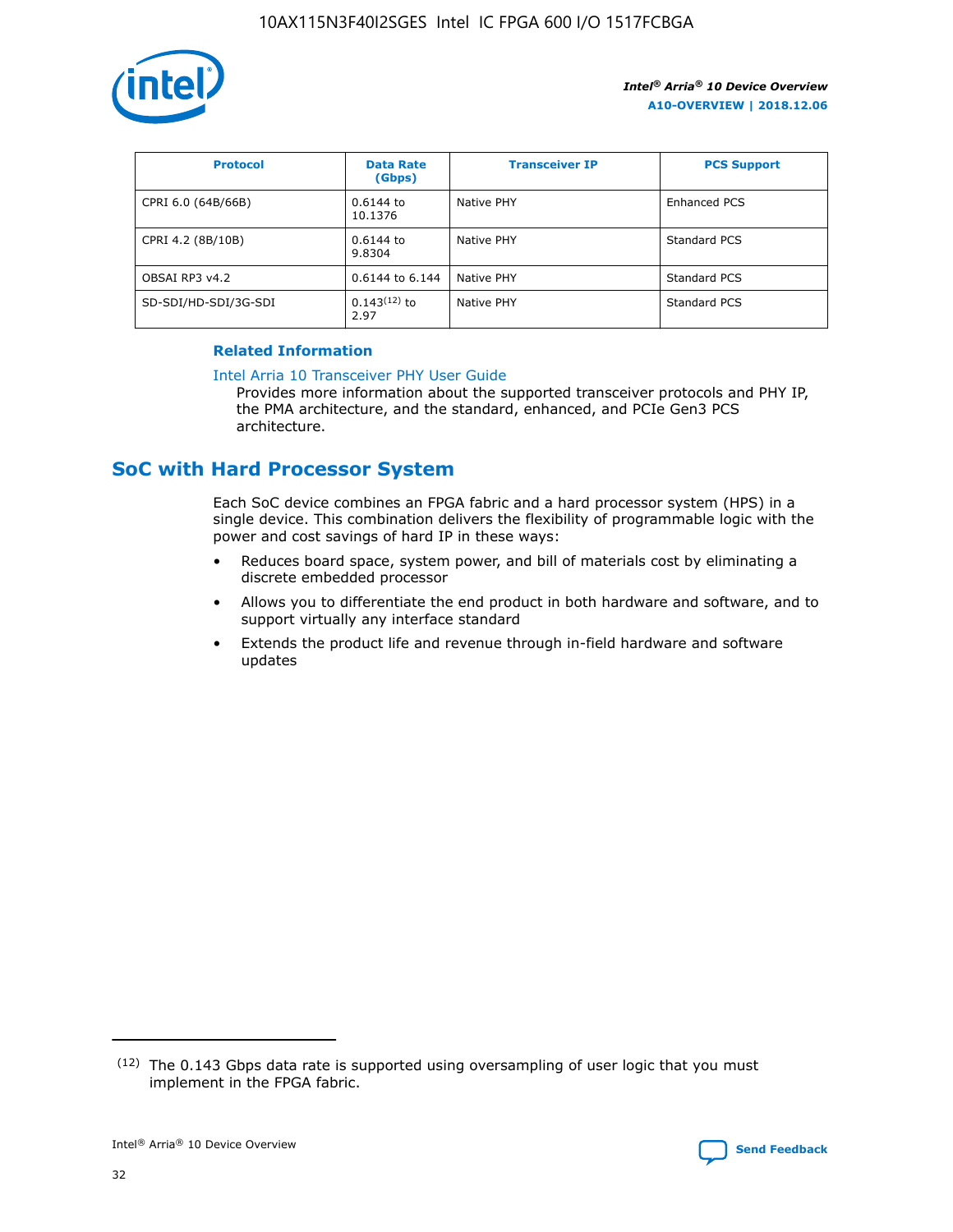

| <b>Protocol</b>      | <b>Data Rate</b><br>(Gbps) | <b>Transceiver IP</b> | <b>PCS Support</b> |
|----------------------|----------------------------|-----------------------|--------------------|
| CPRI 6.0 (64B/66B)   | 0.6144 to<br>10.1376       | Native PHY            | Enhanced PCS       |
| CPRI 4.2 (8B/10B)    | 0.6144 to<br>9.8304        | Native PHY            | Standard PCS       |
| OBSAI RP3 v4.2       | 0.6144 to 6.144            | Native PHY            | Standard PCS       |
| SD-SDI/HD-SDI/3G-SDI | $0.143(12)$ to<br>2.97     | Native PHY            | Standard PCS       |

# **Related Information**

#### [Intel Arria 10 Transceiver PHY User Guide](https://www.intel.com/content/www/us/en/programmable/documentation/nik1398707230472.html#nik1398707091164)

Provides more information about the supported transceiver protocols and PHY IP, the PMA architecture, and the standard, enhanced, and PCIe Gen3 PCS architecture.

# **SoC with Hard Processor System**

Each SoC device combines an FPGA fabric and a hard processor system (HPS) in a single device. This combination delivers the flexibility of programmable logic with the power and cost savings of hard IP in these ways:

- Reduces board space, system power, and bill of materials cost by eliminating a discrete embedded processor
- Allows you to differentiate the end product in both hardware and software, and to support virtually any interface standard
- Extends the product life and revenue through in-field hardware and software updates

 $(12)$  The 0.143 Gbps data rate is supported using oversampling of user logic that you must implement in the FPGA fabric.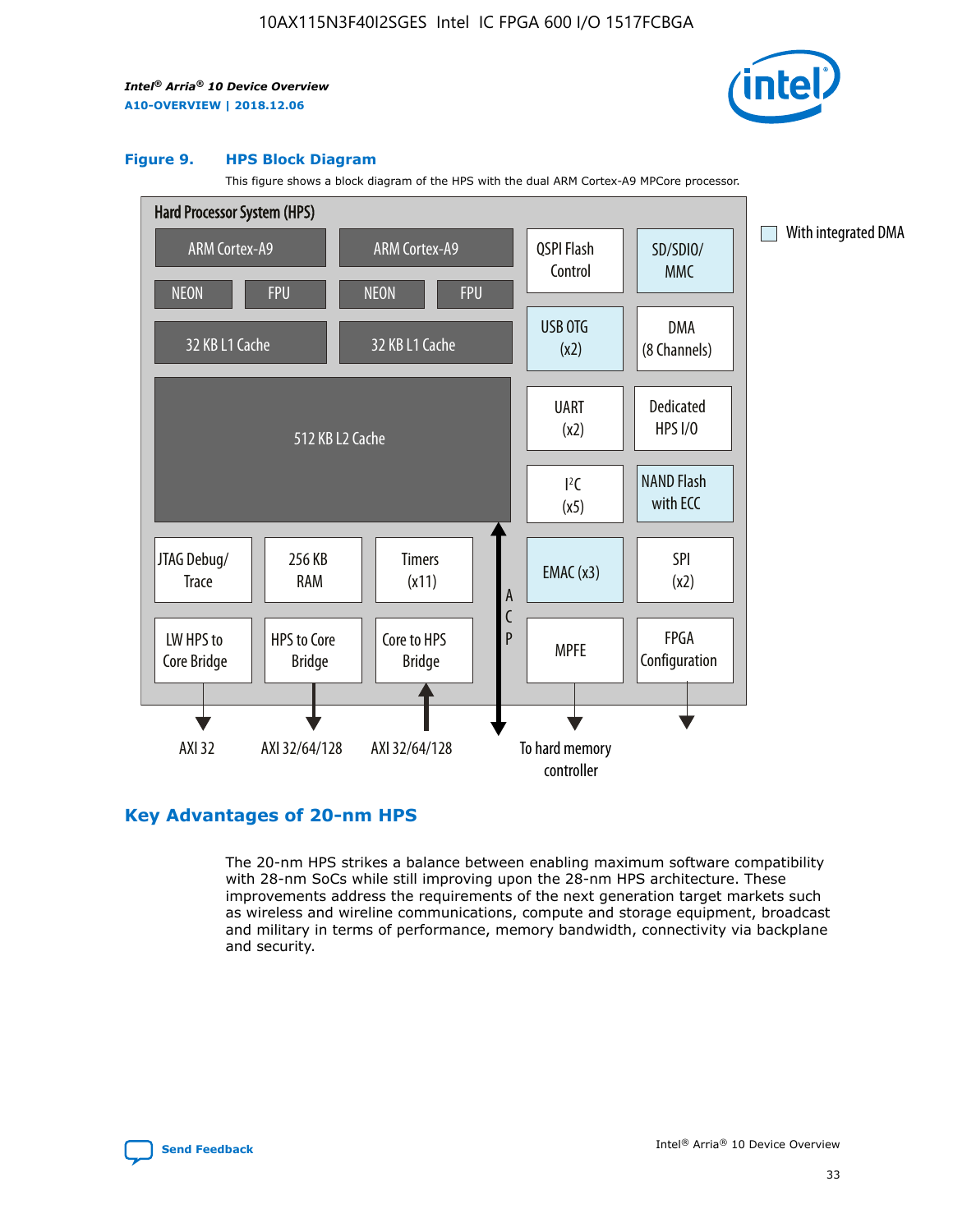

#### **Figure 9. HPS Block Diagram**

This figure shows a block diagram of the HPS with the dual ARM Cortex-A9 MPCore processor.



# **Key Advantages of 20-nm HPS**

The 20-nm HPS strikes a balance between enabling maximum software compatibility with 28-nm SoCs while still improving upon the 28-nm HPS architecture. These improvements address the requirements of the next generation target markets such as wireless and wireline communications, compute and storage equipment, broadcast and military in terms of performance, memory bandwidth, connectivity via backplane and security.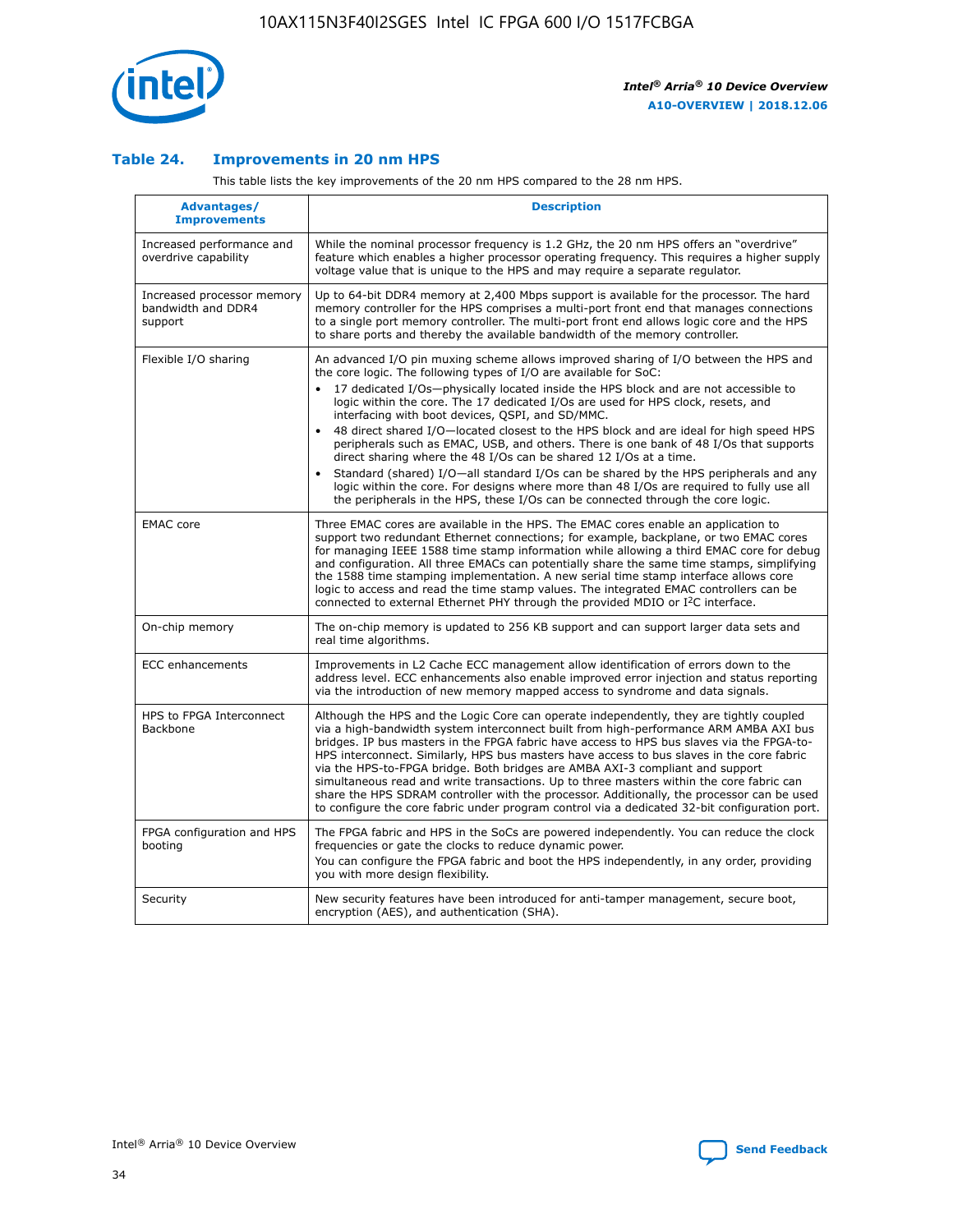

## **Table 24. Improvements in 20 nm HPS**

This table lists the key improvements of the 20 nm HPS compared to the 28 nm HPS.

| Advantages/<br><b>Improvements</b>                          | <b>Description</b>                                                                                                                                                                                                                                                                                                                                                                                                                                                                                                                                                                                                                                                                                                                                                                                                                   |
|-------------------------------------------------------------|--------------------------------------------------------------------------------------------------------------------------------------------------------------------------------------------------------------------------------------------------------------------------------------------------------------------------------------------------------------------------------------------------------------------------------------------------------------------------------------------------------------------------------------------------------------------------------------------------------------------------------------------------------------------------------------------------------------------------------------------------------------------------------------------------------------------------------------|
| Increased performance and<br>overdrive capability           | While the nominal processor frequency is 1.2 GHz, the 20 nm HPS offers an "overdrive"<br>feature which enables a higher processor operating frequency. This requires a higher supply<br>voltage value that is unique to the HPS and may require a separate regulator.                                                                                                                                                                                                                                                                                                                                                                                                                                                                                                                                                                |
| Increased processor memory<br>bandwidth and DDR4<br>support | Up to 64-bit DDR4 memory at 2,400 Mbps support is available for the processor. The hard<br>memory controller for the HPS comprises a multi-port front end that manages connections<br>to a single port memory controller. The multi-port front end allows logic core and the HPS<br>to share ports and thereby the available bandwidth of the memory controller.                                                                                                                                                                                                                                                                                                                                                                                                                                                                     |
| Flexible I/O sharing                                        | An advanced I/O pin muxing scheme allows improved sharing of I/O between the HPS and<br>the core logic. The following types of I/O are available for SoC:<br>17 dedicated I/Os-physically located inside the HPS block and are not accessible to<br>logic within the core. The 17 dedicated I/Os are used for HPS clock, resets, and<br>interfacing with boot devices, QSPI, and SD/MMC.<br>48 direct shared I/O-located closest to the HPS block and are ideal for high speed HPS<br>peripherals such as EMAC, USB, and others. There is one bank of 48 I/Os that supports<br>direct sharing where the 48 I/Os can be shared 12 I/Os at a time.<br>Standard (shared) I/O-all standard I/Os can be shared by the HPS peripherals and any<br>logic within the core. For designs where more than 48 I/Os are reguired to fully use all |
| <b>EMAC</b> core                                            | the peripherals in the HPS, these I/Os can be connected through the core logic.<br>Three EMAC cores are available in the HPS. The EMAC cores enable an application to<br>support two redundant Ethernet connections; for example, backplane, or two EMAC cores<br>for managing IEEE 1588 time stamp information while allowing a third EMAC core for debug<br>and configuration. All three EMACs can potentially share the same time stamps, simplifying<br>the 1588 time stamping implementation. A new serial time stamp interface allows core<br>logic to access and read the time stamp values. The integrated EMAC controllers can be<br>connected to external Ethernet PHY through the provided MDIO or I <sup>2</sup> C interface.                                                                                            |
| On-chip memory                                              | The on-chip memory is updated to 256 KB support and can support larger data sets and<br>real time algorithms.                                                                                                                                                                                                                                                                                                                                                                                                                                                                                                                                                                                                                                                                                                                        |
| ECC enhancements                                            | Improvements in L2 Cache ECC management allow identification of errors down to the<br>address level. ECC enhancements also enable improved error injection and status reporting<br>via the introduction of new memory mapped access to syndrome and data signals.                                                                                                                                                                                                                                                                                                                                                                                                                                                                                                                                                                    |
| HPS to FPGA Interconnect<br>Backbone                        | Although the HPS and the Logic Core can operate independently, they are tightly coupled<br>via a high-bandwidth system interconnect built from high-performance ARM AMBA AXI bus<br>bridges. IP bus masters in the FPGA fabric have access to HPS bus slaves via the FPGA-to-<br>HPS interconnect. Similarly, HPS bus masters have access to bus slaves in the core fabric<br>via the HPS-to-FPGA bridge. Both bridges are AMBA AXI-3 compliant and support<br>simultaneous read and write transactions. Up to three masters within the core fabric can<br>share the HPS SDRAM controller with the processor. Additionally, the processor can be used<br>to configure the core fabric under program control via a dedicated 32-bit configuration port.                                                                               |
| FPGA configuration and HPS<br>booting                       | The FPGA fabric and HPS in the SoCs are powered independently. You can reduce the clock<br>frequencies or gate the clocks to reduce dynamic power.<br>You can configure the FPGA fabric and boot the HPS independently, in any order, providing<br>you with more design flexibility.                                                                                                                                                                                                                                                                                                                                                                                                                                                                                                                                                 |
| Security                                                    | New security features have been introduced for anti-tamper management, secure boot,<br>encryption (AES), and authentication (SHA).                                                                                                                                                                                                                                                                                                                                                                                                                                                                                                                                                                                                                                                                                                   |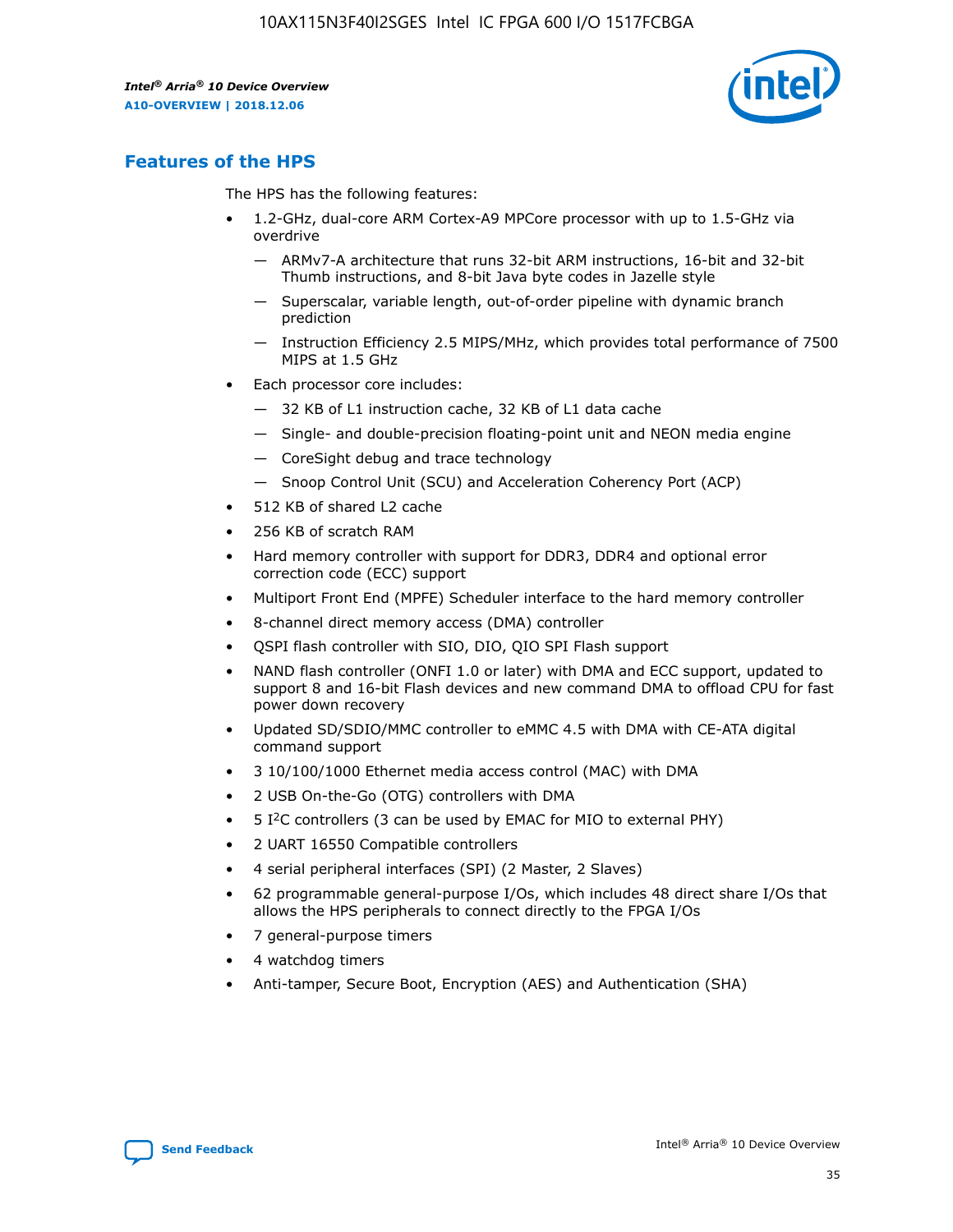

# **Features of the HPS**

The HPS has the following features:

- 1.2-GHz, dual-core ARM Cortex-A9 MPCore processor with up to 1.5-GHz via overdrive
	- ARMv7-A architecture that runs 32-bit ARM instructions, 16-bit and 32-bit Thumb instructions, and 8-bit Java byte codes in Jazelle style
	- Superscalar, variable length, out-of-order pipeline with dynamic branch prediction
	- Instruction Efficiency 2.5 MIPS/MHz, which provides total performance of 7500 MIPS at 1.5 GHz
- Each processor core includes:
	- 32 KB of L1 instruction cache, 32 KB of L1 data cache
	- Single- and double-precision floating-point unit and NEON media engine
	- CoreSight debug and trace technology
	- Snoop Control Unit (SCU) and Acceleration Coherency Port (ACP)
- 512 KB of shared L2 cache
- 256 KB of scratch RAM
- Hard memory controller with support for DDR3, DDR4 and optional error correction code (ECC) support
- Multiport Front End (MPFE) Scheduler interface to the hard memory controller
- 8-channel direct memory access (DMA) controller
- QSPI flash controller with SIO, DIO, QIO SPI Flash support
- NAND flash controller (ONFI 1.0 or later) with DMA and ECC support, updated to support 8 and 16-bit Flash devices and new command DMA to offload CPU for fast power down recovery
- Updated SD/SDIO/MMC controller to eMMC 4.5 with DMA with CE-ATA digital command support
- 3 10/100/1000 Ethernet media access control (MAC) with DMA
- 2 USB On-the-Go (OTG) controllers with DMA
- $\bullet$  5 I<sup>2</sup>C controllers (3 can be used by EMAC for MIO to external PHY)
- 2 UART 16550 Compatible controllers
- 4 serial peripheral interfaces (SPI) (2 Master, 2 Slaves)
- 62 programmable general-purpose I/Os, which includes 48 direct share I/Os that allows the HPS peripherals to connect directly to the FPGA I/Os
- 7 general-purpose timers
- 4 watchdog timers
- Anti-tamper, Secure Boot, Encryption (AES) and Authentication (SHA)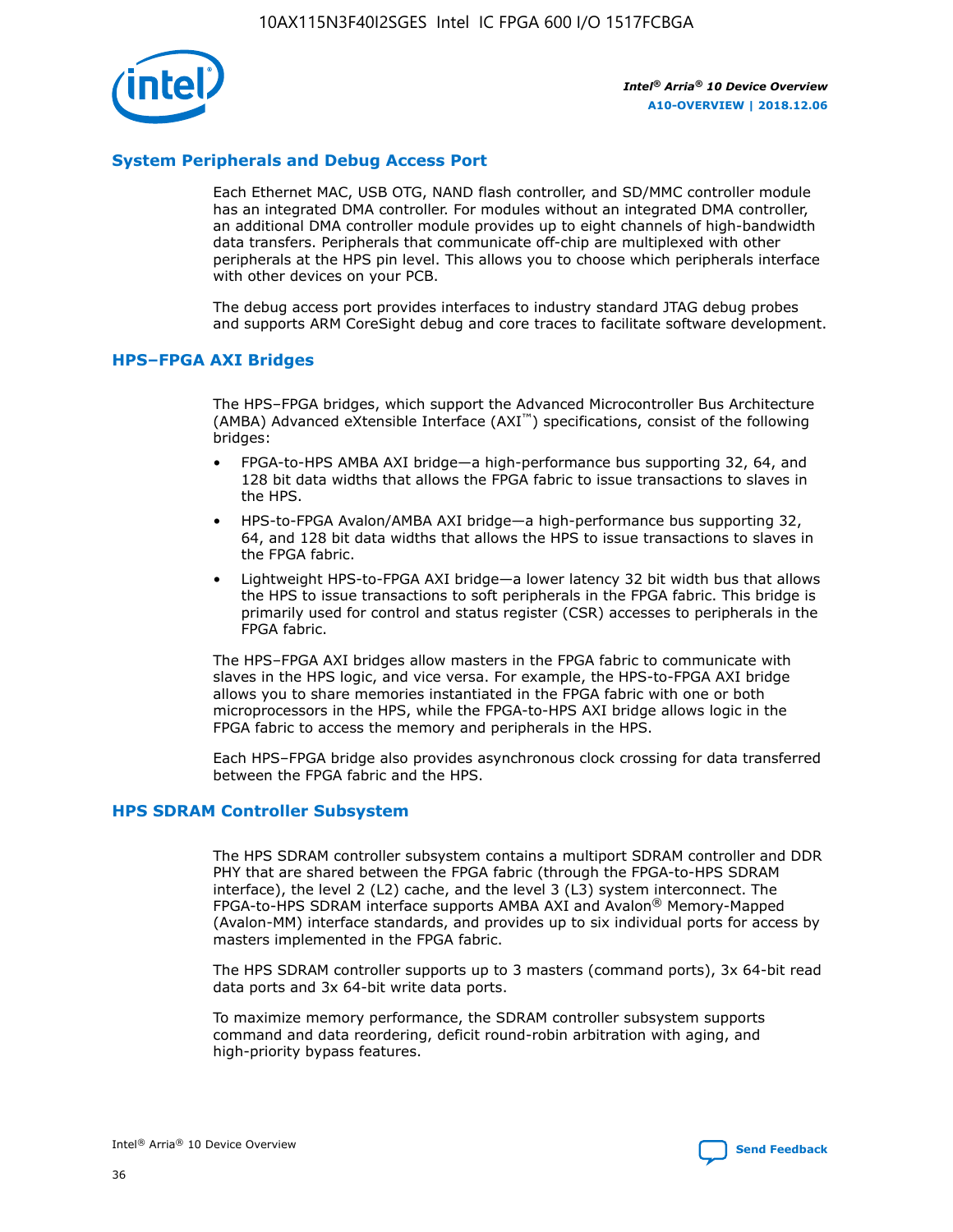

# **System Peripherals and Debug Access Port**

Each Ethernet MAC, USB OTG, NAND flash controller, and SD/MMC controller module has an integrated DMA controller. For modules without an integrated DMA controller, an additional DMA controller module provides up to eight channels of high-bandwidth data transfers. Peripherals that communicate off-chip are multiplexed with other peripherals at the HPS pin level. This allows you to choose which peripherals interface with other devices on your PCB.

The debug access port provides interfaces to industry standard JTAG debug probes and supports ARM CoreSight debug and core traces to facilitate software development.

## **HPS–FPGA AXI Bridges**

The HPS–FPGA bridges, which support the Advanced Microcontroller Bus Architecture (AMBA) Advanced eXtensible Interface (AXI™) specifications, consist of the following bridges:

- FPGA-to-HPS AMBA AXI bridge—a high-performance bus supporting 32, 64, and 128 bit data widths that allows the FPGA fabric to issue transactions to slaves in the HPS.
- HPS-to-FPGA Avalon/AMBA AXI bridge—a high-performance bus supporting 32, 64, and 128 bit data widths that allows the HPS to issue transactions to slaves in the FPGA fabric.
- Lightweight HPS-to-FPGA AXI bridge—a lower latency 32 bit width bus that allows the HPS to issue transactions to soft peripherals in the FPGA fabric. This bridge is primarily used for control and status register (CSR) accesses to peripherals in the FPGA fabric.

The HPS–FPGA AXI bridges allow masters in the FPGA fabric to communicate with slaves in the HPS logic, and vice versa. For example, the HPS-to-FPGA AXI bridge allows you to share memories instantiated in the FPGA fabric with one or both microprocessors in the HPS, while the FPGA-to-HPS AXI bridge allows logic in the FPGA fabric to access the memory and peripherals in the HPS.

Each HPS–FPGA bridge also provides asynchronous clock crossing for data transferred between the FPGA fabric and the HPS.

#### **HPS SDRAM Controller Subsystem**

The HPS SDRAM controller subsystem contains a multiport SDRAM controller and DDR PHY that are shared between the FPGA fabric (through the FPGA-to-HPS SDRAM interface), the level 2 (L2) cache, and the level 3 (L3) system interconnect. The FPGA-to-HPS SDRAM interface supports AMBA AXI and Avalon® Memory-Mapped (Avalon-MM) interface standards, and provides up to six individual ports for access by masters implemented in the FPGA fabric.

The HPS SDRAM controller supports up to 3 masters (command ports), 3x 64-bit read data ports and 3x 64-bit write data ports.

To maximize memory performance, the SDRAM controller subsystem supports command and data reordering, deficit round-robin arbitration with aging, and high-priority bypass features.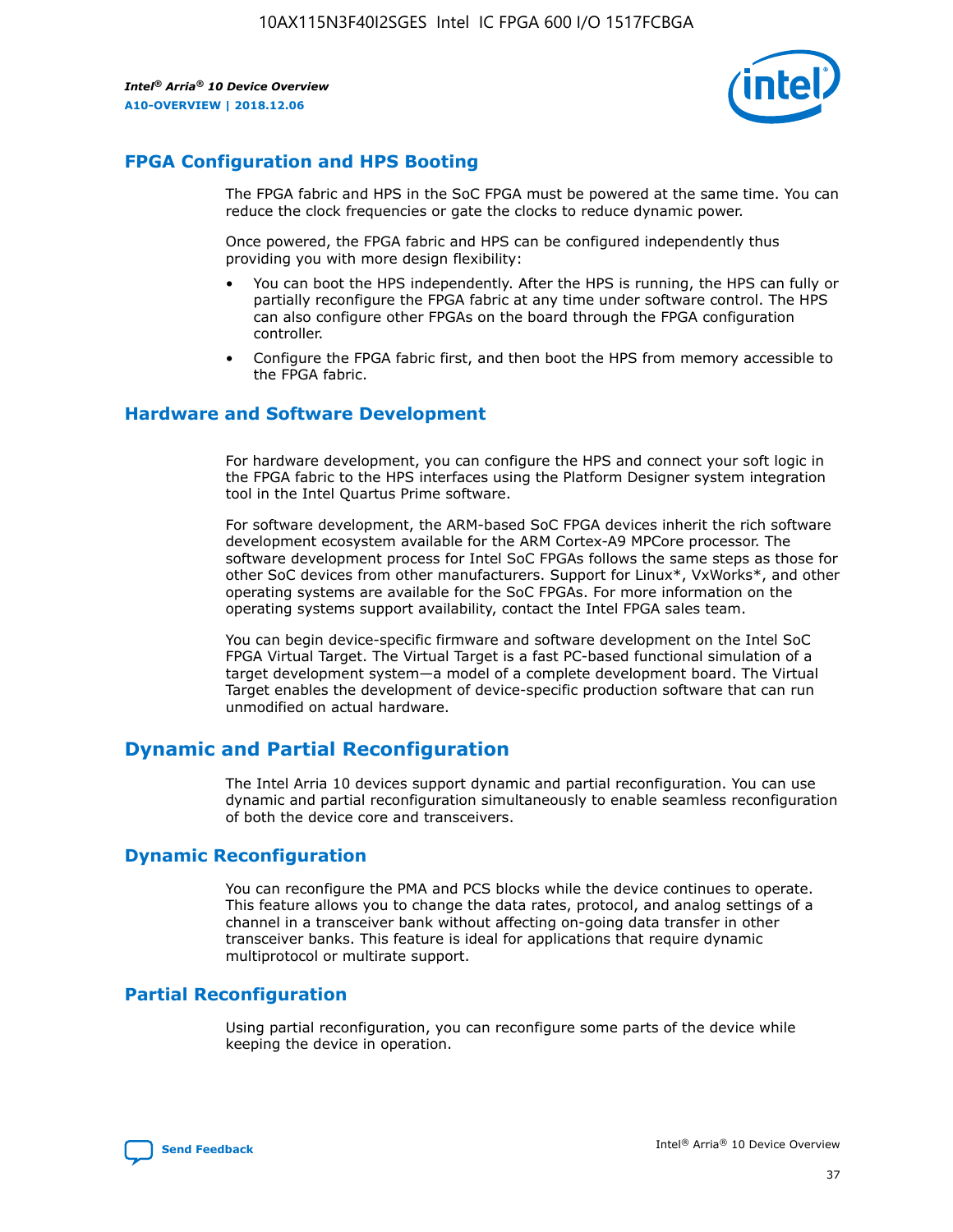

# **FPGA Configuration and HPS Booting**

The FPGA fabric and HPS in the SoC FPGA must be powered at the same time. You can reduce the clock frequencies or gate the clocks to reduce dynamic power.

Once powered, the FPGA fabric and HPS can be configured independently thus providing you with more design flexibility:

- You can boot the HPS independently. After the HPS is running, the HPS can fully or partially reconfigure the FPGA fabric at any time under software control. The HPS can also configure other FPGAs on the board through the FPGA configuration controller.
- Configure the FPGA fabric first, and then boot the HPS from memory accessible to the FPGA fabric.

## **Hardware and Software Development**

For hardware development, you can configure the HPS and connect your soft logic in the FPGA fabric to the HPS interfaces using the Platform Designer system integration tool in the Intel Quartus Prime software.

For software development, the ARM-based SoC FPGA devices inherit the rich software development ecosystem available for the ARM Cortex-A9 MPCore processor. The software development process for Intel SoC FPGAs follows the same steps as those for other SoC devices from other manufacturers. Support for Linux\*, VxWorks\*, and other operating systems are available for the SoC FPGAs. For more information on the operating systems support availability, contact the Intel FPGA sales team.

You can begin device-specific firmware and software development on the Intel SoC FPGA Virtual Target. The Virtual Target is a fast PC-based functional simulation of a target development system—a model of a complete development board. The Virtual Target enables the development of device-specific production software that can run unmodified on actual hardware.

# **Dynamic and Partial Reconfiguration**

The Intel Arria 10 devices support dynamic and partial reconfiguration. You can use dynamic and partial reconfiguration simultaneously to enable seamless reconfiguration of both the device core and transceivers.

# **Dynamic Reconfiguration**

You can reconfigure the PMA and PCS blocks while the device continues to operate. This feature allows you to change the data rates, protocol, and analog settings of a channel in a transceiver bank without affecting on-going data transfer in other transceiver banks. This feature is ideal for applications that require dynamic multiprotocol or multirate support.

# **Partial Reconfiguration**

Using partial reconfiguration, you can reconfigure some parts of the device while keeping the device in operation.

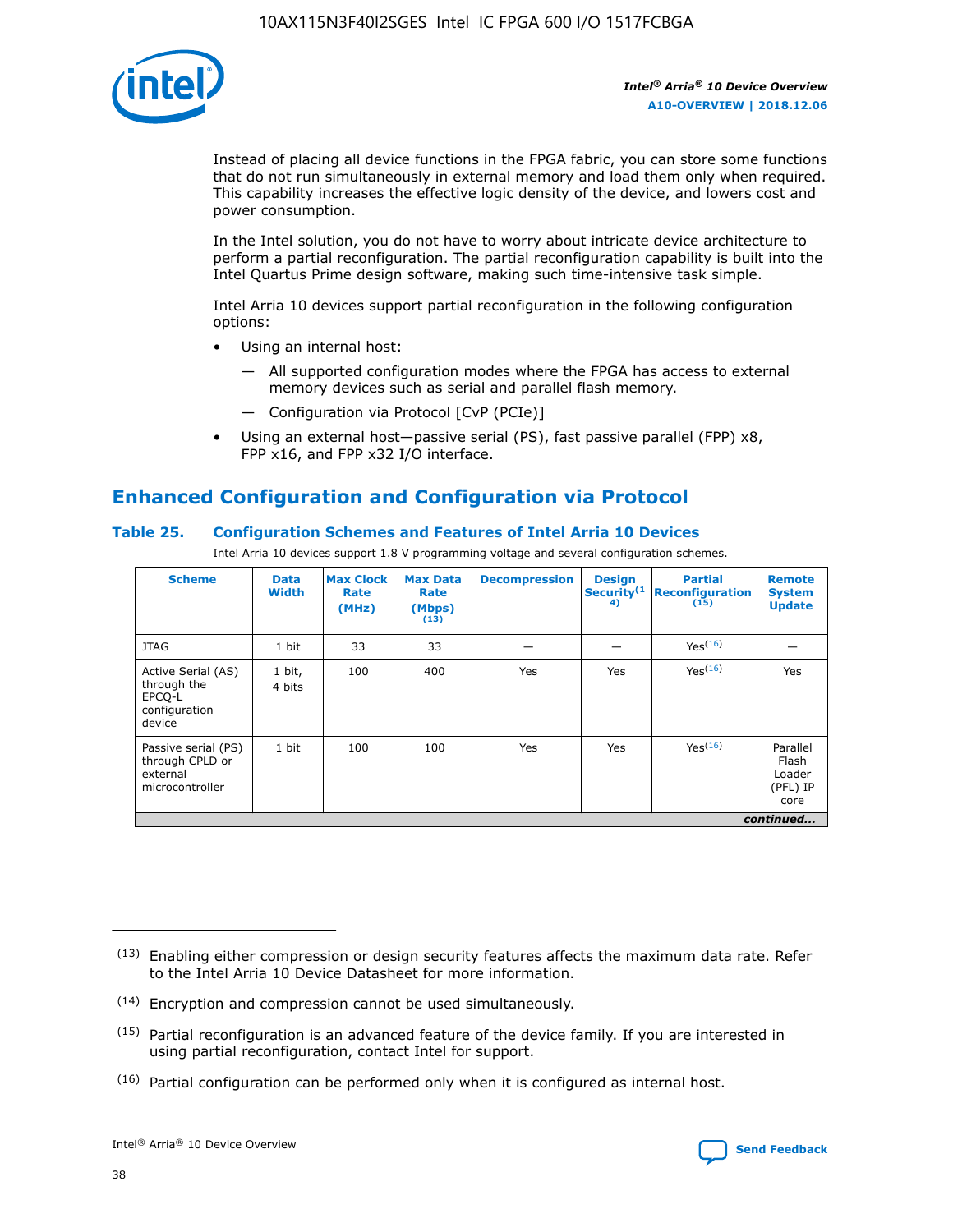

Instead of placing all device functions in the FPGA fabric, you can store some functions that do not run simultaneously in external memory and load them only when required. This capability increases the effective logic density of the device, and lowers cost and power consumption.

In the Intel solution, you do not have to worry about intricate device architecture to perform a partial reconfiguration. The partial reconfiguration capability is built into the Intel Quartus Prime design software, making such time-intensive task simple.

Intel Arria 10 devices support partial reconfiguration in the following configuration options:

- Using an internal host:
	- All supported configuration modes where the FPGA has access to external memory devices such as serial and parallel flash memory.
	- Configuration via Protocol [CvP (PCIe)]
- Using an external host—passive serial (PS), fast passive parallel (FPP) x8, FPP x16, and FPP x32 I/O interface.

# **Enhanced Configuration and Configuration via Protocol**

# **Table 25. Configuration Schemes and Features of Intel Arria 10 Devices**

Intel Arria 10 devices support 1.8 V programming voltage and several configuration schemes.

| <b>Scheme</b>                                                          | <b>Data</b><br><b>Width</b> | <b>Max Clock</b><br>Rate<br>(MHz) | <b>Max Data</b><br>Rate<br>(Mbps)<br>(13) | <b>Decompression</b> | <b>Design</b><br>Security <sup>(1</sup><br>4) | <b>Partial</b><br><b>Reconfiguration</b><br>(15) | <b>Remote</b><br><b>System</b><br><b>Update</b> |
|------------------------------------------------------------------------|-----------------------------|-----------------------------------|-------------------------------------------|----------------------|-----------------------------------------------|--------------------------------------------------|-------------------------------------------------|
| <b>JTAG</b>                                                            | 1 bit                       | 33                                | 33                                        |                      |                                               | Yes(16)                                          |                                                 |
| Active Serial (AS)<br>through the<br>EPCO-L<br>configuration<br>device | 1 bit,<br>4 bits            | 100                               | 400                                       | Yes                  | Yes                                           | $Y_{PS}(16)$                                     | Yes                                             |
| Passive serial (PS)<br>through CPLD or<br>external<br>microcontroller  | 1 bit                       | 100                               | 100                                       | Yes                  | Yes                                           | Yes(16)                                          | Parallel<br>Flash<br>Loader<br>(PFL) IP<br>core |
|                                                                        | continued                   |                                   |                                           |                      |                                               |                                                  |                                                 |

<sup>(13)</sup> Enabling either compression or design security features affects the maximum data rate. Refer to the Intel Arria 10 Device Datasheet for more information.

<sup>(14)</sup> Encryption and compression cannot be used simultaneously.

 $<sup>(15)</sup>$  Partial reconfiguration is an advanced feature of the device family. If you are interested in</sup> using partial reconfiguration, contact Intel for support.

 $(16)$  Partial configuration can be performed only when it is configured as internal host.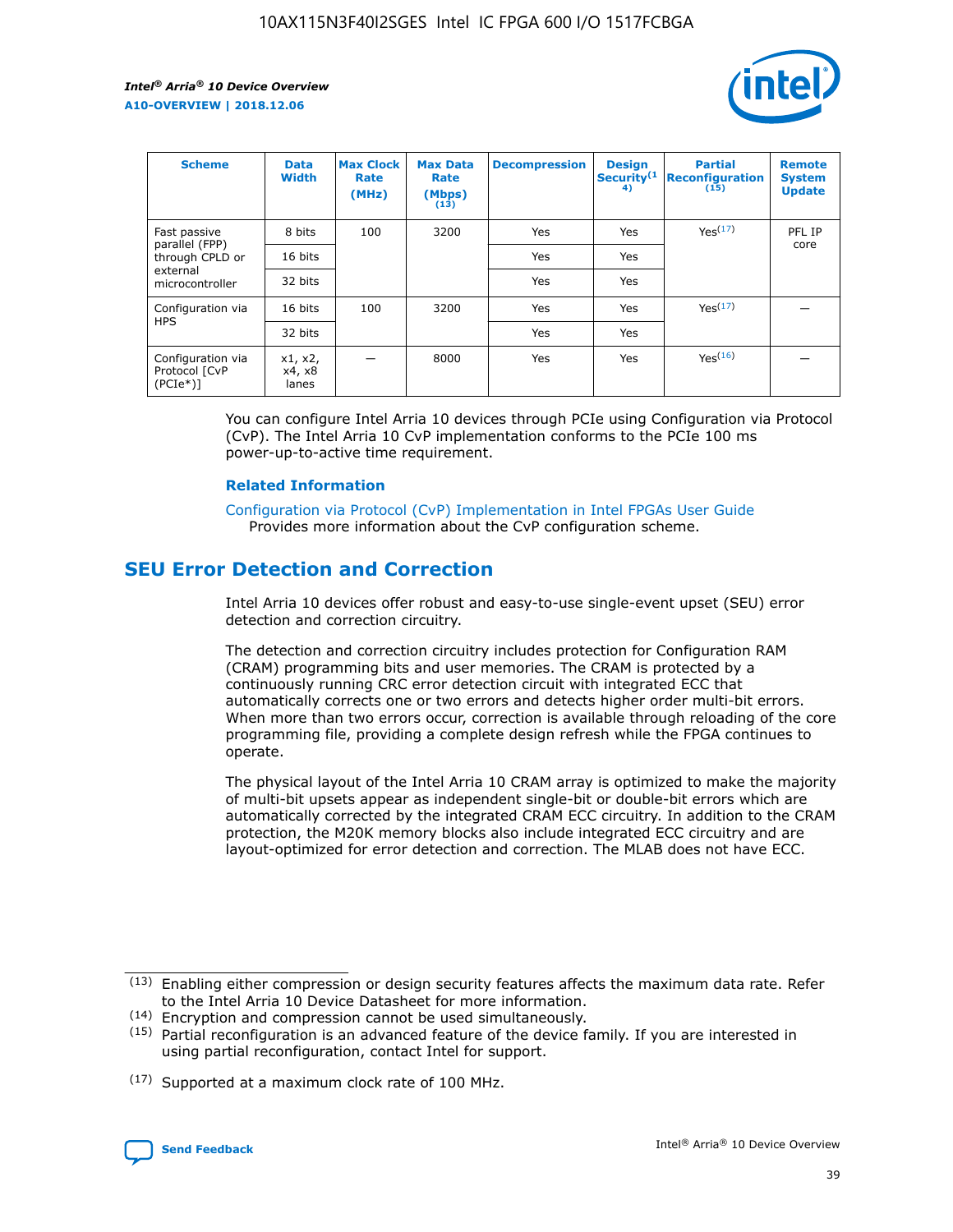

| <b>Scheme</b>                                    | <b>Data</b><br><b>Width</b> | <b>Max Clock</b><br>Rate<br>(MHz) | <b>Max Data</b><br>Rate<br>(Mbps)<br>(13) | <b>Decompression</b> | <b>Design</b><br>Security <sup>(1</sup><br>4) | <b>Partial</b><br><b>Reconfiguration</b><br>(15) | <b>Remote</b><br><b>System</b><br><b>Update</b> |
|--------------------------------------------------|-----------------------------|-----------------------------------|-------------------------------------------|----------------------|-----------------------------------------------|--------------------------------------------------|-------------------------------------------------|
| Fast passive                                     | 8 bits                      | 100                               | 3200                                      | Yes                  | Yes                                           | Yes(17)                                          | PFL IP                                          |
| parallel (FPP)<br>through CPLD or                | 16 bits                     |                                   |                                           | Yes                  | Yes                                           |                                                  | core                                            |
| external<br>microcontroller                      | 32 bits                     |                                   |                                           | Yes                  | Yes                                           |                                                  |                                                 |
| Configuration via                                | 16 bits                     | 100                               | 3200                                      | Yes                  | Yes                                           | Yes <sup>(17)</sup>                              |                                                 |
| <b>HPS</b>                                       | 32 bits                     |                                   |                                           | Yes                  | Yes                                           |                                                  |                                                 |
| Configuration via<br>Protocol [CvP<br>$(PCIe^*)$ | x1, x2,<br>x4, x8<br>lanes  |                                   | 8000                                      | Yes                  | Yes                                           | Yes <sup>(16)</sup>                              |                                                 |

You can configure Intel Arria 10 devices through PCIe using Configuration via Protocol (CvP). The Intel Arria 10 CvP implementation conforms to the PCIe 100 ms power-up-to-active time requirement.

#### **Related Information**

[Configuration via Protocol \(CvP\) Implementation in Intel FPGAs User Guide](https://www.intel.com/content/www/us/en/programmable/documentation/dsu1441819344145.html#dsu1442269728522) Provides more information about the CvP configuration scheme.

# **SEU Error Detection and Correction**

Intel Arria 10 devices offer robust and easy-to-use single-event upset (SEU) error detection and correction circuitry.

The detection and correction circuitry includes protection for Configuration RAM (CRAM) programming bits and user memories. The CRAM is protected by a continuously running CRC error detection circuit with integrated ECC that automatically corrects one or two errors and detects higher order multi-bit errors. When more than two errors occur, correction is available through reloading of the core programming file, providing a complete design refresh while the FPGA continues to operate.

The physical layout of the Intel Arria 10 CRAM array is optimized to make the majority of multi-bit upsets appear as independent single-bit or double-bit errors which are automatically corrected by the integrated CRAM ECC circuitry. In addition to the CRAM protection, the M20K memory blocks also include integrated ECC circuitry and are layout-optimized for error detection and correction. The MLAB does not have ECC.

(14) Encryption and compression cannot be used simultaneously.

<sup>(17)</sup> Supported at a maximum clock rate of 100 MHz.



 $(13)$  Enabling either compression or design security features affects the maximum data rate. Refer to the Intel Arria 10 Device Datasheet for more information.

 $(15)$  Partial reconfiguration is an advanced feature of the device family. If you are interested in using partial reconfiguration, contact Intel for support.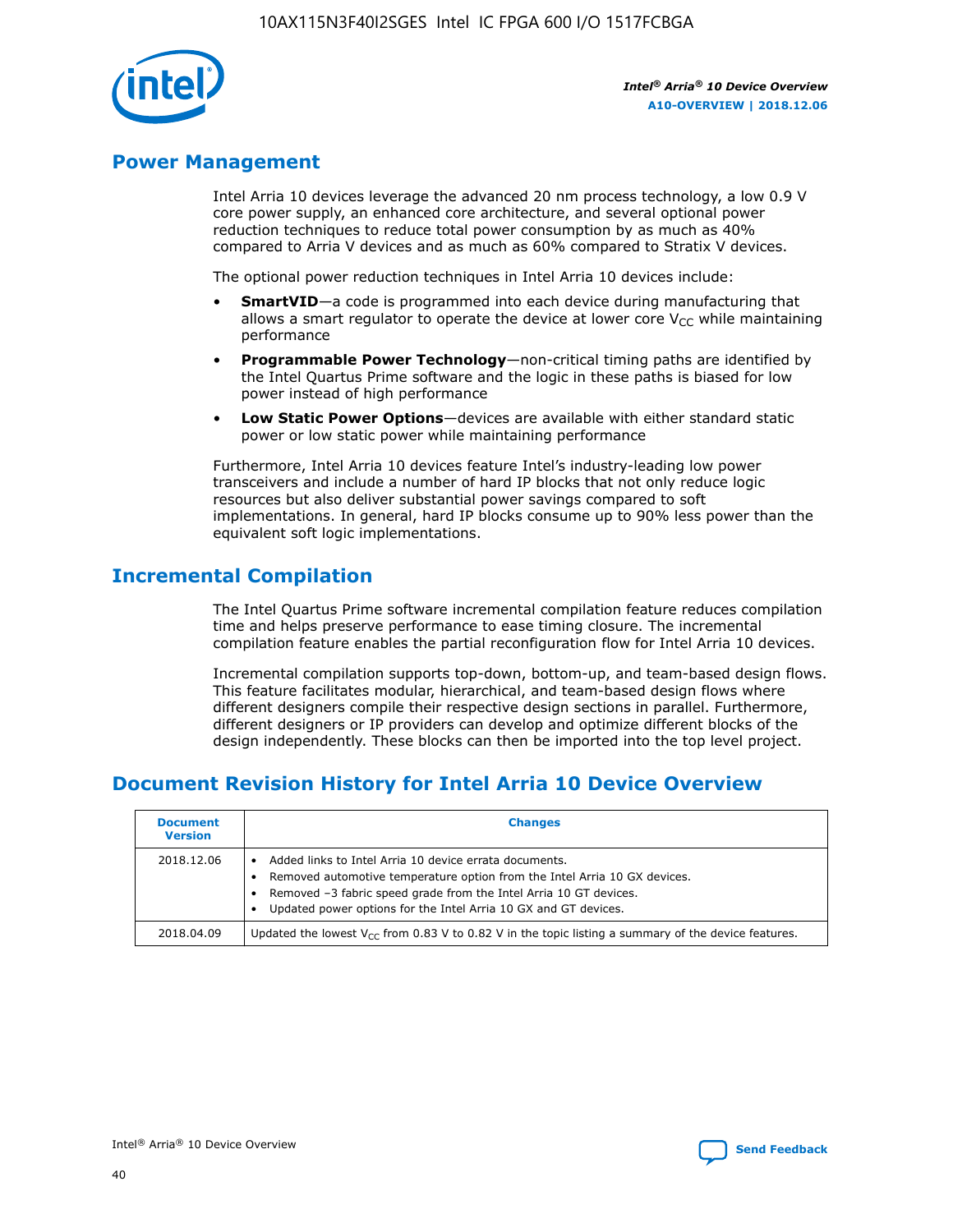

# **Power Management**

Intel Arria 10 devices leverage the advanced 20 nm process technology, a low 0.9 V core power supply, an enhanced core architecture, and several optional power reduction techniques to reduce total power consumption by as much as 40% compared to Arria V devices and as much as 60% compared to Stratix V devices.

The optional power reduction techniques in Intel Arria 10 devices include:

- **SmartVID**—a code is programmed into each device during manufacturing that allows a smart regulator to operate the device at lower core  $V_{CC}$  while maintaining performance
- **Programmable Power Technology**—non-critical timing paths are identified by the Intel Quartus Prime software and the logic in these paths is biased for low power instead of high performance
- **Low Static Power Options**—devices are available with either standard static power or low static power while maintaining performance

Furthermore, Intel Arria 10 devices feature Intel's industry-leading low power transceivers and include a number of hard IP blocks that not only reduce logic resources but also deliver substantial power savings compared to soft implementations. In general, hard IP blocks consume up to 90% less power than the equivalent soft logic implementations.

# **Incremental Compilation**

The Intel Quartus Prime software incremental compilation feature reduces compilation time and helps preserve performance to ease timing closure. The incremental compilation feature enables the partial reconfiguration flow for Intel Arria 10 devices.

Incremental compilation supports top-down, bottom-up, and team-based design flows. This feature facilitates modular, hierarchical, and team-based design flows where different designers compile their respective design sections in parallel. Furthermore, different designers or IP providers can develop and optimize different blocks of the design independently. These blocks can then be imported into the top level project.

# **Document Revision History for Intel Arria 10 Device Overview**

| <b>Document</b><br><b>Version</b> | <b>Changes</b>                                                                                                                                                                                                                                                              |
|-----------------------------------|-----------------------------------------------------------------------------------------------------------------------------------------------------------------------------------------------------------------------------------------------------------------------------|
| 2018.12.06                        | Added links to Intel Arria 10 device errata documents.<br>Removed automotive temperature option from the Intel Arria 10 GX devices.<br>Removed -3 fabric speed grade from the Intel Arria 10 GT devices.<br>Updated power options for the Intel Arria 10 GX and GT devices. |
| 2018.04.09                        | Updated the lowest $V_{CC}$ from 0.83 V to 0.82 V in the topic listing a summary of the device features.                                                                                                                                                                    |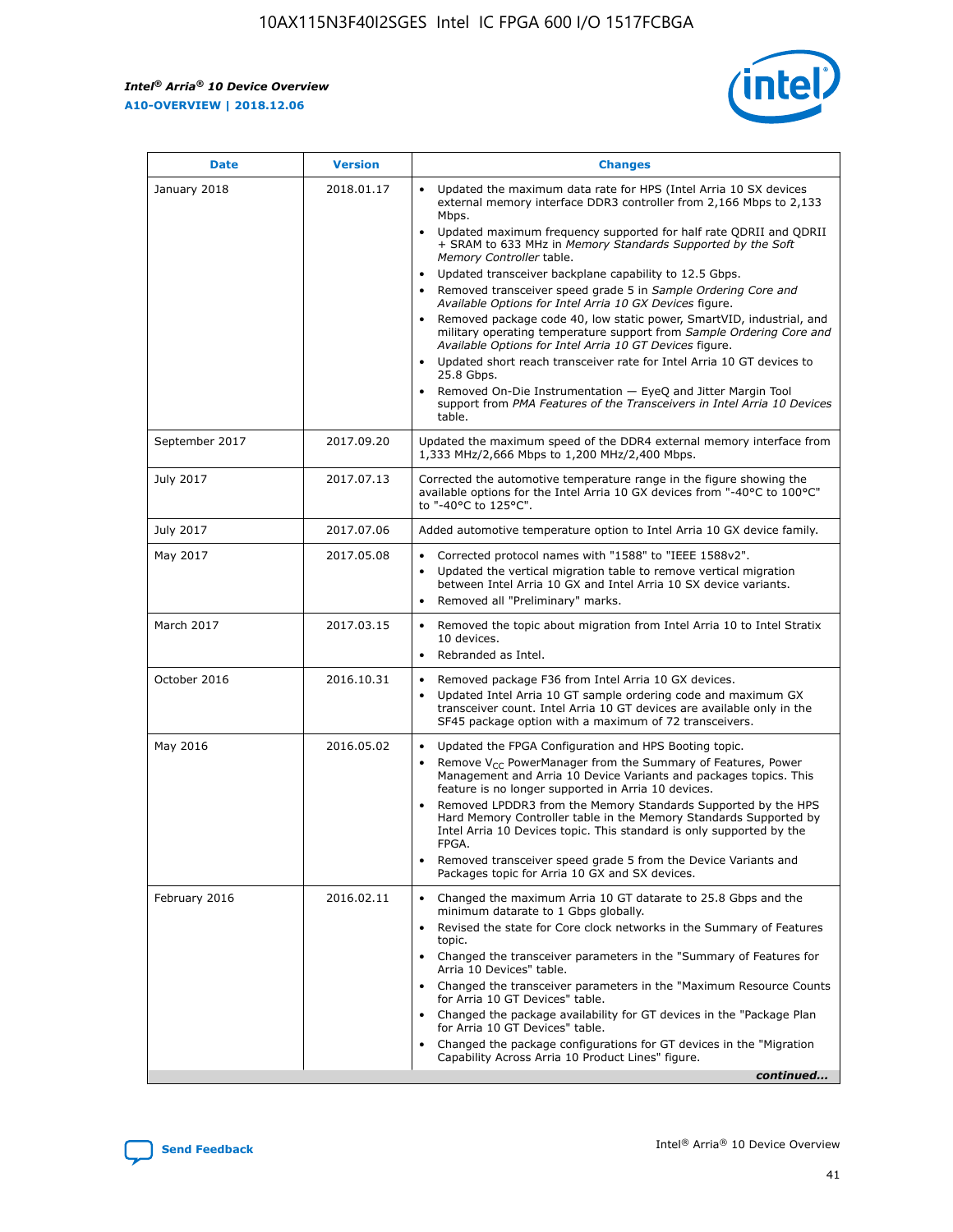

| <b>Date</b>    | <b>Version</b> | <b>Changes</b>                                                                                                                                                                                                                                                                                                                                                                                                                                                                                                                                                                                                                                                                                                                                                                                                                                                                                                                                               |
|----------------|----------------|--------------------------------------------------------------------------------------------------------------------------------------------------------------------------------------------------------------------------------------------------------------------------------------------------------------------------------------------------------------------------------------------------------------------------------------------------------------------------------------------------------------------------------------------------------------------------------------------------------------------------------------------------------------------------------------------------------------------------------------------------------------------------------------------------------------------------------------------------------------------------------------------------------------------------------------------------------------|
| January 2018   | 2018.01.17     | Updated the maximum data rate for HPS (Intel Arria 10 SX devices<br>external memory interface DDR3 controller from 2,166 Mbps to 2,133<br>Mbps.<br>Updated maximum frequency supported for half rate QDRII and QDRII<br>+ SRAM to 633 MHz in Memory Standards Supported by the Soft<br>Memory Controller table.<br>Updated transceiver backplane capability to 12.5 Gbps.<br>Removed transceiver speed grade 5 in Sample Ordering Core and<br>Available Options for Intel Arria 10 GX Devices figure.<br>Removed package code 40, low static power, SmartVID, industrial, and<br>military operating temperature support from Sample Ordering Core and<br>Available Options for Intel Arria 10 GT Devices figure.<br>Updated short reach transceiver rate for Intel Arria 10 GT devices to<br>25.8 Gbps.<br>Removed On-Die Instrumentation - EyeQ and Jitter Margin Tool<br>support from PMA Features of the Transceivers in Intel Arria 10 Devices<br>table. |
| September 2017 | 2017.09.20     | Updated the maximum speed of the DDR4 external memory interface from<br>1,333 MHz/2,666 Mbps to 1,200 MHz/2,400 Mbps.                                                                                                                                                                                                                                                                                                                                                                                                                                                                                                                                                                                                                                                                                                                                                                                                                                        |
| July 2017      | 2017.07.13     | Corrected the automotive temperature range in the figure showing the<br>available options for the Intel Arria 10 GX devices from "-40°C to 100°C"<br>to "-40°C to 125°C".                                                                                                                                                                                                                                                                                                                                                                                                                                                                                                                                                                                                                                                                                                                                                                                    |
| July 2017      | 2017.07.06     | Added automotive temperature option to Intel Arria 10 GX device family.                                                                                                                                                                                                                                                                                                                                                                                                                                                                                                                                                                                                                                                                                                                                                                                                                                                                                      |
| May 2017       | 2017.05.08     | Corrected protocol names with "1588" to "IEEE 1588v2".<br>$\bullet$<br>Updated the vertical migration table to remove vertical migration<br>$\bullet$<br>between Intel Arria 10 GX and Intel Arria 10 SX device variants.<br>Removed all "Preliminary" marks.<br>$\bullet$                                                                                                                                                                                                                                                                                                                                                                                                                                                                                                                                                                                                                                                                                   |
| March 2017     | 2017.03.15     | Removed the topic about migration from Intel Arria 10 to Intel Stratix<br>$\bullet$<br>10 devices.<br>Rebranded as Intel.<br>$\bullet$                                                                                                                                                                                                                                                                                                                                                                                                                                                                                                                                                                                                                                                                                                                                                                                                                       |
| October 2016   | 2016.10.31     | Removed package F36 from Intel Arria 10 GX devices.<br>Updated Intel Arria 10 GT sample ordering code and maximum GX<br>$\bullet$<br>transceiver count. Intel Arria 10 GT devices are available only in the<br>SF45 package option with a maximum of 72 transceivers.                                                                                                                                                                                                                                                                                                                                                                                                                                                                                                                                                                                                                                                                                        |
| May 2016       | 2016.05.02     | Updated the FPGA Configuration and HPS Booting topic.<br>$\bullet$<br>Remove V <sub>CC</sub> PowerManager from the Summary of Features, Power<br>Management and Arria 10 Device Variants and packages topics. This<br>feature is no longer supported in Arria 10 devices.<br>Removed LPDDR3 from the Memory Standards Supported by the HPS<br>Hard Memory Controller table in the Memory Standards Supported by<br>Intel Arria 10 Devices topic. This standard is only supported by the<br><b>FPGA</b><br>Removed transceiver speed grade 5 from the Device Variants and<br>Packages topic for Arria 10 GX and SX devices.                                                                                                                                                                                                                                                                                                                                   |
| February 2016  | 2016.02.11     | Changed the maximum Arria 10 GT datarate to 25.8 Gbps and the<br>$\bullet$<br>minimum datarate to 1 Gbps globally.<br>Revised the state for Core clock networks in the Summary of Features<br>$\bullet$<br>topic.<br>Changed the transceiver parameters in the "Summary of Features for<br>$\bullet$<br>Arria 10 Devices" table.<br>Changed the transceiver parameters in the "Maximum Resource Counts<br>for Arria 10 GT Devices" table.<br>Changed the package availability for GT devices in the "Package Plan<br>for Arria 10 GT Devices" table.<br>Changed the package configurations for GT devices in the "Migration"<br>Capability Across Arria 10 Product Lines" figure.<br>continued                                                                                                                                                                                                                                                               |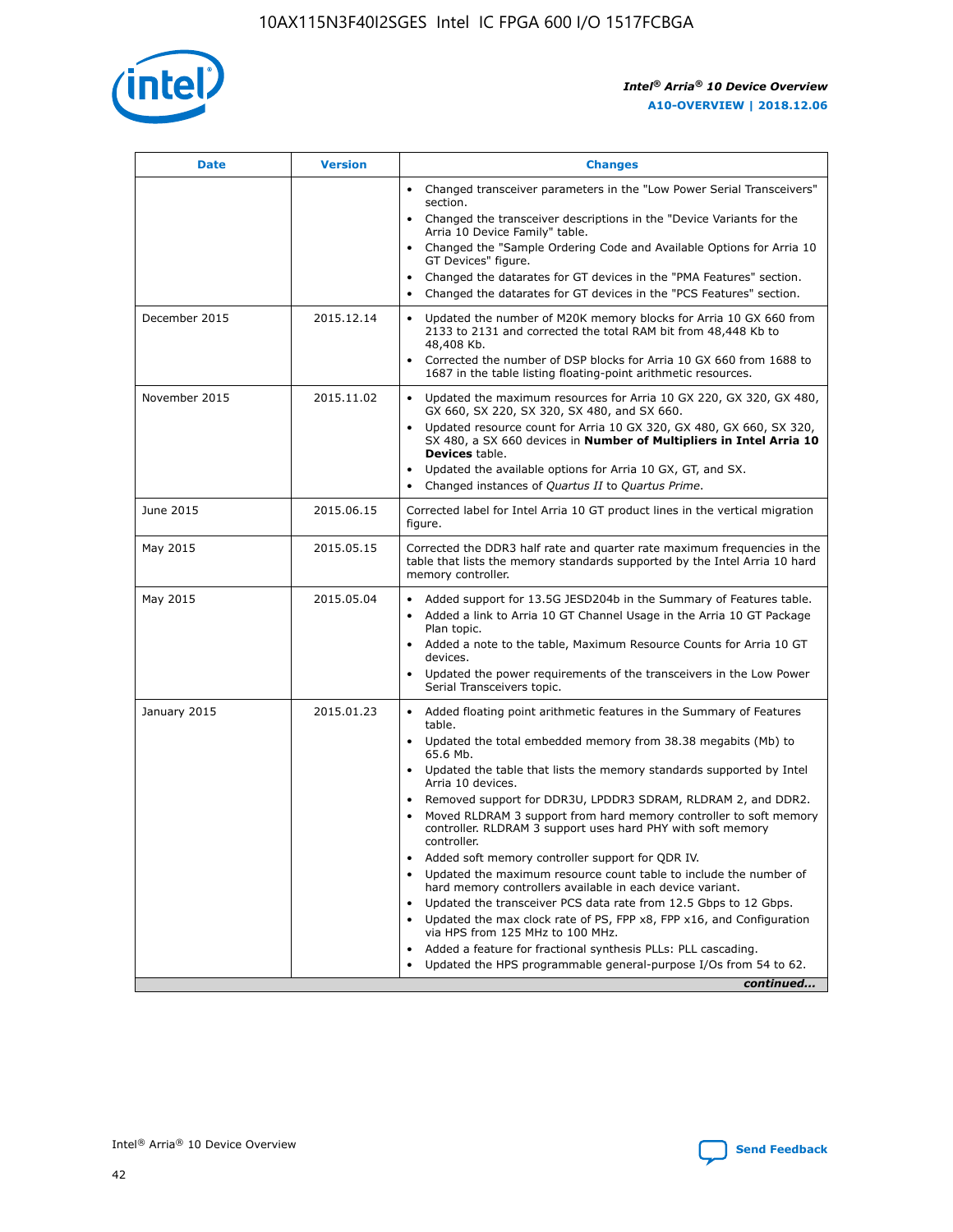

| <b>Date</b>   | <b>Version</b> | <b>Changes</b>                                                                                                                                                               |
|---------------|----------------|------------------------------------------------------------------------------------------------------------------------------------------------------------------------------|
|               |                | • Changed transceiver parameters in the "Low Power Serial Transceivers"<br>section.                                                                                          |
|               |                | • Changed the transceiver descriptions in the "Device Variants for the<br>Arria 10 Device Family" table.                                                                     |
|               |                | Changed the "Sample Ordering Code and Available Options for Arria 10<br>$\bullet$<br>GT Devices" figure.                                                                     |
|               |                | Changed the datarates for GT devices in the "PMA Features" section.                                                                                                          |
|               |                | Changed the datarates for GT devices in the "PCS Features" section.<br>$\bullet$                                                                                             |
| December 2015 | 2015.12.14     | Updated the number of M20K memory blocks for Arria 10 GX 660 from<br>2133 to 2131 and corrected the total RAM bit from 48,448 Kb to<br>48,408 Kb.                            |
|               |                | Corrected the number of DSP blocks for Arria 10 GX 660 from 1688 to<br>1687 in the table listing floating-point arithmetic resources.                                        |
| November 2015 | 2015.11.02     | Updated the maximum resources for Arria 10 GX 220, GX 320, GX 480,<br>$\bullet$<br>GX 660, SX 220, SX 320, SX 480, and SX 660.                                               |
|               |                | • Updated resource count for Arria 10 GX 320, GX 480, GX 660, SX 320,<br>SX 480, a SX 660 devices in Number of Multipliers in Intel Arria 10<br><b>Devices</b> table.        |
|               |                | Updated the available options for Arria 10 GX, GT, and SX.                                                                                                                   |
|               |                | Changed instances of Quartus II to Quartus Prime.<br>$\bullet$                                                                                                               |
| June 2015     | 2015.06.15     | Corrected label for Intel Arria 10 GT product lines in the vertical migration<br>figure.                                                                                     |
| May 2015      | 2015.05.15     | Corrected the DDR3 half rate and quarter rate maximum frequencies in the<br>table that lists the memory standards supported by the Intel Arria 10 hard<br>memory controller. |
| May 2015      | 2015.05.04     | • Added support for 13.5G JESD204b in the Summary of Features table.                                                                                                         |
|               |                | • Added a link to Arria 10 GT Channel Usage in the Arria 10 GT Package<br>Plan topic.                                                                                        |
|               |                | • Added a note to the table, Maximum Resource Counts for Arria 10 GT<br>devices.                                                                                             |
|               |                | • Updated the power requirements of the transceivers in the Low Power<br>Serial Transceivers topic.                                                                          |
| January 2015  | 2015.01.23     | • Added floating point arithmetic features in the Summary of Features<br>table.                                                                                              |
|               |                | • Updated the total embedded memory from 38.38 megabits (Mb) to<br>65.6 Mb.                                                                                                  |
|               |                | • Updated the table that lists the memory standards supported by Intel<br>Arria 10 devices.                                                                                  |
|               |                | Removed support for DDR3U, LPDDR3 SDRAM, RLDRAM 2, and DDR2.                                                                                                                 |
|               |                | Moved RLDRAM 3 support from hard memory controller to soft memory<br>controller. RLDRAM 3 support uses hard PHY with soft memory<br>controller.                              |
|               |                | Added soft memory controller support for QDR IV.<br>٠                                                                                                                        |
|               |                | Updated the maximum resource count table to include the number of<br>hard memory controllers available in each device variant.                                               |
|               |                | Updated the transceiver PCS data rate from 12.5 Gbps to 12 Gbps.<br>$\bullet$                                                                                                |
|               |                | Updated the max clock rate of PS, FPP x8, FPP x16, and Configuration<br>via HPS from 125 MHz to 100 MHz.                                                                     |
|               |                | Added a feature for fractional synthesis PLLs: PLL cascading.                                                                                                                |
|               |                | Updated the HPS programmable general-purpose I/Os from 54 to 62.<br>$\bullet$                                                                                                |
|               |                | continued                                                                                                                                                                    |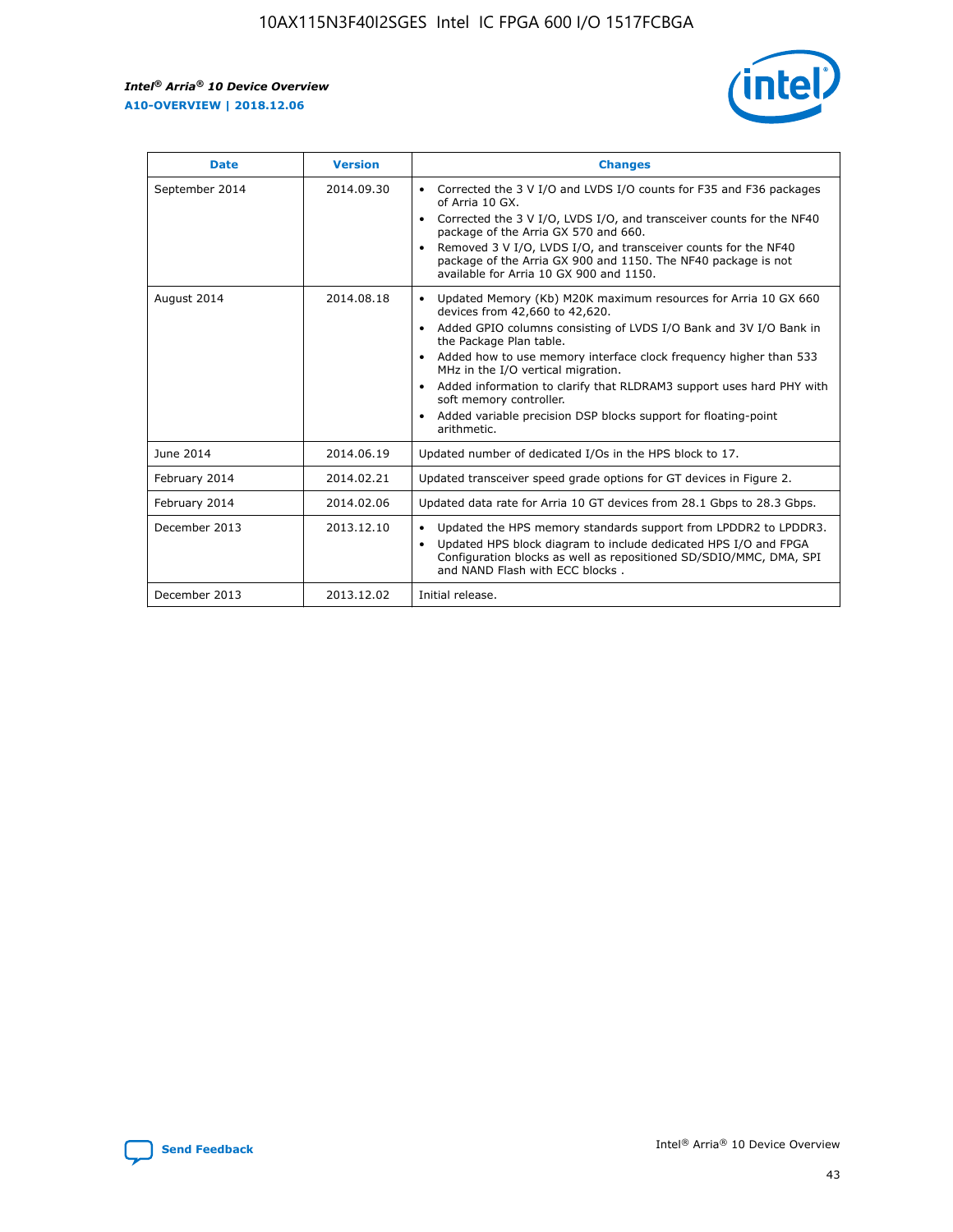r



| <b>Date</b>    | <b>Version</b> | <b>Changes</b>                                                                                                                                                                                                                                                                                                                                                                                                                                                                                                                                      |
|----------------|----------------|-----------------------------------------------------------------------------------------------------------------------------------------------------------------------------------------------------------------------------------------------------------------------------------------------------------------------------------------------------------------------------------------------------------------------------------------------------------------------------------------------------------------------------------------------------|
| September 2014 | 2014.09.30     | Corrected the 3 V I/O and LVDS I/O counts for F35 and F36 packages<br>$\bullet$<br>of Arria 10 GX.<br>Corrected the 3 V I/O, LVDS I/O, and transceiver counts for the NF40<br>$\bullet$<br>package of the Arria GX 570 and 660.<br>Removed 3 V I/O, LVDS I/O, and transceiver counts for the NF40<br>package of the Arria GX 900 and 1150. The NF40 package is not<br>available for Arria 10 GX 900 and 1150.                                                                                                                                       |
| August 2014    | 2014.08.18     | Updated Memory (Kb) M20K maximum resources for Arria 10 GX 660<br>devices from 42,660 to 42,620.<br>Added GPIO columns consisting of LVDS I/O Bank and 3V I/O Bank in<br>$\bullet$<br>the Package Plan table.<br>Added how to use memory interface clock frequency higher than 533<br>$\bullet$<br>MHz in the I/O vertical migration.<br>Added information to clarify that RLDRAM3 support uses hard PHY with<br>$\bullet$<br>soft memory controller.<br>Added variable precision DSP blocks support for floating-point<br>$\bullet$<br>arithmetic. |
| June 2014      | 2014.06.19     | Updated number of dedicated I/Os in the HPS block to 17.                                                                                                                                                                                                                                                                                                                                                                                                                                                                                            |
| February 2014  | 2014.02.21     | Updated transceiver speed grade options for GT devices in Figure 2.                                                                                                                                                                                                                                                                                                                                                                                                                                                                                 |
| February 2014  | 2014.02.06     | Updated data rate for Arria 10 GT devices from 28.1 Gbps to 28.3 Gbps.                                                                                                                                                                                                                                                                                                                                                                                                                                                                              |
| December 2013  | 2013.12.10     | Updated the HPS memory standards support from LPDDR2 to LPDDR3.<br>Updated HPS block diagram to include dedicated HPS I/O and FPGA<br>$\bullet$<br>Configuration blocks as well as repositioned SD/SDIO/MMC, DMA, SPI<br>and NAND Flash with ECC blocks.                                                                                                                                                                                                                                                                                            |
| December 2013  | 2013.12.02     | Initial release.                                                                                                                                                                                                                                                                                                                                                                                                                                                                                                                                    |